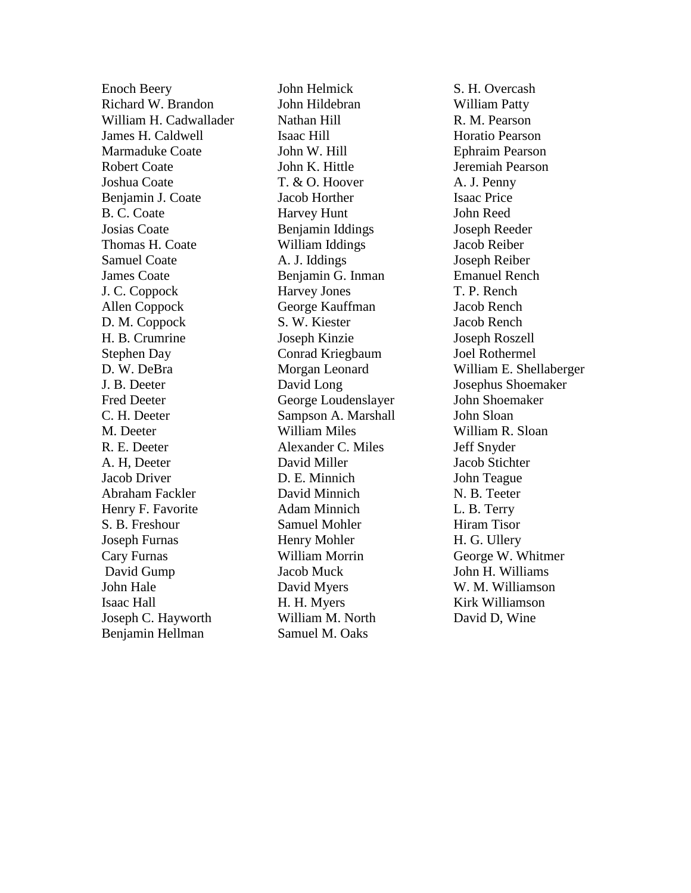Enoch Beery Richard W. Brandon William H. Cadwallader James H. Caldwell Marmaduke Coate Robert Coate Joshua Coate Benjamin J. Coate B. C. Coate Josias Coate Thomas H. Coate Samuel Coate James Coate J. C. Coppock Allen Coppock D. M. Coppock H. B. Crumrine Stephen Day D. W. DeBra J. B. Deeter Fred Deeter C. H. Deeter M. Deeter R. E. Deeter A. H, Deeter Jacob Driver Abraham Fackler Henry F. Favorite S. B. Freshour Joseph Furnas Cary Furnas David Gump John Hale Isaac Hall Joseph C. Hayworth Benjamin Hellman

John Helmick John Hildebran Nathan Hill Isaac Hill John W. Hill John K. Hittle T. & O. Hoover Jacob Horther Harvey Hunt Benjamin Iddings William Iddings A. J. Iddings Benjamin G. Inman Harvey Jones George Kauffman S. W. Kiester Joseph Kinzie Conrad Kriegbaum Morgan Leonard David Long George Loudenslayer Sampson A. Marshall William Miles Alexander C. Miles David Miller D. E. Minnich David Minnich Adam Minnich Samuel Mohler Henry Mohler William Morrin Jacob Muck David Myers H. H. Myers William M. North Samuel M. Oaks

S. H. Overcash William Patty R. M. Pearson Horatio Pearson Ephraim Pearson Jeremiah Pearson A. J. Penny Isaac Price John Reed Joseph Reeder Jacob Reiber Joseph Reiber Emanuel Rench T. P. Rench Jacob Rench Jacob Rench Joseph Roszell Joel Rothermel William E. Shellaberger Josephus Shoemaker John Shoemaker John Sloan William R. Sloan Jeff Snyder Jacob Stichter John Teague N. B. Teeter L. B. Terry Hiram Tisor H. G. Ullery George W. Whitmer John H. Williams W. M. Williamson Kirk Williamson David D, Wine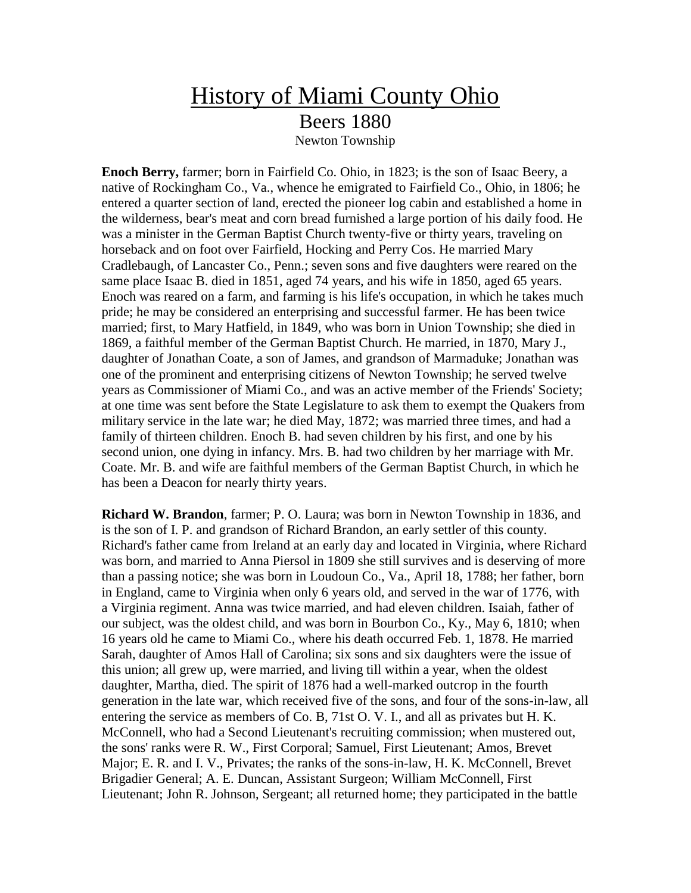## History of Miami County Ohio Beers 1880 Newton Township

**Enoch Berry,** farmer; born in Fairfield Co. Ohio, in 1823; is the son of Isaac Beery, a native of Rockingham Co., Va., whence he emigrated to Fairfield Co., Ohio, in 1806; he entered a quarter section of land, erected the pioneer log cabin and established a home in the wilderness, bear's meat and corn bread furnished a large portion of his daily food. He was a minister in the German Baptist Church twenty-five or thirty years, traveling on horseback and on foot over Fairfield, Hocking and Perry Cos. He married Mary Cradlebaugh, of Lancaster Co., Penn.; seven sons and five daughters were reared on the same place Isaac B. died in 1851, aged 74 years, and his wife in 1850, aged 65 years. Enoch was reared on a farm, and farming is his life's occupation, in which he takes much pride; he may be considered an enterprising and successful farmer. He has been twice married; first, to Mary Hatfield, in 1849, who was born in Union Township; she died in 1869, a faithful member of the German Baptist Church. He married, in 1870, Mary J., daughter of Jonathan Coate, a son of James, and grandson of Marmaduke; Jonathan was one of the prominent and enterprising citizens of Newton Township; he served twelve years as Commissioner of Miami Co., and was an active member of the Friends' Society; at one time was sent before the State Legislature to ask them to exempt the Quakers from military service in the late war; he died May, 1872; was married three times, and had a family of thirteen children. Enoch B. had seven children by his first, and one by his second union, one dying in infancy. Mrs. B. had two children by her marriage with Mr. Coate. Mr. B. and wife are faithful members of the German Baptist Church, in which he has been a Deacon for nearly thirty years.

**Richard W. Brandon**, farmer; P. O. Laura; was born in Newton Township in 1836, and is the son of I. P. and grandson of Richard Brandon, an early settler of this county. Richard's father came from Ireland at an early day and located in Virginia, where Richard was born, and married to Anna Piersol in 1809 she still survives and is deserving of more than a passing notice; she was born in Loudoun Co., Va., April 18, 1788; her father, born in England, came to Virginia when only 6 years old, and served in the war of 1776, with a Virginia regiment. Anna was twice married, and had eleven children. Isaiah, father of our subject, was the oldest child, and was born in Bourbon Co., Ky., May 6, 1810; when 16 years old he came to Miami Co., where his death occurred Feb. 1, 1878. He married Sarah, daughter of Amos Hall of Carolina; six sons and six daughters were the issue of this union; all grew up, were married, and living till within a year, when the oldest daughter, Martha, died. The spirit of 1876 had a well-marked outcrop in the fourth generation in the late war, which received five of the sons, and four of the sons-in-law, all entering the service as members of Co. B, 71st O. V. I., and all as privates but H. K. McConnell, who had a Second Lieutenant's recruiting commission; when mustered out, the sons' ranks were R. W., First Corporal; Samuel, First Lieutenant; Amos, Brevet Major; E. R. and I. V., Privates; the ranks of the sons-in-law, H. K. McConnell, Brevet Brigadier General; A. E. Duncan, Assistant Surgeon; William McConnell, First Lieutenant; John R. Johnson, Sergeant; all returned home; they participated in the battle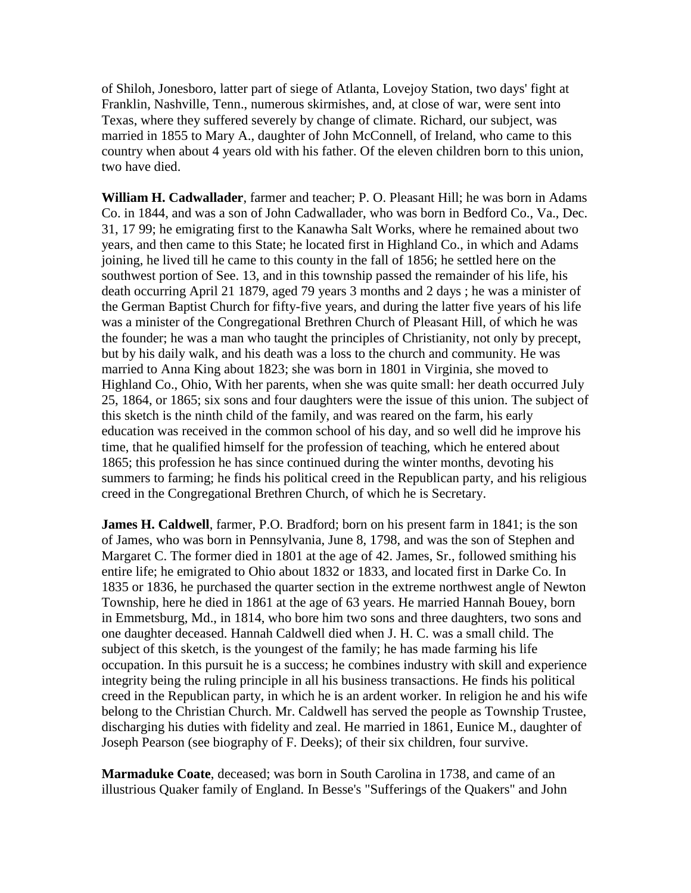of Shiloh, Jonesboro, latter part of siege of Atlanta, Lovejoy Station, two days' fight at Franklin, Nashville, Tenn., numerous skirmishes, and, at close of war, were sent into Texas, where they suffered severely by change of climate. Richard, our subject, was married in 1855 to Mary A., daughter of John McConnell, of Ireland, who came to this country when about 4 years old with his father. Of the eleven children born to this union, two have died.

**William H. Cadwallader**, farmer and teacher; P. O. Pleasant Hill; he was born in Adams Co. in 1844, and was a son of John Cadwallader, who was born in Bedford Co., Va., Dec. 31, 17 99; he emigrating first to the Kanawha Salt Works, where he remained about two years, and then came to this State; he located first in Highland Co., in which and Adams joining, he lived till he came to this county in the fall of 1856; he settled here on the southwest portion of See. 13, and in this township passed the remainder of his life, his death occurring April 21 1879, aged 79 years 3 months and 2 days ; he was a minister of the German Baptist Church for fifty-five years, and during the latter five years of his life was a minister of the Congregational Brethren Church of Pleasant Hill, of which he was the founder; he was a man who taught the principles of Christianity, not only by precept, but by his daily walk, and his death was a loss to the church and community. He was married to Anna King about 1823; she was born in 1801 in Virginia, she moved to Highland Co., Ohio, With her parents, when she was quite small: her death occurred July 25, 1864, or 1865; six sons and four daughters were the issue of this union. The subject of this sketch is the ninth child of the family, and was reared on the farm, his early education was received in the common school of his day, and so well did he improve his time, that he qualified himself for the profession of teaching, which he entered about 1865; this profession he has since continued during the winter months, devoting his summers to farming; he finds his political creed in the Republican party, and his religious creed in the Congregational Brethren Church, of which he is Secretary.

**James H. Caldwell**, farmer, P.O. Bradford; born on his present farm in 1841; is the son of James, who was born in Pennsylvania, June 8, 1798, and was the son of Stephen and Margaret C. The former died in 1801 at the age of 42. James, Sr., followed smithing his entire life; he emigrated to Ohio about 1832 or 1833, and located first in Darke Co. In 1835 or 1836, he purchased the quarter section in the extreme northwest angle of Newton Township, here he died in 1861 at the age of 63 years. He married Hannah Bouey, born in Emmetsburg, Md., in 1814, who bore him two sons and three daughters, two sons and one daughter deceased. Hannah Caldwell died when J. H. C. was a small child. The subject of this sketch, is the youngest of the family; he has made farming his life occupation. In this pursuit he is a success; he combines industry with skill and experience integrity being the ruling principle in all his business transactions. He finds his political creed in the Republican party, in which he is an ardent worker. In religion he and his wife belong to the Christian Church. Mr. Caldwell has served the people as Township Trustee, discharging his duties with fidelity and zeal. He married in 1861, Eunice M., daughter of Joseph Pearson (see biography of F. Deeks); of their six children, four survive.

**Marmaduke Coate**, deceased; was born in South Carolina in 1738, and came of an illustrious Quaker family of England. In Besse's "Sufferings of the Quakers" and John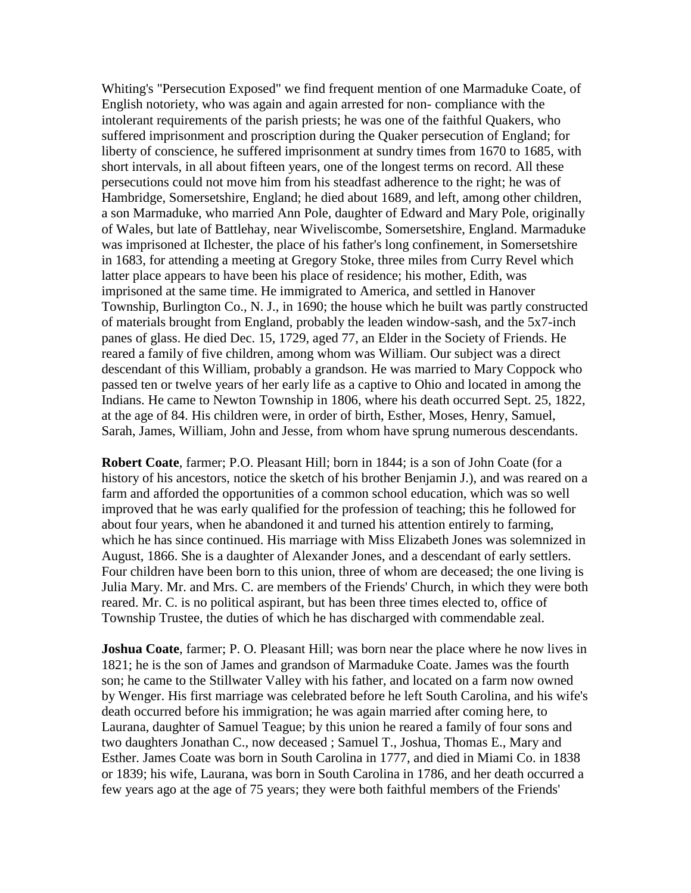Whiting's "Persecution Exposed" we find frequent mention of one Marmaduke Coate, of English notoriety, who was again and again arrested for non- compliance with the intolerant requirements of the parish priests; he was one of the faithful Quakers, who suffered imprisonment and proscription during the Quaker persecution of England; for liberty of conscience, he suffered imprisonment at sundry times from 1670 to 1685, with short intervals, in all about fifteen years, one of the longest terms on record. All these persecutions could not move him from his steadfast adherence to the right; he was of Hambridge, Somersetshire, England; he died about 1689, and left, among other children, a son Marmaduke, who married Ann Pole, daughter of Edward and Mary Pole, originally of Wales, but late of Battlehay, near Wiveliscombe, Somersetshire, England. Marmaduke was imprisoned at Ilchester, the place of his father's long confinement, in Somersetshire in 1683, for attending a meeting at Gregory Stoke, three miles from Curry Revel which latter place appears to have been his place of residence; his mother, Edith, was imprisoned at the same time. He immigrated to America, and settled in Hanover Township, Burlington Co., N. J., in 1690; the house which he built was partly constructed of materials brought from England, probably the leaden window-sash, and the 5x7-inch panes of glass. He died Dec. 15, 1729, aged 77, an Elder in the Society of Friends. He reared a family of five children, among whom was William. Our subject was a direct descendant of this William, probably a grandson. He was married to Mary Coppock who passed ten or twelve years of her early life as a captive to Ohio and located in among the Indians. He came to Newton Township in 1806, where his death occurred Sept. 25, 1822, at the age of 84. His children were, in order of birth, Esther, Moses, Henry, Samuel, Sarah, James, William, John and Jesse, from whom have sprung numerous descendants.

**Robert Coate**, farmer; P.O. Pleasant Hill; born in 1844; is a son of John Coate (for a history of his ancestors, notice the sketch of his brother Benjamin J.), and was reared on a farm and afforded the opportunities of a common school education, which was so well improved that he was early qualified for the profession of teaching; this he followed for about four years, when he abandoned it and turned his attention entirely to farming, which he has since continued. His marriage with Miss Elizabeth Jones was solemnized in August, 1866. She is a daughter of Alexander Jones, and a descendant of early settlers. Four children have been born to this union, three of whom are deceased; the one living is Julia Mary. Mr. and Mrs. C. are members of the Friends' Church, in which they were both reared. Mr. C. is no political aspirant, but has been three times elected to, office of Township Trustee, the duties of which he has discharged with commendable zeal.

**Joshua Coate**, farmer; P. O. Pleasant Hill; was born near the place where he now lives in 1821; he is the son of James and grandson of Marmaduke Coate. James was the fourth son; he came to the Stillwater Valley with his father, and located on a farm now owned by Wenger. His first marriage was celebrated before he left South Carolina, and his wife's death occurred before his immigration; he was again married after coming here, to Laurana, daughter of Samuel Teague; by this union he reared a family of four sons and two daughters Jonathan C., now deceased ; Samuel T., Joshua, Thomas E., Mary and Esther. James Coate was born in South Carolina in 1777, and died in Miami Co. in 1838 or 1839; his wife, Laurana, was born in South Carolina in 1786, and her death occurred a few years ago at the age of 75 years; they were both faithful members of the Friends'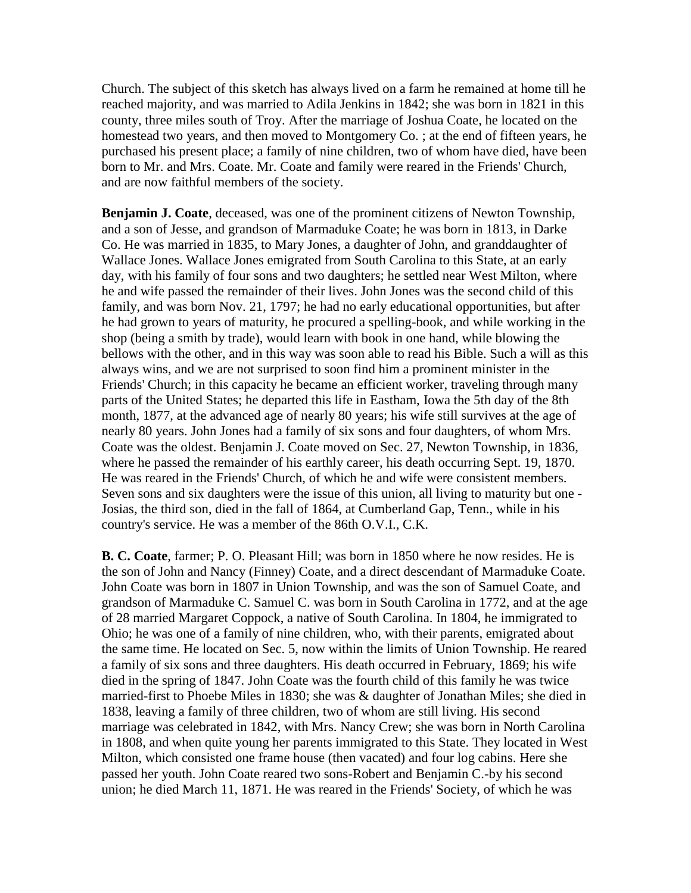Church. The subject of this sketch has always lived on a farm he remained at home till he reached majority, and was married to Adila Jenkins in 1842; she was born in 1821 in this county, three miles south of Troy. After the marriage of Joshua Coate, he located on the homestead two years, and then moved to Montgomery Co. ; at the end of fifteen years, he purchased his present place; a family of nine children, two of whom have died, have been born to Mr. and Mrs. Coate. Mr. Coate and family were reared in the Friends' Church, and are now faithful members of the society.

**Benjamin J. Coate**, deceased, was one of the prominent citizens of Newton Township, and a son of Jesse, and grandson of Marmaduke Coate; he was born in 1813, in Darke Co. He was married in 1835, to Mary Jones, a daughter of John, and granddaughter of Wallace Jones. Wallace Jones emigrated from South Carolina to this State, at an early day, with his family of four sons and two daughters; he settled near West Milton, where he and wife passed the remainder of their lives. John Jones was the second child of this family, and was born Nov. 21, 1797; he had no early educational opportunities, but after he had grown to years of maturity, he procured a spelling-book, and while working in the shop (being a smith by trade), would learn with book in one hand, while blowing the bellows with the other, and in this way was soon able to read his Bible. Such a will as this always wins, and we are not surprised to soon find him a prominent minister in the Friends' Church; in this capacity he became an efficient worker, traveling through many parts of the United States; he departed this life in Eastham, Iowa the 5th day of the 8th month, 1877, at the advanced age of nearly 80 years; his wife still survives at the age of nearly 80 years. John Jones had a family of six sons and four daughters, of whom Mrs. Coate was the oldest. Benjamin J. Coate moved on Sec. 27, Newton Township, in 1836, where he passed the remainder of his earthly career, his death occurring Sept. 19, 1870. He was reared in the Friends' Church, of which he and wife were consistent members. Seven sons and six daughters were the issue of this union, all living to maturity but one - Josias, the third son, died in the fall of 1864, at Cumberland Gap, Tenn., while in his country's service. He was a member of the 86th O.V.I., C.K.

**B. C. Coate**, farmer; P. O. Pleasant Hill; was born in 1850 where he now resides. He is the son of John and Nancy (Finney) Coate, and a direct descendant of Marmaduke Coate. John Coate was born in 1807 in Union Township, and was the son of Samuel Coate, and grandson of Marmaduke C. Samuel C. was born in South Carolina in 1772, and at the age of 28 married Margaret Coppock, a native of South Carolina. In 1804, he immigrated to Ohio; he was one of a family of nine children, who, with their parents, emigrated about the same time. He located on Sec. 5, now within the limits of Union Township. He reared a family of six sons and three daughters. His death occurred in February, 1869; his wife died in the spring of 1847. John Coate was the fourth child of this family he was twice married-first to Phoebe Miles in 1830; she was & daughter of Jonathan Miles; she died in 1838, leaving a family of three children, two of whom are still living. His second marriage was celebrated in 1842, with Mrs. Nancy Crew; she was born in North Carolina in 1808, and when quite young her parents immigrated to this State. They located in West Milton, which consisted one frame house (then vacated) and four log cabins. Here she passed her youth. John Coate reared two sons-Robert and Benjamin C.-by his second union; he died March 11, 1871. He was reared in the Friends' Society, of which he was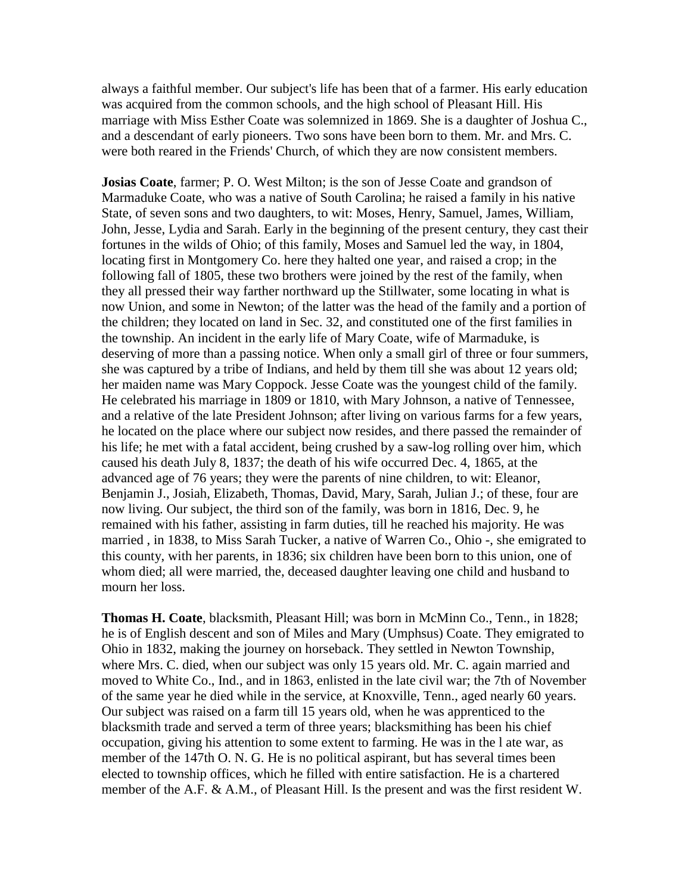always a faithful member. Our subject's life has been that of a farmer. His early education was acquired from the common schools, and the high school of Pleasant Hill. His marriage with Miss Esther Coate was solemnized in 1869. She is a daughter of Joshua C., and a descendant of early pioneers. Two sons have been born to them. Mr. and Mrs. C. were both reared in the Friends' Church, of which they are now consistent members.

**Josias Coate**, farmer; P. O. West Milton; is the son of Jesse Coate and grandson of Marmaduke Coate, who was a native of South Carolina; he raised a family in his native State, of seven sons and two daughters, to wit: Moses, Henry, Samuel, James, William, John, Jesse, Lydia and Sarah. Early in the beginning of the present century, they cast their fortunes in the wilds of Ohio; of this family, Moses and Samuel led the way, in 1804, locating first in Montgomery Co. here they halted one year, and raised a crop; in the following fall of 1805, these two brothers were joined by the rest of the family, when they all pressed their way farther northward up the Stillwater, some locating in what is now Union, and some in Newton; of the latter was the head of the family and a portion of the children; they located on land in Sec. 32, and constituted one of the first families in the township. An incident in the early life of Mary Coate, wife of Marmaduke, is deserving of more than a passing notice. When only a small girl of three or four summers, she was captured by a tribe of Indians, and held by them till she was about 12 years old; her maiden name was Mary Coppock. Jesse Coate was the youngest child of the family. He celebrated his marriage in 1809 or 1810, with Mary Johnson, a native of Tennessee, and a relative of the late President Johnson; after living on various farms for a few years, he located on the place where our subject now resides, and there passed the remainder of his life; he met with a fatal accident, being crushed by a saw-log rolling over him, which caused his death July 8, 1837; the death of his wife occurred Dec. 4, 1865, at the advanced age of 76 years; they were the parents of nine children, to wit: Eleanor, Benjamin J., Josiah, Elizabeth, Thomas, David, Mary, Sarah, Julian J.; of these, four are now living. Our subject, the third son of the family, was born in 1816, Dec. 9, he remained with his father, assisting in farm duties, till he reached his majority. He was married , in 1838, to Miss Sarah Tucker, a native of Warren Co., Ohio -, she emigrated to this county, with her parents, in 1836; six children have been born to this union, one of whom died; all were married, the, deceased daughter leaving one child and husband to mourn her loss.

**Thomas H. Coate**, blacksmith, Pleasant Hill; was born in McMinn Co., Tenn., in 1828; he is of English descent and son of Miles and Mary (Umphsus) Coate. They emigrated to Ohio in 1832, making the journey on horseback. They settled in Newton Township, where Mrs. C. died, when our subject was only 15 years old. Mr. C. again married and moved to White Co., Ind., and in 1863, enlisted in the late civil war; the 7th of November of the same year he died while in the service, at Knoxville, Tenn., aged nearly 60 years. Our subject was raised on a farm till 15 years old, when he was apprenticed to the blacksmith trade and served a term of three years; blacksmithing has been his chief occupation, giving his attention to some extent to farming. He was in the l ate war, as member of the 147th O. N. G. He is no political aspirant, but has several times been elected to township offices, which he filled with entire satisfaction. He is a chartered member of the A.F. & A.M., of Pleasant Hill. Is the present and was the first resident W.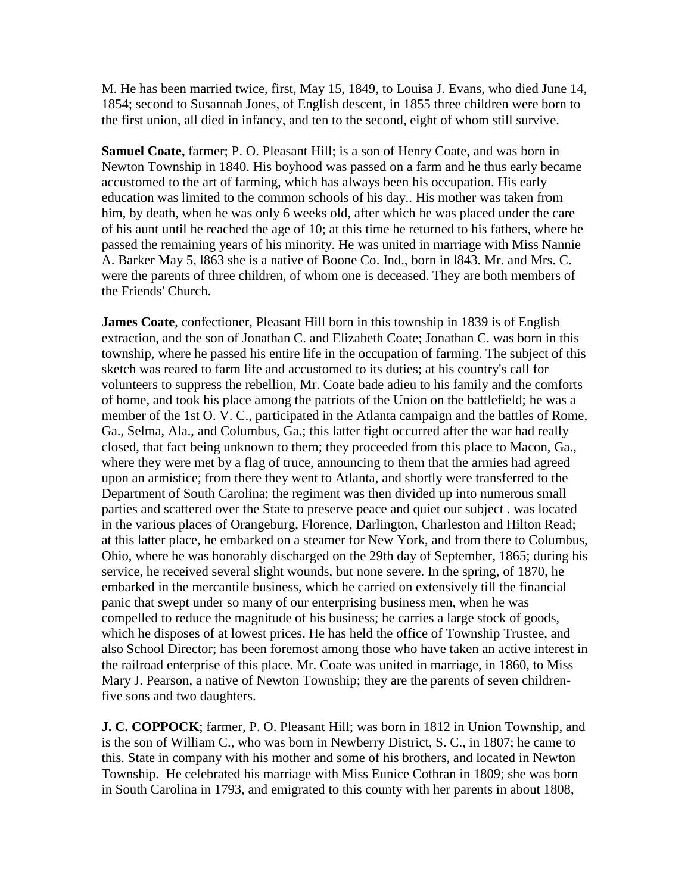M. He has been married twice, first, May 15, 1849, to Louisa J. Evans, who died June 14, 1854; second to Susannah Jones, of English descent, in 1855 three children were born to the first union, all died in infancy, and ten to the second, eight of whom still survive.

**Samuel Coate,** farmer; P. O. Pleasant Hill; is a son of Henry Coate, and was born in Newton Township in 1840. His boyhood was passed on a farm and he thus early became accustomed to the art of farming, which has always been his occupation. His early education was limited to the common schools of his day.. His mother was taken from him, by death, when he was only 6 weeks old, after which he was placed under the care of his aunt until he reached the age of 10; at this time he returned to his fathers, where he passed the remaining years of his minority. He was united in marriage with Miss Nannie A. Barker May 5, l863 she is a native of Boone Co. Ind., born in l843. Mr. and Mrs. C. were the parents of three children, of whom one is deceased. They are both members of the Friends' Church.

**James Coate**, confectioner, Pleasant Hill born in this township in 1839 is of English extraction, and the son of Jonathan C. and Elizabeth Coate; Jonathan C. was born in this township, where he passed his entire life in the occupation of farming. The subject of this sketch was reared to farm life and accustomed to its duties; at his country's call for volunteers to suppress the rebellion, Mr. Coate bade adieu to his family and the comforts of home, and took his place among the patriots of the Union on the battlefield; he was a member of the 1st O. V. C., participated in the Atlanta campaign and the battles of Rome, Ga., Selma, Ala., and Columbus, Ga.; this latter fight occurred after the war had really closed, that fact being unknown to them; they proceeded from this place to Macon, Ga., where they were met by a flag of truce, announcing to them that the armies had agreed upon an armistice; from there they went to Atlanta, and shortly were transferred to the Department of South Carolina; the regiment was then divided up into numerous small parties and scattered over the State to preserve peace and quiet our subject . was located in the various places of Orangeburg, Florence, Darlington, Charleston and Hilton Read; at this latter place, he embarked on a steamer for New York, and from there to Columbus, Ohio, where he was honorably discharged on the 29th day of September, 1865; during his service, he received several slight wounds, but none severe. In the spring, of 1870, he embarked in the mercantile business, which he carried on extensively till the financial panic that swept under so many of our enterprising business men, when he was compelled to reduce the magnitude of his business; he carries a large stock of goods, which he disposes of at lowest prices. He has held the office of Township Trustee, and also School Director; has been foremost among those who have taken an active interest in the railroad enterprise of this place. Mr. Coate was united in marriage, in 1860, to Miss Mary J. Pearson, a native of Newton Township; they are the parents of seven childrenfive sons and two daughters.

**J. C. COPPOCK**; farmer, P. O. Pleasant Hill; was born in 1812 in Union Township, and is the son of William C., who was born in Newberry District, S. C., in 1807; he came to this. State in company with his mother and some of his brothers, and located in Newton Township. He celebrated his marriage with Miss Eunice Cothran in 1809; she was born in South Carolina in 1793, and emigrated to this county with her parents in about 1808,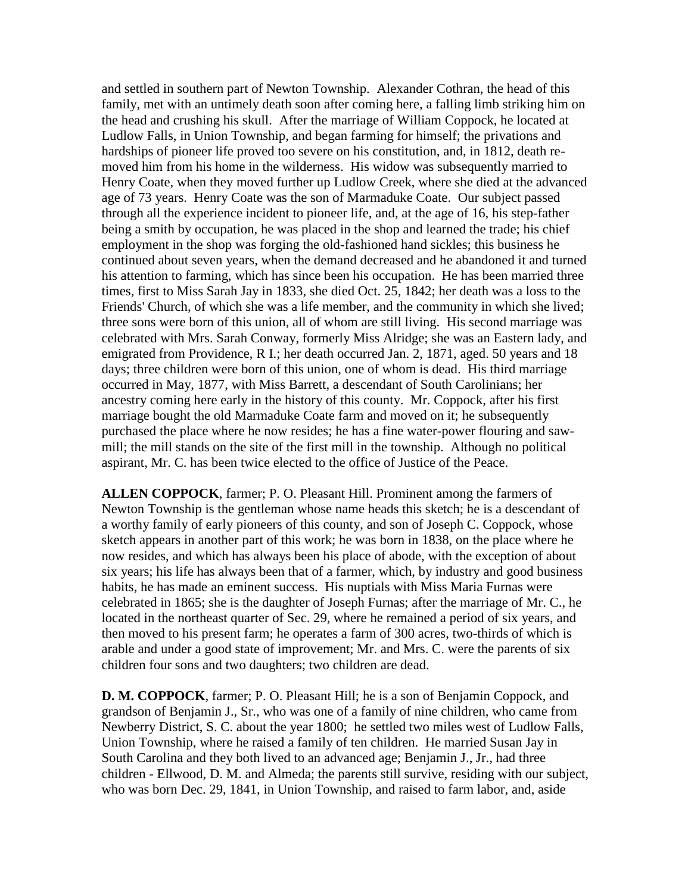and settled in southern part of Newton Township. Alexander Cothran, the head of this family, met with an untimely death soon after coming here, a falling limb striking him on the head and crushing his skull. After the marriage of William Coppock, he located at Ludlow Falls, in Union Township, and began farming for himself; the privations and hardships of pioneer life proved too severe on his constitution, and, in 1812, death removed him from his home in the wilderness. His widow was subsequently married to Henry Coate, when they moved further up Ludlow Creek, where she died at the advanced age of 73 years. Henry Coate was the son of Marmaduke Coate. Our subject passed through all the experience incident to pioneer life, and, at the age of 16, his step-father being a smith by occupation, he was placed in the shop and learned the trade; his chief employment in the shop was forging the old-fashioned hand sickles; this business he continued about seven years, when the demand decreased and he abandoned it and turned his attention to farming, which has since been his occupation. He has been married three times, first to Miss Sarah Jay in 1833, she died Oct. 25, 1842; her death was a loss to the Friends' Church, of which she was a life member, and the community in which she lived; three sons were born of this union, all of whom are still living. His second marriage was celebrated with Mrs. Sarah Conway, formerly Miss Alridge; she was an Eastern lady, and emigrated from Providence, R I.; her death occurred Jan. 2, 1871, aged. 50 years and 18 days; three children were born of this union, one of whom is dead. His third marriage occurred in May, 1877, with Miss Barrett, a descendant of South Carolinians; her ancestry coming here early in the history of this county. Mr. Coppock, after his first marriage bought the old Marmaduke Coate farm and moved on it; he subsequently purchased the place where he now resides; he has a fine water-power flouring and sawmill; the mill stands on the site of the first mill in the township. Although no political aspirant, Mr. C. has been twice elected to the office of Justice of the Peace.

**ALLEN COPPOCK**, farmer; P. O. Pleasant Hill. Prominent among the farmers of Newton Township is the gentleman whose name heads this sketch; he is a descendant of a worthy family of early pioneers of this county, and son of Joseph C. Coppock, whose sketch appears in another part of this work; he was born in 1838, on the place where he now resides, and which has always been his place of abode, with the exception of about six years; his life has always been that of a farmer, which, by industry and good business habits, he has made an eminent success. His nuptials with Miss Maria Furnas were celebrated in 1865; she is the daughter of Joseph Furnas; after the marriage of Mr. C., he located in the northeast quarter of Sec. 29, where he remained a period of six years, and then moved to his present farm; he operates a farm of 300 acres, two-thirds of which is arable and under a good state of improvement; Mr. and Mrs. C. were the parents of six children four sons and two daughters; two children are dead.

**D. M. COPPOCK**, farmer; P. O. Pleasant Hill; he is a son of Benjamin Coppock, and grandson of Benjamin J., Sr., who was one of a family of nine children, who came from Newberry District, S. C. about the year 1800; he settled two miles west of Ludlow Falls, Union Township, where he raised a family of ten children. He married Susan Jay in South Carolina and they both lived to an advanced age; Benjamin J., Jr., had three children - Ellwood, D. M. and Almeda; the parents still survive, residing with our subject, who was born Dec. 29, 1841, in Union Township, and raised to farm labor, and, aside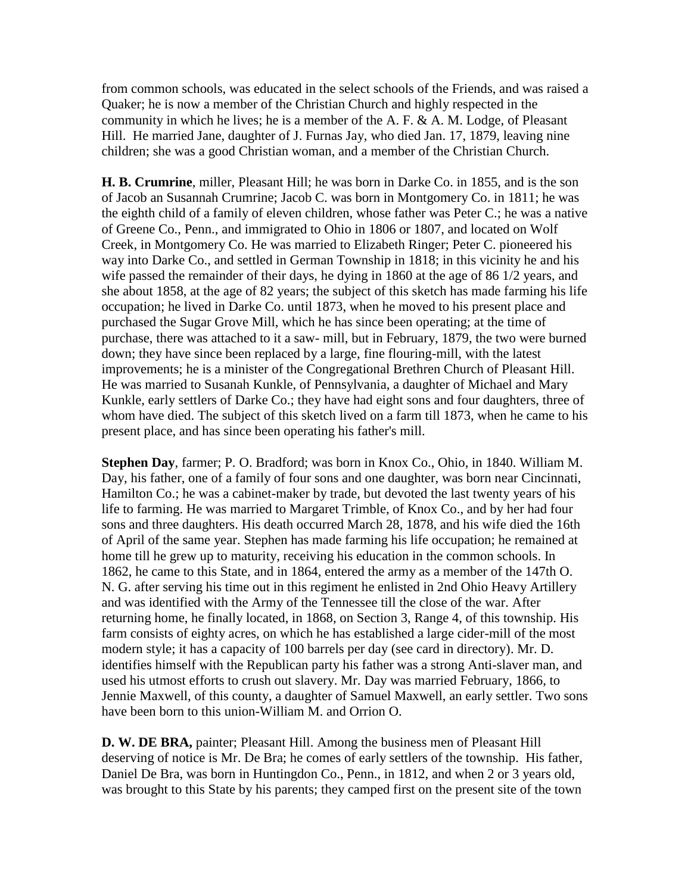from common schools, was educated in the select schools of the Friends, and was raised a Quaker; he is now a member of the Christian Church and highly respected in the community in which he lives; he is a member of the A. F. & A. M. Lodge, of Pleasant Hill. He married Jane, daughter of J. Furnas Jay, who died Jan. 17, 1879, leaving nine children; she was a good Christian woman, and a member of the Christian Church.

**H. B. Crumrine**, miller, Pleasant Hill; he was born in Darke Co. in 1855, and is the son of Jacob an Susannah Crumrine; Jacob C. was born in Montgomery Co. in 1811; he was the eighth child of a family of eleven children, whose father was Peter C.; he was a native of Greene Co., Penn., and immigrated to Ohio in 1806 or 1807, and located on Wolf Creek, in Montgomery Co. He was married to Elizabeth Ringer; Peter C. pioneered his way into Darke Co., and settled in German Township in 1818; in this vicinity he and his wife passed the remainder of their days, he dying in 1860 at the age of 86 1/2 years, and she about 1858, at the age of 82 years; the subject of this sketch has made farming his life occupation; he lived in Darke Co. until 1873, when he moved to his present place and purchased the Sugar Grove Mill, which he has since been operating; at the time of purchase, there was attached to it a saw- mill, but in February, 1879, the two were burned down; they have since been replaced by a large, fine flouring-mill, with the latest improvements; he is a minister of the Congregational Brethren Church of Pleasant Hill. He was married to Susanah Kunkle, of Pennsylvania, a daughter of Michael and Mary Kunkle, early settlers of Darke Co.; they have had eight sons and four daughters, three of whom have died. The subject of this sketch lived on a farm till 1873, when he came to his present place, and has since been operating his father's mill.

**Stephen Day**, farmer; P. O. Bradford; was born in Knox Co., Ohio, in 1840. William M. Day, his father, one of a family of four sons and one daughter, was born near Cincinnati, Hamilton Co.; he was a cabinet-maker by trade, but devoted the last twenty years of his life to farming. He was married to Margaret Trimble, of Knox Co., and by her had four sons and three daughters. His death occurred March 28, 1878, and his wife died the 16th of April of the same year. Stephen has made farming his life occupation; he remained at home till he grew up to maturity, receiving his education in the common schools. In 1862, he came to this State, and in 1864, entered the army as a member of the 147th O. N. G. after serving his time out in this regiment he enlisted in 2nd Ohio Heavy Artillery and was identified with the Army of the Tennessee till the close of the war. After returning home, he finally located, in 1868, on Section 3, Range 4, of this township. His farm consists of eighty acres, on which he has established a large cider-mill of the most modern style; it has a capacity of 100 barrels per day (see card in directory). Mr. D. identifies himself with the Republican party his father was a strong Anti-slaver man, and used his utmost efforts to crush out slavery. Mr. Day was married February, 1866, to Jennie Maxwell, of this county, a daughter of Samuel Maxwell, an early settler. Two sons have been born to this union-William M. and Orrion O.

**D. W. DE BRA,** painter; Pleasant Hill. Among the business men of Pleasant Hill deserving of notice is Mr. De Bra; he comes of early settlers of the township. His father, Daniel De Bra, was born in Huntingdon Co., Penn., in 1812, and when 2 or 3 years old, was brought to this State by his parents; they camped first on the present site of the town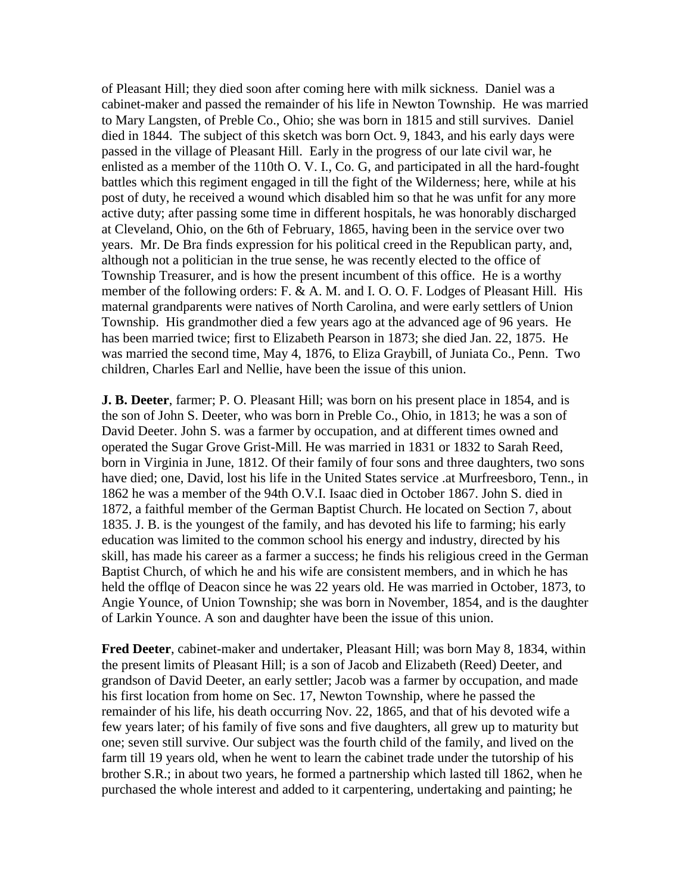of Pleasant Hill; they died soon after coming here with milk sickness. Daniel was a cabinet-maker and passed the remainder of his life in Newton Township. He was married to Mary Langsten, of Preble Co., Ohio; she was born in 1815 and still survives. Daniel died in 1844. The subject of this sketch was born Oct. 9, 1843, and his early days were passed in the village of Pleasant Hill. Early in the progress of our late civil war, he enlisted as a member of the 110th O. V. I., Co. G, and participated in all the hard-fought battles which this regiment engaged in till the fight of the Wilderness; here, while at his post of duty, he received a wound which disabled him so that he was unfit for any more active duty; after passing some time in different hospitals, he was honorably discharged at Cleveland, Ohio, on the 6th of February, 1865, having been in the service over two years. Mr. De Bra finds expression for his political creed in the Republican party, and, although not a politician in the true sense, he was recently elected to the office of Township Treasurer, and is how the present incumbent of this office. He is a worthy member of the following orders: F. & A. M. and I. O. O. F. Lodges of Pleasant Hill. His maternal grandparents were natives of North Carolina, and were early settlers of Union Township. His grandmother died a few years ago at the advanced age of 96 years. He has been married twice; first to Elizabeth Pearson in 1873; she died Jan. 22, 1875. He was married the second time, May 4, 1876, to Eliza Graybill, of Juniata Co., Penn. Two children, Charles Earl and Nellie, have been the issue of this union.

**J. B. Deeter**, farmer; P. O. Pleasant Hill; was born on his present place in 1854, and is the son of John S. Deeter, who was born in Preble Co., Ohio, in 1813; he was a son of David Deeter. John S. was a farmer by occupation, and at different times owned and operated the Sugar Grove Grist-Mill. He was married in 1831 or 1832 to Sarah Reed, born in Virginia in June, 1812. Of their family of four sons and three daughters, two sons have died; one, David, lost his life in the United States service .at Murfreesboro, Tenn., in 1862 he was a member of the 94th O.V.I. Isaac died in October 1867. John S. died in 1872, a faithful member of the German Baptist Church. He located on Section 7, about 1835. J. B. is the youngest of the family, and has devoted his life to farming; his early education was limited to the common school his energy and industry, directed by his skill, has made his career as a farmer a success; he finds his religious creed in the German Baptist Church, of which he and his wife are consistent members, and in which he has held the offlqe of Deacon since he was 22 years old. He was married in October, 1873, to Angie Younce, of Union Township; she was born in November, 1854, and is the daughter of Larkin Younce. A son and daughter have been the issue of this union.

**Fred Deeter**, cabinet-maker and undertaker, Pleasant Hill; was born May 8, 1834, within the present limits of Pleasant Hill; is a son of Jacob and Elizabeth (Reed) Deeter, and grandson of David Deeter, an early settler; Jacob was a farmer by occupation, and made his first location from home on Sec. 17, Newton Township, where he passed the remainder of his life, his death occurring Nov. 22, 1865, and that of his devoted wife a few years later; of his family of five sons and five daughters, all grew up to maturity but one; seven still survive. Our subject was the fourth child of the family, and lived on the farm till 19 years old, when he went to learn the cabinet trade under the tutorship of his brother S.R.; in about two years, he formed a partnership which lasted till 1862, when he purchased the whole interest and added to it carpentering, undertaking and painting; he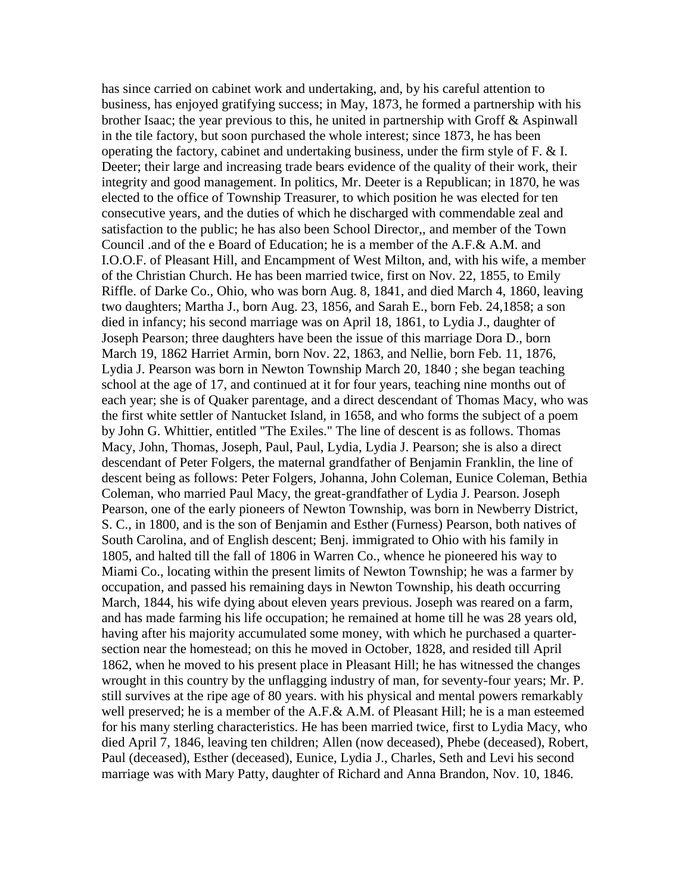has since carried on cabinet work and undertaking, and, by his careful attention to business, has enjoyed gratifying success; in May, 1873, he formed a partnership with his brother Isaac; the year previous to this, he united in partnership with Groff & Aspinwall in the tile factory, but soon purchased the whole interest; since 1873, he has been operating the factory, cabinet and undertaking business, under the firm style of F. & I. Deeter; their large and increasing trade bears evidence of the quality of their work, their integrity and good management. In politics, Mr. Deeter is a Republican; in 1870, he was elected to the office of Township Treasurer, to which position he was elected for ten consecutive years, and the duties of which he discharged with commendable zeal and satisfaction to the public; he has also been School Director,, and member of the Town Council .and of the e Board of Education; he is a member of the A.F.& A.M. and I.O.O.F. of Pleasant Hill, and Encampment of West Milton, and, with his wife, a member of the Christian Church. He has been married twice, first on Nov. 22, 1855, to Emily Riffle. of Darke Co., Ohio, who was born Aug. 8, 1841, and died March 4, 1860, leaving two daughters; Martha J., born Aug. 23, 1856, and Sarah E., born Feb. 24,1858; a son died in infancy; his second marriage was on April 18, 1861, to Lydia J., daughter of Joseph Pearson; three daughters have been the issue of this marriage Dora D., born March 19, 1862 Harriet Armin, born Nov. 22, 1863, and Nellie, born Feb. 11, 1876, Lydia J. Pearson was born in Newton Township March 20, 1840 ; she began teaching school at the age of 17, and continued at it for four years, teaching nine months out of each year; she is of Quaker parentage, and a direct descendant of Thomas Macy, who was the first white settler of Nantucket Island, in 1658, and who forms the subject of a poem by John G. Whittier, entitled "The Exiles." The line of descent is as follows. Thomas Macy, John, Thomas, Joseph, Paul, Paul, Lydia, Lydia J. Pearson; she is also a direct descendant of Peter Folgers, the maternal grandfather of Benjamin Franklin, the line of descent being as follows: Peter Folgers, Johanna, John Coleman, Eunice Coleman, Bethia Coleman, who married Paul Macy, the great-grandfather of Lydia J. Pearson. Joseph Pearson, one of the early pioneers of Newton Township, was born in Newberry District, S. C., in 1800, and is the son of Benjamin and Esther (Furness) Pearson, both natives of South Carolina, and of English descent; Benj. immigrated to Ohio with his family in 1805, and halted till the fall of 1806 in Warren Co., whence he pioneered his way to Miami Co., locating within the present limits of Newton Township; he was a farmer by occupation, and passed his remaining days in Newton Township, his death occurring March, 1844, his wife dying about eleven years previous. Joseph was reared on a farm, and has made farming his life occupation; he remained at home till he was 28 years old, having after his majority accumulated some money, with which he purchased a quartersection near the homestead; on this he moved in October, 1828, and resided till April 1862, when he moved to his present place in Pleasant Hill; he has witnessed the changes wrought in this country by the unflagging industry of man, for seventy-four years; Mr. P. still survives at the ripe age of 80 years. with his physical and mental powers remarkably well preserved; he is a member of the A.F.& A.M. of Pleasant Hill; he is a man esteemed for his many sterling characteristics. He has been married twice, first to Lydia Macy, who died April 7, 1846, leaving ten children; Allen (now deceased), Phebe (deceased), Robert, Paul (deceased), Esther (deceased), Eunice, Lydia J., Charles, Seth and Levi his second marriage was with Mary Patty, daughter of Richard and Anna Brandon, Nov. 10, 1846.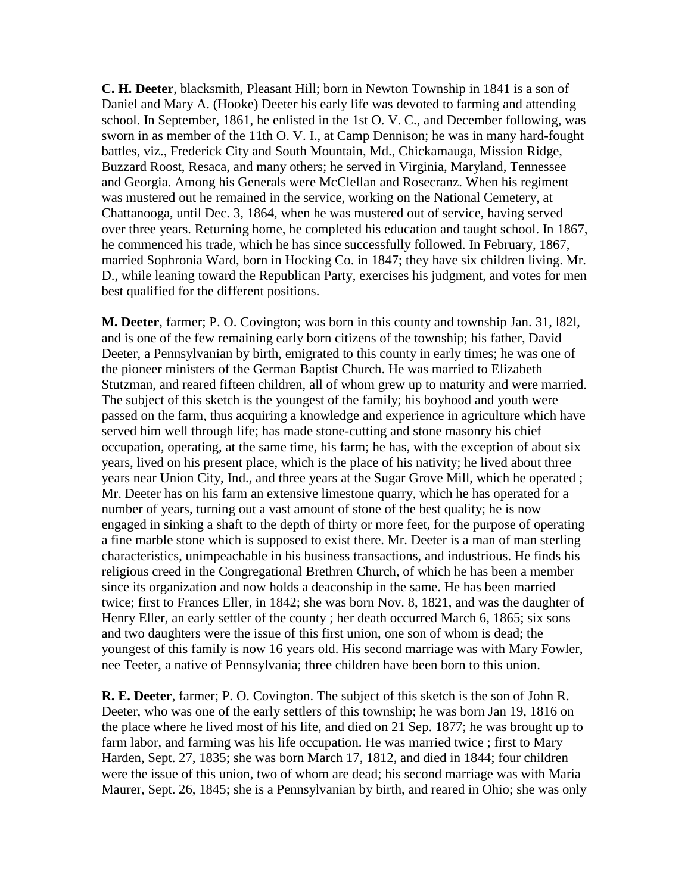**C. H. Deeter**, blacksmith, Pleasant Hill; born in Newton Township in 1841 is a son of Daniel and Mary A. (Hooke) Deeter his early life was devoted to farming and attending school. In September, 1861, he enlisted in the 1st O. V. C., and December following, was sworn in as member of the 11th O. V. I., at Camp Dennison; he was in many hard-fought battles, viz., Frederick City and South Mountain, Md., Chickamauga, Mission Ridge, Buzzard Roost, Resaca, and many others; he served in Virginia, Maryland, Tennessee and Georgia. Among his Generals were McClellan and Rosecranz. When his regiment was mustered out he remained in the service, working on the National Cemetery, at Chattanooga, until Dec. 3, 1864, when he was mustered out of service, having served over three years. Returning home, he completed his education and taught school. In 1867, he commenced his trade, which he has since successfully followed. In February, 1867, married Sophronia Ward, born in Hocking Co. in 1847; they have six children living. Mr. D., while leaning toward the Republican Party, exercises his judgment, and votes for men best qualified for the different positions.

**M. Deeter**, farmer; P. O. Covington; was born in this county and township Jan. 31, l82l, and is one of the few remaining early born citizens of the township; his father, David Deeter, a Pennsylvanian by birth, emigrated to this county in early times; he was one of the pioneer ministers of the German Baptist Church. He was married to Elizabeth Stutzman, and reared fifteen children, all of whom grew up to maturity and were married. The subject of this sketch is the youngest of the family; his boyhood and youth were passed on the farm, thus acquiring a knowledge and experience in agriculture which have served him well through life; has made stone-cutting and stone masonry his chief occupation, operating, at the same time, his farm; he has, with the exception of about six years, lived on his present place, which is the place of his nativity; he lived about three years near Union City, Ind., and three years at the Sugar Grove Mill, which he operated ; Mr. Deeter has on his farm an extensive limestone quarry, which he has operated for a number of years, turning out a vast amount of stone of the best quality; he is now engaged in sinking a shaft to the depth of thirty or more feet, for the purpose of operating a fine marble stone which is supposed to exist there. Mr. Deeter is a man of man sterling characteristics, unimpeachable in his business transactions, and industrious. He finds his religious creed in the Congregational Brethren Church, of which he has been a member since its organization and now holds a deaconship in the same. He has been married twice; first to Frances Eller, in 1842; she was born Nov. 8, 1821, and was the daughter of Henry Eller, an early settler of the county ; her death occurred March 6, 1865; six sons and two daughters were the issue of this first union, one son of whom is dead; the youngest of this family is now 16 years old. His second marriage was with Mary Fowler, nee Teeter, a native of Pennsylvania; three children have been born to this union.

**R. E. Deeter**, farmer; P. O. Covington. The subject of this sketch is the son of John R. Deeter, who was one of the early settlers of this township; he was born Jan 19, 1816 on the place where he lived most of his life, and died on 21 Sep. 1877; he was brought up to farm labor, and farming was his life occupation. He was married twice ; first to Mary Harden, Sept. 27, 1835; she was born March 17, 1812, and died in 1844; four children were the issue of this union, two of whom are dead; his second marriage was with Maria Maurer, Sept. 26, 1845; she is a Pennsylvanian by birth, and reared in Ohio; she was only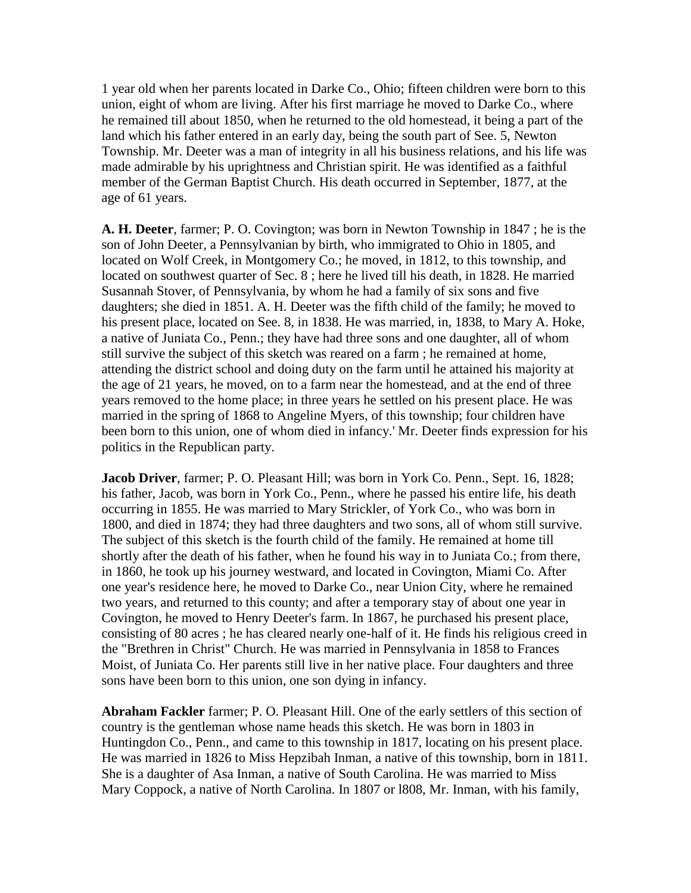1 year old when her parents located in Darke Co., Ohio; fifteen children were born to this union, eight of whom are living. After his first marriage he moved to Darke Co., where he remained till about 1850, when he returned to the old homestead, it being a part of the land which his father entered in an early day, being the south part of See. 5, Newton Township. Mr. Deeter was a man of integrity in all his business relations, and his life was made admirable by his uprightness and Christian spirit. He was identified as a faithful member of the German Baptist Church. His death occurred in September, 1877, at the age of 61 years.

**A. H. Deeter**, farmer; P. O. Covington; was born in Newton Township in 1847 ; he is the son of John Deeter, a Pennsylvanian by birth, who immigrated to Ohio in 1805, and located on Wolf Creek, in Montgomery Co.; he moved, in 1812, to this township, and located on southwest quarter of Sec. 8 ; here he lived till his death, in 1828. He married Susannah Stover, of Pennsylvania, by whom he had a family of six sons and five daughters; she died in 1851. A. H. Deeter was the fifth child of the family; he moved to his present place, located on See. 8, in 1838. He was married, in, 1838, to Mary A. Hoke, a native of Juniata Co., Penn.; they have had three sons and one daughter, all of whom still survive the subject of this sketch was reared on a farm ; he remained at home, attending the district school and doing duty on the farm until he attained his majority at the age of 21 years, he moved, on to a farm near the homestead, and at the end of three years removed to the home place; in three years he settled on his present place. He was married in the spring of 1868 to Angeline Myers, of this township; four children have been born to this union, one of whom died in infancy.' Mr. Deeter finds expression for his politics in the Republican party.

**Jacob Driver**, farmer; P. O. Pleasant Hill; was born in York Co. Penn., Sept. 16, 1828; his father, Jacob, was born in York Co., Penn., where he passed his entire life, his death occurring in 1855. He was married to Mary Strickler, of York Co., who was born in 1800, and died in 1874; they had three daughters and two sons, all of whom still survive. The subject of this sketch is the fourth child of the family. He remained at home till shortly after the death of his father, when he found his way in to Juniata Co.; from there, in 1860, he took up his journey westward, and located in Covington, Miami Co. After one year's residence here, he moved to Darke Co., near Union City, where he remained two years, and returned to this county; and after a temporary stay of about one year in Covington, he moved to Henry Deeter's farm. In 1867, he purchased his present place, consisting of 80 acres ; he has cleared nearly one-half of it. He finds his religious creed in the "Brethren in Christ" Church. He was married in Pennsylvania in 1858 to Frances Moist, of Juniata Co. Her parents still live in her native place. Four daughters and three sons have been born to this union, one son dying in infancy.

**Abraham Fackler** farmer; P. O. Pleasant Hill. One of the early settlers of this section of country is the gentleman whose name heads this sketch. He was born in 1803 in Huntingdon Co., Penn., and came to this township in 1817, locating on his present place. He was married in 1826 to Miss Hepzibah Inman, a native of this township, born in 1811. She is a daughter of Asa Inman, a native of South Carolina. He was married to Miss Mary Coppock, a native of North Carolina. In 1807 or l808, Mr. Inman, with his family,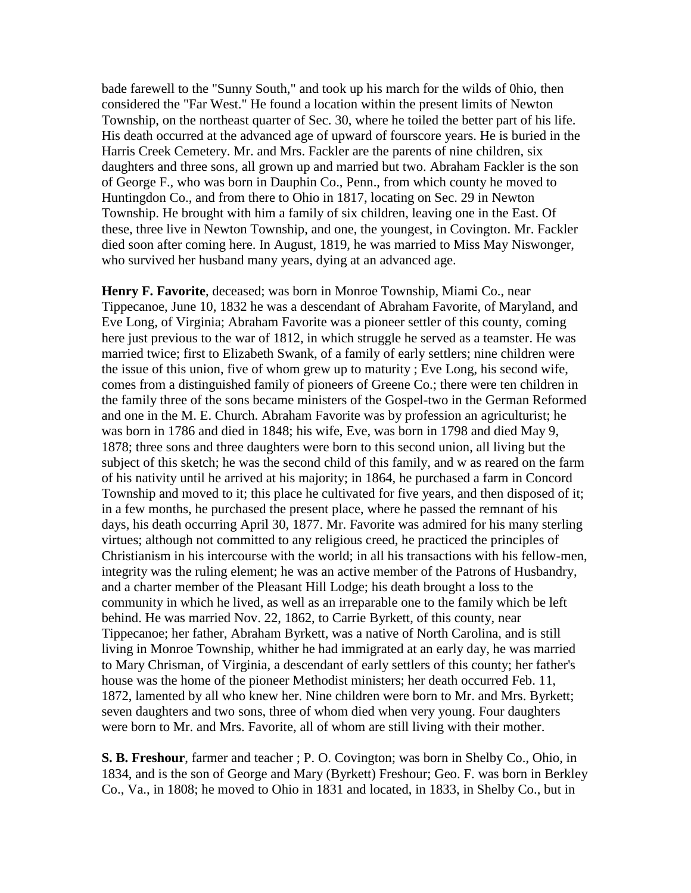bade farewell to the "Sunny South," and took up his march for the wilds of 0hio, then considered the "Far West." He found a location within the present limits of Newton Township, on the northeast quarter of Sec. 30, where he toiled the better part of his life. His death occurred at the advanced age of upward of fourscore years. He is buried in the Harris Creek Cemetery. Mr. and Mrs. Fackler are the parents of nine children, six daughters and three sons, all grown up and married but two. Abraham Fackler is the son of George F., who was born in Dauphin Co., Penn., from which county he moved to Huntingdon Co., and from there to Ohio in 1817, locating on Sec. 29 in Newton Township. He brought with him a family of six children, leaving one in the East. Of these, three live in Newton Township, and one, the youngest, in Covington. Mr. Fackler died soon after coming here. In August, 1819, he was married to Miss May Niswonger, who survived her husband many years, dying at an advanced age.

**Henry F. Favorite**, deceased; was born in Monroe Township, Miami Co., near Tippecanoe, June 10, 1832 he was a descendant of Abraham Favorite, of Maryland, and Eve Long, of Virginia; Abraham Favorite was a pioneer settler of this county, coming here just previous to the war of 1812, in which struggle he served as a teamster. He was married twice; first to Elizabeth Swank, of a family of early settlers; nine children were the issue of this union, five of whom grew up to maturity ; Eve Long, his second wife, comes from a distinguished family of pioneers of Greene Co.; there were ten children in the family three of the sons became ministers of the Gospel-two in the German Reformed and one in the M. E. Church. Abraham Favorite was by profession an agriculturist; he was born in 1786 and died in 1848; his wife, Eve, was born in 1798 and died May 9, 1878; three sons and three daughters were born to this second union, all living but the subject of this sketch; he was the second child of this family, and w as reared on the farm of his nativity until he arrived at his majority; in 1864, he purchased a farm in Concord Township and moved to it; this place he cultivated for five years, and then disposed of it; in a few months, he purchased the present place, where he passed the remnant of his days, his death occurring April 30, 1877. Mr. Favorite was admired for his many sterling virtues; although not committed to any religious creed, he practiced the principles of Christianism in his intercourse with the world; in all his transactions with his fellow-men, integrity was the ruling element; he was an active member of the Patrons of Husbandry, and a charter member of the Pleasant Hill Lodge; his death brought a loss to the community in which he lived, as well as an irreparable one to the family which be left behind. He was married Nov. 22, 1862, to Carrie Byrkett, of this county, near Tippecanoe; her father, Abraham Byrkett, was a native of North Carolina, and is still living in Monroe Township, whither he had immigrated at an early day, he was married to Mary Chrisman, of Virginia, a descendant of early settlers of this county; her father's house was the home of the pioneer Methodist ministers; her death occurred Feb. 11, 1872, lamented by all who knew her. Nine children were born to Mr. and Mrs. Byrkett; seven daughters and two sons, three of whom died when very young. Four daughters were born to Mr. and Mrs. Favorite, all of whom are still living with their mother.

**S. B. Freshour**, farmer and teacher ; P. O. Covington; was born in Shelby Co., Ohio, in 1834, and is the son of George and Mary (Byrkett) Freshour; Geo. F. was born in Berkley Co., Va., in 1808; he moved to Ohio in 1831 and located, in 1833, in Shelby Co., but in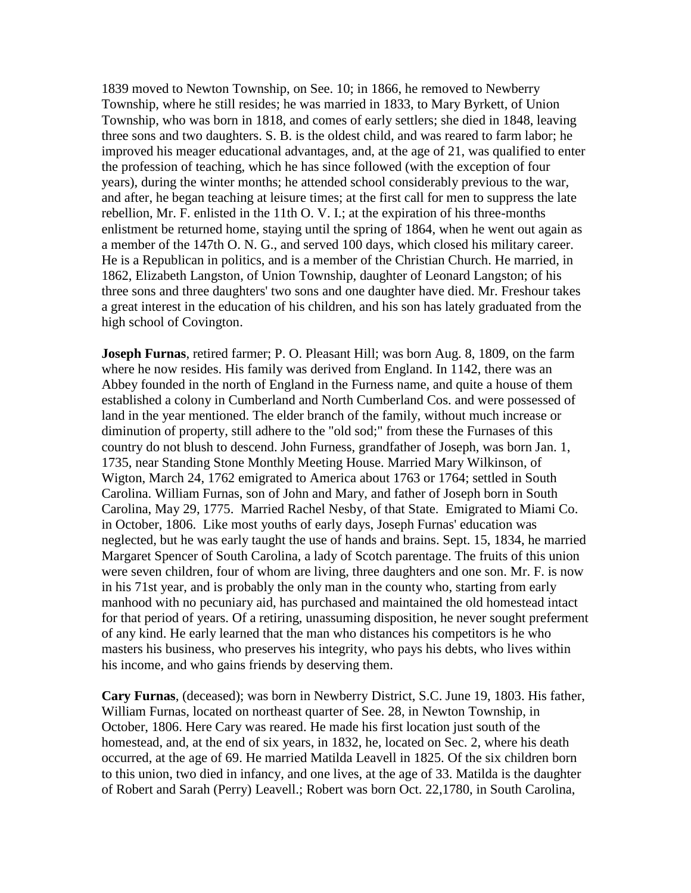1839 moved to Newton Township, on See. 10; in 1866, he removed to Newberry Township, where he still resides; he was married in 1833, to Mary Byrkett, of Union Township, who was born in 1818, and comes of early settlers; she died in 1848, leaving three sons and two daughters. S. B. is the oldest child, and was reared to farm labor; he improved his meager educational advantages, and, at the age of 21, was qualified to enter the profession of teaching, which he has since followed (with the exception of four years), during the winter months; he attended school considerably previous to the war, and after, he began teaching at leisure times; at the first call for men to suppress the late rebellion, Mr. F. enlisted in the 11th O. V. I.; at the expiration of his three-months enlistment be returned home, staying until the spring of 1864, when he went out again as a member of the 147th O. N. G., and served 100 days, which closed his military career. He is a Republican in politics, and is a member of the Christian Church. He married, in 1862, Elizabeth Langston, of Union Township, daughter of Leonard Langston; of his three sons and three daughters' two sons and one daughter have died. Mr. Freshour takes a great interest in the education of his children, and his son has lately graduated from the high school of Covington.

**Joseph Furnas**, retired farmer; P. O. Pleasant Hill; was born Aug. 8, 1809, on the farm where he now resides. His family was derived from England. In 1142, there was an Abbey founded in the north of England in the Furness name, and quite a house of them established a colony in Cumberland and North Cumberland Cos. and were possessed of land in the year mentioned. The elder branch of the family, without much increase or diminution of property, still adhere to the "old sod;" from these the Furnases of this country do not blush to descend. John Furness, grandfather of Joseph, was born Jan. 1, 1735, near Standing Stone Monthly Meeting House. Married Mary Wilkinson, of Wigton, March 24, 1762 emigrated to America about 1763 or 1764; settled in South Carolina. William Furnas, son of John and Mary, and father of Joseph born in South Carolina, May 29, 1775. Married Rachel Nesby, of that State. Emigrated to Miami Co. in October, 1806. Like most youths of early days, Joseph Furnas' education was neglected, but he was early taught the use of hands and brains. Sept. 15, 1834, he married Margaret Spencer of South Carolina, a lady of Scotch parentage. The fruits of this union were seven children, four of whom are living, three daughters and one son. Mr. F. is now in his 71st year, and is probably the only man in the county who, starting from early manhood with no pecuniary aid, has purchased and maintained the old homestead intact for that period of years. Of a retiring, unassuming disposition, he never sought preferment of any kind. He early learned that the man who distances his competitors is he who masters his business, who preserves his integrity, who pays his debts, who lives within his income, and who gains friends by deserving them.

**Cary Furnas**, (deceased); was born in Newberry District, S.C. June 19, 1803. His father, William Furnas, located on northeast quarter of See. 28, in Newton Township, in October, 1806. Here Cary was reared. He made his first location just south of the homestead, and, at the end of six years, in 1832, he, located on Sec. 2, where his death occurred, at the age of 69. He married Matilda Leavell in 1825. Of the six children born to this union, two died in infancy, and one lives, at the age of 33. Matilda is the daughter of Robert and Sarah (Perry) Leavell.; Robert was born Oct. 22,1780, in South Carolina,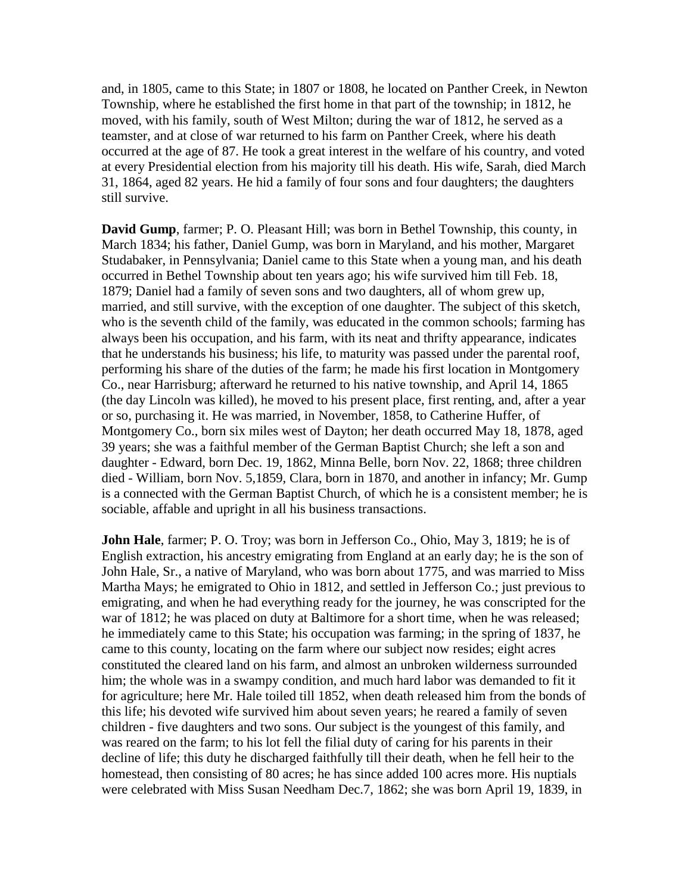and, in 1805, came to this State; in 1807 or 1808, he located on Panther Creek, in Newton Township, where he established the first home in that part of the township; in 1812, he moved, with his family, south of West Milton; during the war of 1812, he served as a teamster, and at close of war returned to his farm on Panther Creek, where his death occurred at the age of 87. He took a great interest in the welfare of his country, and voted at every Presidential election from his majority till his death. His wife, Sarah, died March 31, 1864, aged 82 years. He hid a family of four sons and four daughters; the daughters still survive.

**David Gump**, farmer; P. O. Pleasant Hill; was born in Bethel Township, this county, in March 1834; his father, Daniel Gump, was born in Maryland, and his mother, Margaret Studabaker, in Pennsylvania; Daniel came to this State when a young man, and his death occurred in Bethel Township about ten years ago; his wife survived him till Feb. 18, 1879; Daniel had a family of seven sons and two daughters, all of whom grew up, married, and still survive, with the exception of one daughter. The subject of this sketch, who is the seventh child of the family, was educated in the common schools; farming has always been his occupation, and his farm, with its neat and thrifty appearance, indicates that he understands his business; his life, to maturity was passed under the parental roof, performing his share of the duties of the farm; he made his first location in Montgomery Co., near Harrisburg; afterward he returned to his native township, and April 14, 1865 (the day Lincoln was killed), he moved to his present place, first renting, and, after a year or so, purchasing it. He was married, in November, 1858, to Catherine Huffer, of Montgomery Co., born six miles west of Dayton; her death occurred May 18, 1878, aged 39 years; she was a faithful member of the German Baptist Church; she left a son and daughter - Edward, born Dec. 19, 1862, Minna Belle, born Nov. 22, 1868; three children died - William, born Nov. 5,1859, Clara, born in 1870, and another in infancy; Mr. Gump is a connected with the German Baptist Church, of which he is a consistent member; he is sociable, affable and upright in all his business transactions.

**John Hale**, farmer; P. O. Troy; was born in Jefferson Co., Ohio, May 3, 1819; he is of English extraction, his ancestry emigrating from England at an early day; he is the son of John Hale, Sr., a native of Maryland, who was born about 1775, and was married to Miss Martha Mays; he emigrated to Ohio in 1812, and settled in Jefferson Co.; just previous to emigrating, and when he had everything ready for the journey, he was conscripted for the war of 1812; he was placed on duty at Baltimore for a short time, when he was released; he immediately came to this State; his occupation was farming; in the spring of 1837, he came to this county, locating on the farm where our subject now resides; eight acres constituted the cleared land on his farm, and almost an unbroken wilderness surrounded him; the whole was in a swampy condition, and much hard labor was demanded to fit it for agriculture; here Mr. Hale toiled till 1852, when death released him from the bonds of this life; his devoted wife survived him about seven years; he reared a family of seven children - five daughters and two sons. Our subject is the youngest of this family, and was reared on the farm; to his lot fell the filial duty of caring for his parents in their decline of life; this duty he discharged faithfully till their death, when he fell heir to the homestead, then consisting of 80 acres; he has since added 100 acres more. His nuptials were celebrated with Miss Susan Needham Dec.7, 1862; she was born April 19, 1839, in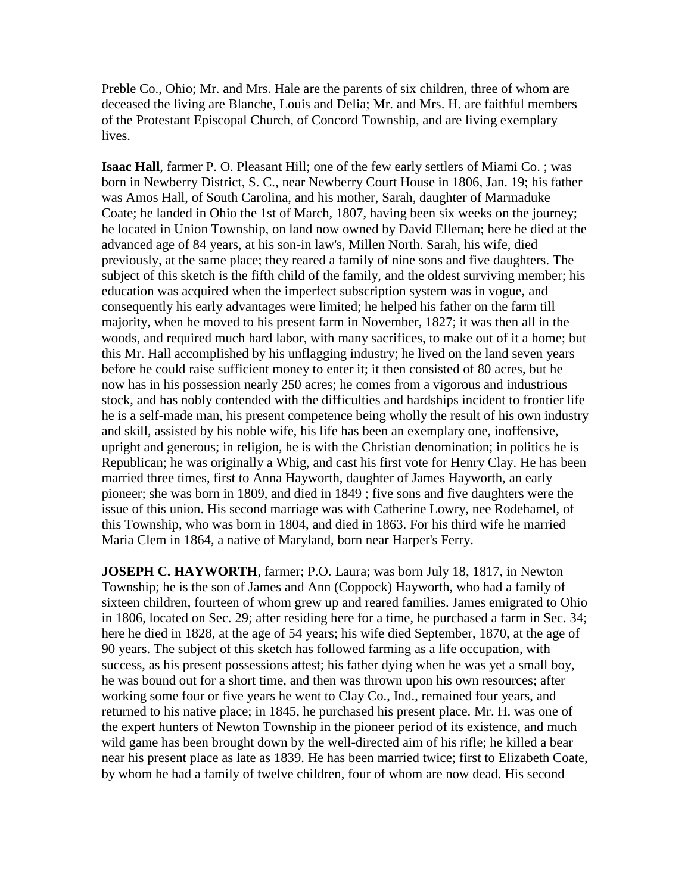Preble Co., Ohio; Mr. and Mrs. Hale are the parents of six children, three of whom are deceased the living are Blanche, Louis and Delia; Mr. and Mrs. H. are faithful members of the Protestant Episcopal Church, of Concord Township, and are living exemplary lives.

**Isaac Hall**, farmer P. O. Pleasant Hill; one of the few early settlers of Miami Co.; was born in Newberry District, S. C., near Newberry Court House in 1806, Jan. 19; his father was Amos Hall, of South Carolina, and his mother, Sarah, daughter of Marmaduke Coate; he landed in Ohio the 1st of March, 1807, having been six weeks on the journey; he located in Union Township, on land now owned by David Elleman; here he died at the advanced age of 84 years, at his son-in law's, Millen North. Sarah, his wife, died previously, at the same place; they reared a family of nine sons and five daughters. The subject of this sketch is the fifth child of the family, and the oldest surviving member; his education was acquired when the imperfect subscription system was in vogue, and consequently his early advantages were limited; he helped his father on the farm till majority, when he moved to his present farm in November, 1827; it was then all in the woods, and required much hard labor, with many sacrifices, to make out of it a home; but this Mr. Hall accomplished by his unflagging industry; he lived on the land seven years before he could raise sufficient money to enter it; it then consisted of 80 acres, but he now has in his possession nearly 250 acres; he comes from a vigorous and industrious stock, and has nobly contended with the difficulties and hardships incident to frontier life he is a self-made man, his present competence being wholly the result of his own industry and skill, assisted by his noble wife, his life has been an exemplary one, inoffensive, upright and generous; in religion, he is with the Christian denomination; in politics he is Republican; he was originally a Whig, and cast his first vote for Henry Clay. He has been married three times, first to Anna Hayworth, daughter of James Hayworth, an early pioneer; she was born in 1809, and died in 1849 ; five sons and five daughters were the issue of this union. His second marriage was with Catherine Lowry, nee Rodehamel, of this Township, who was born in 1804, and died in 1863. For his third wife he married Maria Clem in 1864, a native of Maryland, born near Harper's Ferry.

**JOSEPH C. HAYWORTH**, farmer; P.O. Laura; was born July 18, 1817, in Newton Township; he is the son of James and Ann (Coppock) Hayworth, who had a family of sixteen children, fourteen of whom grew up and reared families. James emigrated to Ohio in 1806, located on Sec. 29; after residing here for a time, he purchased a farm in Sec. 34; here he died in 1828, at the age of 54 years; his wife died September, 1870, at the age of 90 years. The subject of this sketch has followed farming as a life occupation, with success, as his present possessions attest; his father dying when he was yet a small boy, he was bound out for a short time, and then was thrown upon his own resources; after working some four or five years he went to Clay Co., Ind., remained four years, and returned to his native place; in 1845, he purchased his present place. Mr. H. was one of the expert hunters of Newton Township in the pioneer period of its existence, and much wild game has been brought down by the well-directed aim of his rifle; he killed a bear near his present place as late as 1839. He has been married twice; first to Elizabeth Coate, by whom he had a family of twelve children, four of whom are now dead. His second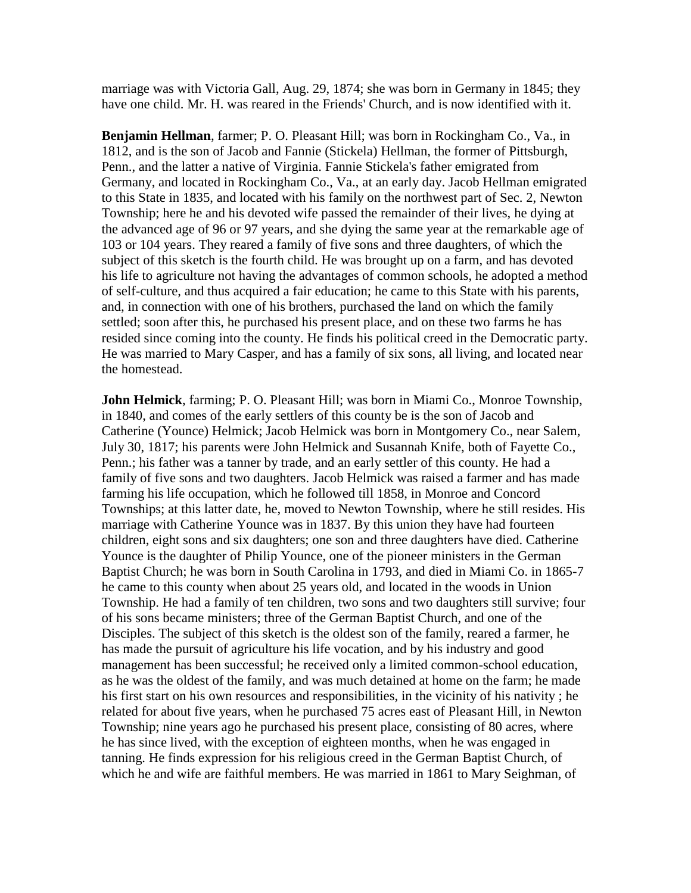marriage was with Victoria Gall, Aug. 29, 1874; she was born in Germany in 1845; they have one child. Mr. H. was reared in the Friends' Church, and is now identified with it.

**Benjamin Hellman**, farmer; P. O. Pleasant Hill; was born in Rockingham Co., Va., in 1812, and is the son of Jacob and Fannie (Stickela) Hellman, the former of Pittsburgh, Penn., and the latter a native of Virginia. Fannie Stickela's father emigrated from Germany, and located in Rockingham Co., Va., at an early day. Jacob Hellman emigrated to this State in 1835, and located with his family on the northwest part of Sec. 2, Newton Township; here he and his devoted wife passed the remainder of their lives, he dying at the advanced age of 96 or 97 years, and she dying the same year at the remarkable age of 103 or 104 years. They reared a family of five sons and three daughters, of which the subject of this sketch is the fourth child. He was brought up on a farm, and has devoted his life to agriculture not having the advantages of common schools, he adopted a method of self-culture, and thus acquired a fair education; he came to this State with his parents, and, in connection with one of his brothers, purchased the land on which the family settled; soon after this, he purchased his present place, and on these two farms he has resided since coming into the county. He finds his political creed in the Democratic party. He was married to Mary Casper, and has a family of six sons, all living, and located near the homestead.

**John Helmick**, farming; P. O. Pleasant Hill; was born in Miami Co., Monroe Township, in 1840, and comes of the early settlers of this county be is the son of Jacob and Catherine (Younce) Helmick; Jacob Helmick was born in Montgomery Co., near Salem, July 30, 1817; his parents were John Helmick and Susannah Knife, both of Fayette Co., Penn.; his father was a tanner by trade, and an early settler of this county. He had a family of five sons and two daughters. Jacob Helmick was raised a farmer and has made farming his life occupation, which he followed till 1858, in Monroe and Concord Townships; at this latter date, he, moved to Newton Township, where he still resides. His marriage with Catherine Younce was in 1837. By this union they have had fourteen children, eight sons and six daughters; one son and three daughters have died. Catherine Younce is the daughter of Philip Younce, one of the pioneer ministers in the German Baptist Church; he was born in South Carolina in 1793, and died in Miami Co. in 1865-7 he came to this county when about 25 years old, and located in the woods in Union Township. He had a family of ten children, two sons and two daughters still survive; four of his sons became ministers; three of the German Baptist Church, and one of the Disciples. The subject of this sketch is the oldest son of the family, reared a farmer, he has made the pursuit of agriculture his life vocation, and by his industry and good management has been successful; he received only a limited common-school education, as he was the oldest of the family, and was much detained at home on the farm; he made his first start on his own resources and responsibilities, in the vicinity of his nativity ; he related for about five years, when he purchased 75 acres east of Pleasant Hill, in Newton Township; nine years ago he purchased his present place, consisting of 80 acres, where he has since lived, with the exception of eighteen months, when he was engaged in tanning. He finds expression for his religious creed in the German Baptist Church, of which he and wife are faithful members. He was married in 1861 to Mary Seighman, of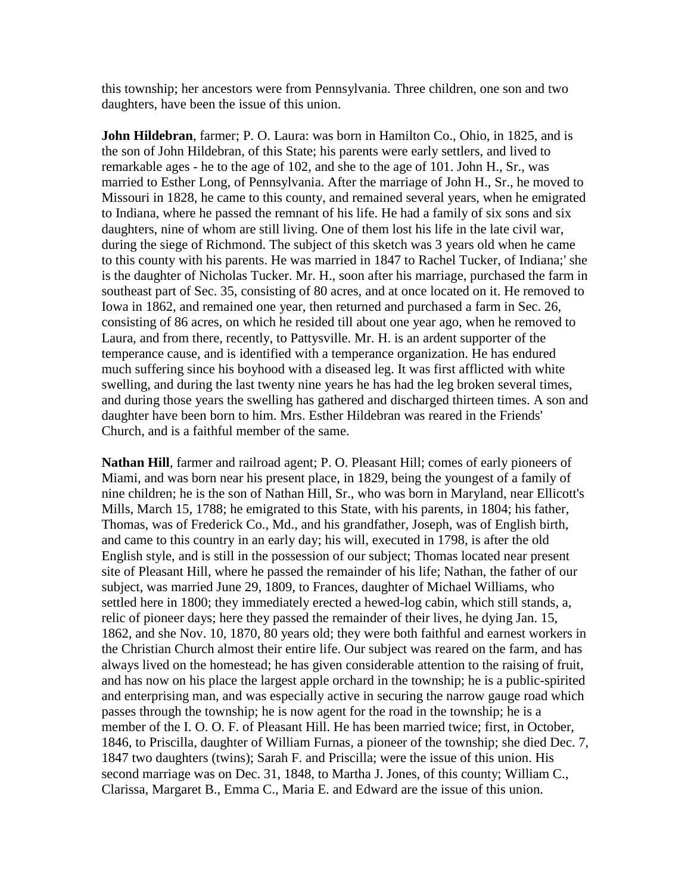this township; her ancestors were from Pennsylvania. Three children, one son and two daughters, have been the issue of this union.

**John Hildebran**, farmer; P. O. Laura: was born in Hamilton Co., Ohio, in 1825, and is the son of John Hildebran, of this State; his parents were early settlers, and lived to remarkable ages - he to the age of 102, and she to the age of 101. John H., Sr., was married to Esther Long, of Pennsylvania. After the marriage of John H., Sr., he moved to Missouri in 1828, he came to this county, and remained several years, when he emigrated to Indiana, where he passed the remnant of his life. He had a family of six sons and six daughters, nine of whom are still living. One of them lost his life in the late civil war, during the siege of Richmond. The subject of this sketch was 3 years old when he came to this county with his parents. He was married in 1847 to Rachel Tucker, of Indiana;' she is the daughter of Nicholas Tucker. Mr. H., soon after his marriage, purchased the farm in southeast part of Sec. 35, consisting of 80 acres, and at once located on it. He removed to Iowa in 1862, and remained one year, then returned and purchased a farm in Sec. 26, consisting of 86 acres, on which he resided till about one year ago, when he removed to Laura, and from there, recently, to Pattysville. Mr. H. is an ardent supporter of the temperance cause, and is identified with a temperance organization. He has endured much suffering since his boyhood with a diseased leg. It was first afflicted with white swelling, and during the last twenty nine years he has had the leg broken several times, and during those years the swelling has gathered and discharged thirteen times. A son and daughter have been born to him. Mrs. Esther Hildebran was reared in the Friends' Church, and is a faithful member of the same.

**Nathan Hill**, farmer and railroad agent; P. O. Pleasant Hill; comes of early pioneers of Miami, and was born near his present place, in 1829, being the youngest of a family of nine children; he is the son of Nathan Hill, Sr., who was born in Maryland, near Ellicott's Mills, March 15, 1788; he emigrated to this State, with his parents, in 1804; his father, Thomas, was of Frederick Co., Md., and his grandfather, Joseph, was of English birth, and came to this country in an early day; his will, executed in 1798, is after the old English style, and is still in the possession of our subject; Thomas located near present site of Pleasant Hill, where he passed the remainder of his life; Nathan, the father of our subject, was married June 29, 1809, to Frances, daughter of Michael Williams, who settled here in 1800; they immediately erected a hewed-log cabin, which still stands, a, relic of pioneer days; here they passed the remainder of their lives, he dying Jan. 15, 1862, and she Nov. 10, 1870, 80 years old; they were both faithful and earnest workers in the Christian Church almost their entire life. Our subject was reared on the farm, and has always lived on the homestead; he has given considerable attention to the raising of fruit, and has now on his place the largest apple orchard in the township; he is a public-spirited and enterprising man, and was especially active in securing the narrow gauge road which passes through the township; he is now agent for the road in the township; he is a member of the I. O. O. F. of Pleasant Hill. He has been married twice; first, in October, 1846, to Priscilla, daughter of William Furnas, a pioneer of the township; she died Dec. 7, 1847 two daughters (twins); Sarah F. and Priscilla; were the issue of this union. His second marriage was on Dec. 31, 1848, to Martha J. Jones, of this county; William C., Clarissa, Margaret B., Emma C., Maria E. and Edward are the issue of this union.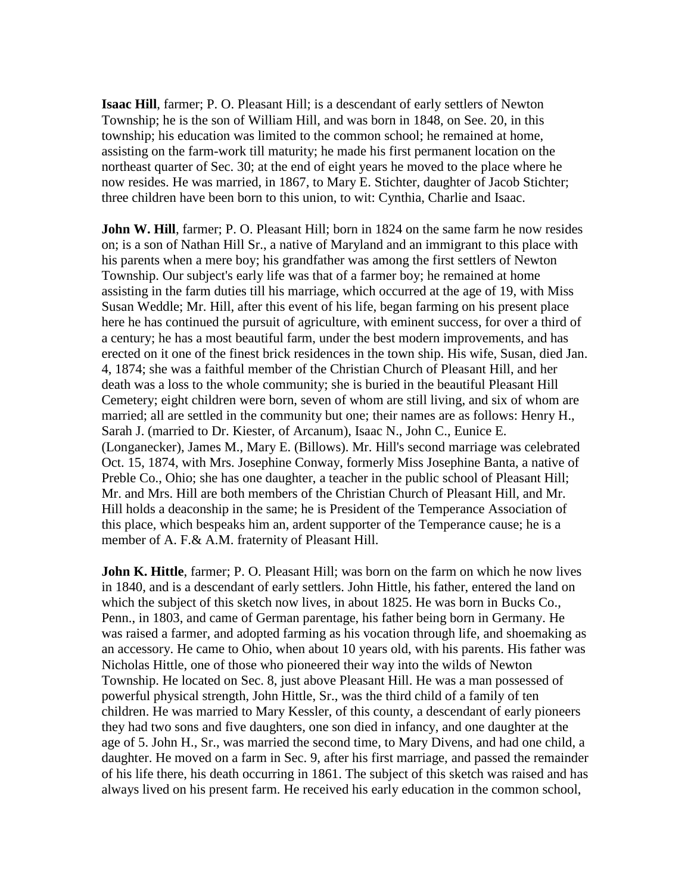**Isaac Hill**, farmer; P. O. Pleasant Hill; is a descendant of early settlers of Newton Township; he is the son of William Hill, and was born in 1848, on See. 20, in this township; his education was limited to the common school; he remained at home, assisting on the farm-work till maturity; he made his first permanent location on the northeast quarter of Sec. 30; at the end of eight years he moved to the place where he now resides. He was married, in 1867, to Mary E. Stichter, daughter of Jacob Stichter; three children have been born to this union, to wit: Cynthia, Charlie and Isaac.

**John W. Hill**, farmer; P. O. Pleasant Hill; born in 1824 on the same farm he now resides on; is a son of Nathan Hill Sr., a native of Maryland and an immigrant to this place with his parents when a mere boy; his grandfather was among the first settlers of Newton Township. Our subject's early life was that of a farmer boy; he remained at home assisting in the farm duties till his marriage, which occurred at the age of 19, with Miss Susan Weddle; Mr. Hill, after this event of his life, began farming on his present place here he has continued the pursuit of agriculture, with eminent success, for over a third of a century; he has a most beautiful farm, under the best modern improvements, and has erected on it one of the finest brick residences in the town ship. His wife, Susan, died Jan. 4, 1874; she was a faithful member of the Christian Church of Pleasant Hill, and her death was a loss to the whole community; she is buried in the beautiful Pleasant Hill Cemetery; eight children were born, seven of whom are still living, and six of whom are married; all are settled in the community but one; their names are as follows: Henry H., Sarah J. (married to Dr. Kiester, of Arcanum), Isaac N., John C., Eunice E. (Longanecker), James M., Mary E. (Billows). Mr. Hill's second marriage was celebrated Oct. 15, 1874, with Mrs. Josephine Conway, formerly Miss Josephine Banta, a native of Preble Co., Ohio; she has one daughter, a teacher in the public school of Pleasant Hill; Mr. and Mrs. Hill are both members of the Christian Church of Pleasant Hill, and Mr. Hill holds a deaconship in the same; he is President of the Temperance Association of this place, which bespeaks him an, ardent supporter of the Temperance cause; he is a member of A. F.& A.M. fraternity of Pleasant Hill.

**John K. Hittle**, farmer; P. O. Pleasant Hill; was born on the farm on which he now lives in 1840, and is a descendant of early settlers. John Hittle, his father, entered the land on which the subject of this sketch now lives, in about 1825. He was born in Bucks Co., Penn., in 1803, and came of German parentage, his father being born in Germany. He was raised a farmer, and adopted farming as his vocation through life, and shoemaking as an accessory. He came to Ohio, when about 10 years old, with his parents. His father was Nicholas Hittle, one of those who pioneered their way into the wilds of Newton Township. He located on Sec. 8, just above Pleasant Hill. He was a man possessed of powerful physical strength, John Hittle, Sr., was the third child of a family of ten children. He was married to Mary Kessler, of this county, a descendant of early pioneers they had two sons and five daughters, one son died in infancy, and one daughter at the age of 5. John H., Sr., was married the second time, to Mary Divens, and had one child, a daughter. He moved on a farm in Sec. 9, after his first marriage, and passed the remainder of his life there, his death occurring in 1861. The subject of this sketch was raised and has always lived on his present farm. He received his early education in the common school,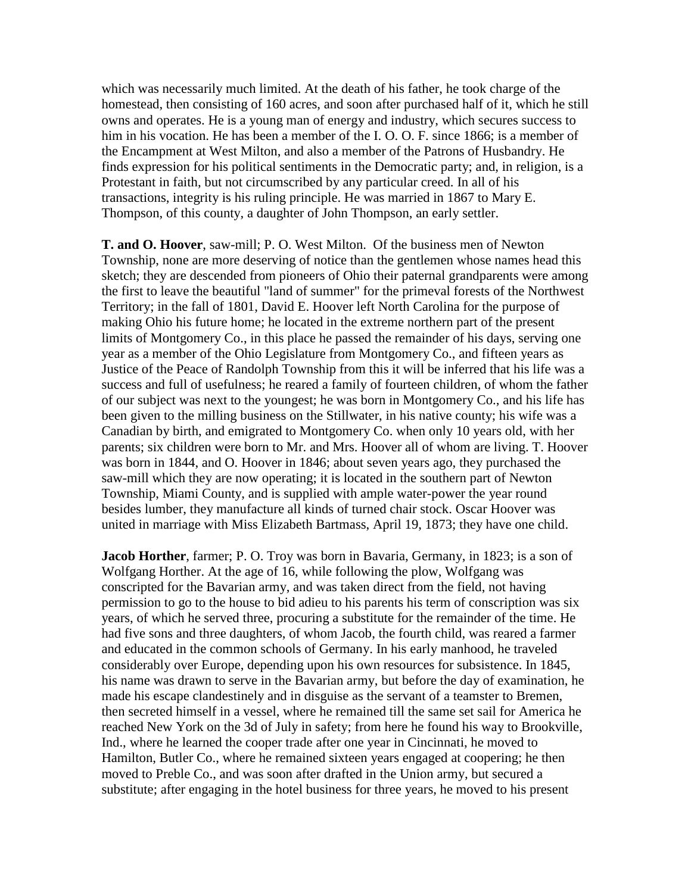which was necessarily much limited. At the death of his father, he took charge of the homestead, then consisting of 160 acres, and soon after purchased half of it, which he still owns and operates. He is a young man of energy and industry, which secures success to him in his vocation. He has been a member of the I. O. O. F. since 1866; is a member of the Encampment at West Milton, and also a member of the Patrons of Husbandry. He finds expression for his political sentiments in the Democratic party; and, in religion, is a Protestant in faith, but not circumscribed by any particular creed. In all of his transactions, integrity is his ruling principle. He was married in 1867 to Mary E. Thompson, of this county, a daughter of John Thompson, an early settler.

**T. and O. Hoover**, saw-mill; P. O. West Milton. Of the business men of Newton Township, none are more deserving of notice than the gentlemen whose names head this sketch; they are descended from pioneers of Ohio their paternal grandparents were among the first to leave the beautiful "land of summer" for the primeval forests of the Northwest Territory; in the fall of 1801, David E. Hoover left North Carolina for the purpose of making Ohio his future home; he located in the extreme northern part of the present limits of Montgomery Co., in this place he passed the remainder of his days, serving one year as a member of the Ohio Legislature from Montgomery Co., and fifteen years as Justice of the Peace of Randolph Township from this it will be inferred that his life was a success and full of usefulness; he reared a family of fourteen children, of whom the father of our subject was next to the youngest; he was born in Montgomery Co., and his life has been given to the milling business on the Stillwater, in his native county; his wife was a Canadian by birth, and emigrated to Montgomery Co. when only 10 years old, with her parents; six children were born to Mr. and Mrs. Hoover all of whom are living. T. Hoover was born in 1844, and O. Hoover in 1846; about seven years ago, they purchased the saw-mill which they are now operating; it is located in the southern part of Newton Township, Miami County, and is supplied with ample water-power the year round besides lumber, they manufacture all kinds of turned chair stock. Oscar Hoover was united in marriage with Miss Elizabeth Bartmass, April 19, 1873; they have one child.

**Jacob Horther**, farmer; P. O. Troy was born in Bavaria, Germany, in 1823; is a son of Wolfgang Horther. At the age of 16, while following the plow, Wolfgang was conscripted for the Bavarian army, and was taken direct from the field, not having permission to go to the house to bid adieu to his parents his term of conscription was six years, of which he served three, procuring a substitute for the remainder of the time. He had five sons and three daughters, of whom Jacob, the fourth child, was reared a farmer and educated in the common schools of Germany. In his early manhood, he traveled considerably over Europe, depending upon his own resources for subsistence. In 1845, his name was drawn to serve in the Bavarian army, but before the day of examination, he made his escape clandestinely and in disguise as the servant of a teamster to Bremen, then secreted himself in a vessel, where he remained till the same set sail for America he reached New York on the 3d of July in safety; from here he found his way to Brookville, Ind., where he learned the cooper trade after one year in Cincinnati, he moved to Hamilton, Butler Co., where he remained sixteen years engaged at coopering; he then moved to Preble Co., and was soon after drafted in the Union army, but secured a substitute; after engaging in the hotel business for three years, he moved to his present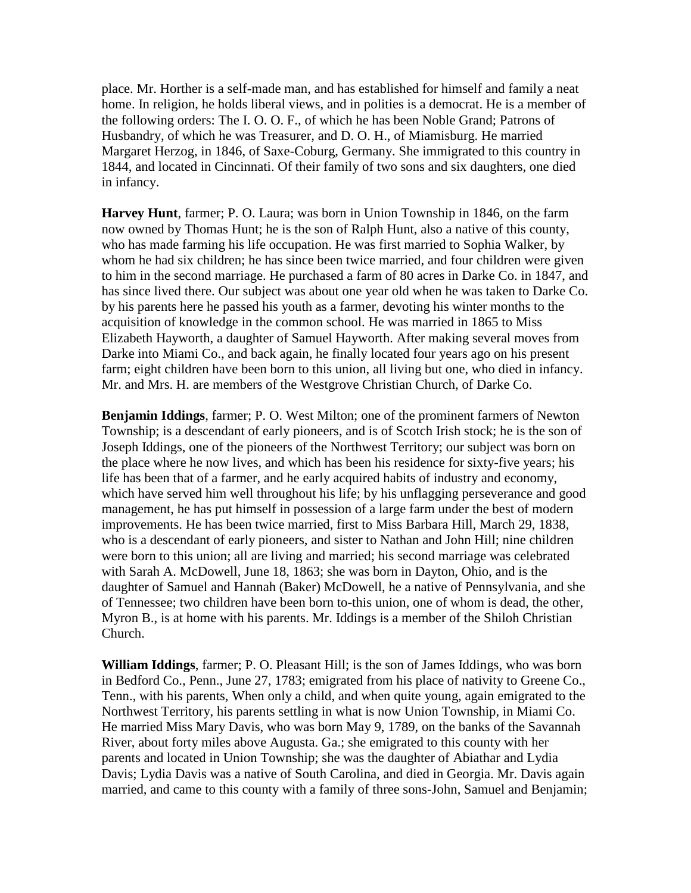place. Mr. Horther is a self-made man, and has established for himself and family a neat home. In religion, he holds liberal views, and in polities is a democrat. He is a member of the following orders: The I. O. O. F., of which he has been Noble Grand; Patrons of Husbandry, of which he was Treasurer, and D. O. H., of Miamisburg. He married Margaret Herzog, in 1846, of Saxe-Coburg, Germany. She immigrated to this country in 1844, and located in Cincinnati. Of their family of two sons and six daughters, one died in infancy.

**Harvey Hunt**, farmer; P. O. Laura; was born in Union Township in 1846, on the farm now owned by Thomas Hunt; he is the son of Ralph Hunt, also a native of this county, who has made farming his life occupation. He was first married to Sophia Walker, by whom he had six children; he has since been twice married, and four children were given to him in the second marriage. He purchased a farm of 80 acres in Darke Co. in 1847, and has since lived there. Our subject was about one year old when he was taken to Darke Co. by his parents here he passed his youth as a farmer, devoting his winter months to the acquisition of knowledge in the common school. He was married in 1865 to Miss Elizabeth Hayworth, a daughter of Samuel Hayworth. After making several moves from Darke into Miami Co., and back again, he finally located four years ago on his present farm; eight children have been born to this union, all living but one, who died in infancy. Mr. and Mrs. H. are members of the Westgrove Christian Church, of Darke Co.

**Benjamin Iddings**, farmer; P. O. West Milton; one of the prominent farmers of Newton Township; is a descendant of early pioneers, and is of Scotch Irish stock; he is the son of Joseph Iddings, one of the pioneers of the Northwest Territory; our subject was born on the place where he now lives, and which has been his residence for sixty-five years; his life has been that of a farmer, and he early acquired habits of industry and economy, which have served him well throughout his life; by his unflagging perseverance and good management, he has put himself in possession of a large farm under the best of modern improvements. He has been twice married, first to Miss Barbara Hill, March 29, 1838, who is a descendant of early pioneers, and sister to Nathan and John Hill; nine children were born to this union; all are living and married; his second marriage was celebrated with Sarah A. McDowell, June 18, 1863; she was born in Dayton, Ohio, and is the daughter of Samuel and Hannah (Baker) McDowell, he a native of Pennsylvania, and she of Tennessee; two children have been born to-this union, one of whom is dead, the other, Myron B., is at home with his parents. Mr. Iddings is a member of the Shiloh Christian Church.

**William Iddings**, farmer; P. O. Pleasant Hill; is the son of James Iddings, who was born in Bedford Co., Penn., June 27, 1783; emigrated from his place of nativity to Greene Co., Tenn., with his parents, When only a child, and when quite young, again emigrated to the Northwest Territory, his parents settling in what is now Union Township, in Miami Co. He married Miss Mary Davis, who was born May 9, 1789, on the banks of the Savannah River, about forty miles above Augusta. Ga.; she emigrated to this county with her parents and located in Union Township; she was the daughter of Abiathar and Lydia Davis; Lydia Davis was a native of South Carolina, and died in Georgia. Mr. Davis again married, and came to this county with a family of three sons-John, Samuel and Benjamin;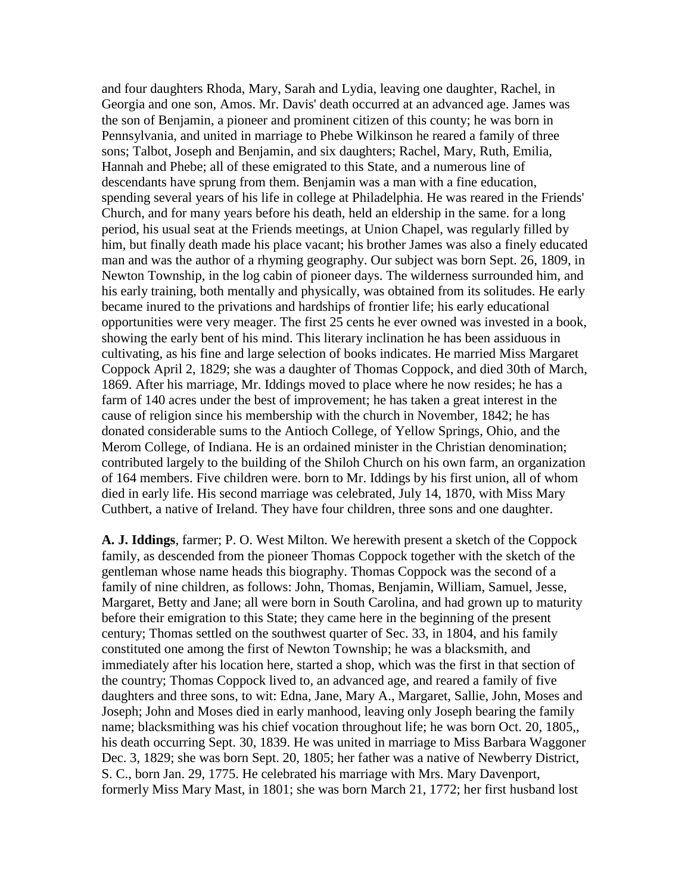and four daughters Rhoda, Mary, Sarah and Lydia, leaving one daughter, Rachel, in Georgia and one son, Amos. Mr. Davis' death occurred at an advanced age. James was the son of Benjamin, a pioneer and prominent citizen of this county; he was born in Pennsylvania, and united in marriage to Phebe Wilkinson he reared a family of three sons; Talbot, Joseph and Benjamin, and six daughters; Rachel, Mary, Ruth, Emilia, Hannah and Phebe; all of these emigrated to this State, and a numerous line of descendants have sprung from them. Benjamin was a man with a fine education, spending several years of his life in college at Philadelphia. He was reared in the Friends' Church, and for many years before his death, held an eldership in the same. for a long period, his usual seat at the Friends meetings, at Union Chapel, was regularly filled by him, but finally death made his place vacant; his brother James was also a finely educated man and was the author of a rhyming geography. Our subject was born Sept. 26, 1809, in Newton Township, in the log cabin of pioneer days. The wilderness surrounded him, and his early training, both mentally and physically, was obtained from its solitudes. He early became inured to the privations and hardships of frontier life; his early educational opportunities were very meager. The first 25 cents he ever owned was invested in a book, showing the early bent of his mind. This literary inclination he has been assiduous in cultivating, as his fine and large selection of books indicates. He married Miss Margaret Coppock April 2, 1829; she was a daughter of Thomas Coppock, and died 30th of March, 1869. After his marriage, Mr. Iddings moved to place where he now resides; he has a farm of 140 acres under the best of improvement; he has taken a great interest in the cause of religion since his membership with the church in November, 1842; he has donated considerable sums to the Antioch College, of Yellow Springs, Ohio, and the Merom College, of Indiana. He is an ordained minister in the Christian denomination; contributed largely to the building of the Shiloh Church on his own farm, an organization of 164 members. Five children were. born to Mr. Iddings by his first union, all of whom died in early life. His second marriage was celebrated, July 14, 1870, with Miss Mary Cuthbert, a native of Ireland. They have four children, three sons and one daughter.

**A. J. Iddings**, farmer; P. O. West Milton. We herewith present a sketch of the Coppock family, as descended from the pioneer Thomas Coppock together with the sketch of the gentleman whose name heads this biography. Thomas Coppock was the second of a family of nine children, as follows: John, Thomas, Benjamin, William, Samuel, Jesse, Margaret, Betty and Jane; all were born in South Carolina, and had grown up to maturity before their emigration to this State; they came here in the beginning of the present century; Thomas settled on the southwest quarter of Sec. 33, in 1804, and his family constituted one among the first of Newton Township; he was a blacksmith, and immediately after his location here, started a shop, which was the first in that section of the country; Thomas Coppock lived to, an advanced age, and reared a family of five daughters and three sons, to wit: Edna, Jane, Mary A., Margaret, Sallie, John, Moses and Joseph; John and Moses died in early manhood, leaving only Joseph bearing the family name; blacksmithing was his chief vocation throughout life; he was born Oct. 20, 1805,, his death occurring Sept. 30, 1839. He was united in marriage to Miss Barbara Waggoner Dec. 3, 1829; she was born Sept. 20, 1805; her father was a native of Newberry District, S. C., born Jan. 29, 1775. He celebrated his marriage with Mrs. Mary Davenport, formerly Miss Mary Mast, in 1801; she was born March 21, 1772; her first husband lost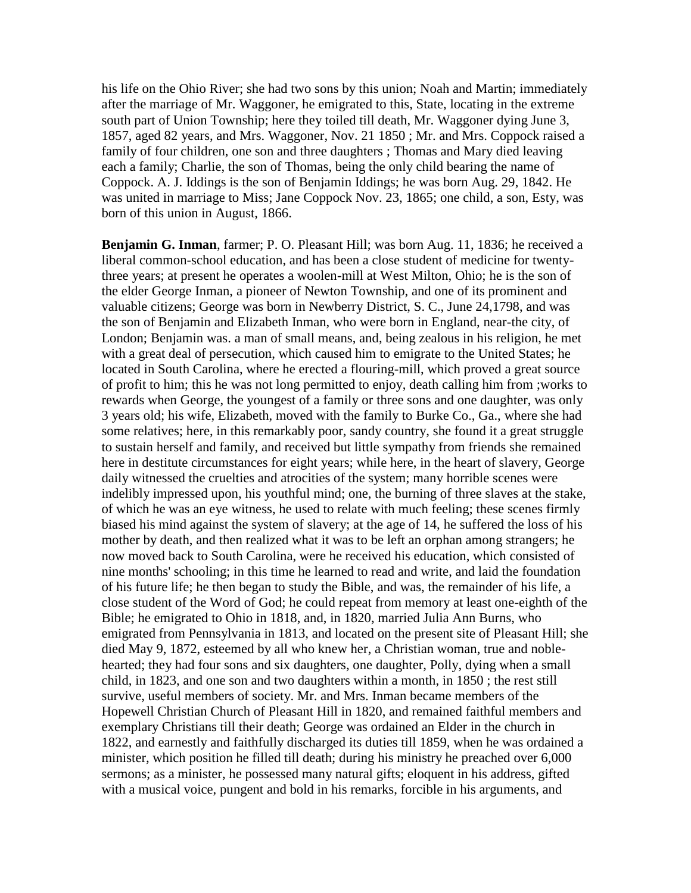his life on the Ohio River; she had two sons by this union; Noah and Martin; immediately after the marriage of Mr. Waggoner, he emigrated to this, State, locating in the extreme south part of Union Township; here they toiled till death, Mr. Waggoner dying June 3, 1857, aged 82 years, and Mrs. Waggoner, Nov. 21 1850 ; Mr. and Mrs. Coppock raised a family of four children, one son and three daughters ; Thomas and Mary died leaving each a family; Charlie, the son of Thomas, being the only child bearing the name of Coppock. A. J. Iddings is the son of Benjamin Iddings; he was born Aug. 29, 1842. He was united in marriage to Miss; Jane Coppock Nov. 23, 1865; one child, a son, Esty, was born of this union in August, 1866.

**Benjamin G. Inman**, farmer; P. O. Pleasant Hill; was born Aug. 11, 1836; he received a liberal common-school education, and has been a close student of medicine for twentythree years; at present he operates a woolen-mill at West Milton, Ohio; he is the son of the elder George Inman, a pioneer of Newton Township, and one of its prominent and valuable citizens; George was born in Newberry District, S. C., June 24,1798, and was the son of Benjamin and Elizabeth Inman, who were born in England, near-the city, of London; Benjamin was. a man of small means, and, being zealous in his religion, he met with a great deal of persecution, which caused him to emigrate to the United States; he located in South Carolina, where he erected a flouring-mill, which proved a great source of profit to him; this he was not long permitted to enjoy, death calling him from ;works to rewards when George, the youngest of a family or three sons and one daughter, was only 3 years old; his wife, Elizabeth, moved with the family to Burke Co., Ga., where she had some relatives; here, in this remarkably poor, sandy country, she found it a great struggle to sustain herself and family, and received but little sympathy from friends she remained here in destitute circumstances for eight years; while here, in the heart of slavery, George daily witnessed the cruelties and atrocities of the system; many horrible scenes were indelibly impressed upon, his youthful mind; one, the burning of three slaves at the stake, of which he was an eye witness, he used to relate with much feeling; these scenes firmly biased his mind against the system of slavery; at the age of 14, he suffered the loss of his mother by death, and then realized what it was to be left an orphan among strangers; he now moved back to South Carolina, were he received his education, which consisted of nine months' schooling; in this time he learned to read and write, and laid the foundation of his future life; he then began to study the Bible, and was, the remainder of his life, a close student of the Word of God; he could repeat from memory at least one-eighth of the Bible; he emigrated to Ohio in 1818, and, in 1820, married Julia Ann Burns, who emigrated from Pennsylvania in 1813, and located on the present site of Pleasant Hill; she died May 9, 1872, esteemed by all who knew her, a Christian woman, true and noblehearted; they had four sons and six daughters, one daughter, Polly, dying when a small child, in 1823, and one son and two daughters within a month, in 1850 ; the rest still survive, useful members of society. Mr. and Mrs. Inman became members of the Hopewell Christian Church of Pleasant Hill in 1820, and remained faithful members and exemplary Christians till their death; George was ordained an Elder in the church in 1822, and earnestly and faithfully discharged its duties till 1859, when he was ordained a minister, which position he filled till death; during his ministry he preached over 6,000 sermons; as a minister, he possessed many natural gifts; eloquent in his address, gifted with a musical voice, pungent and bold in his remarks, forcible in his arguments, and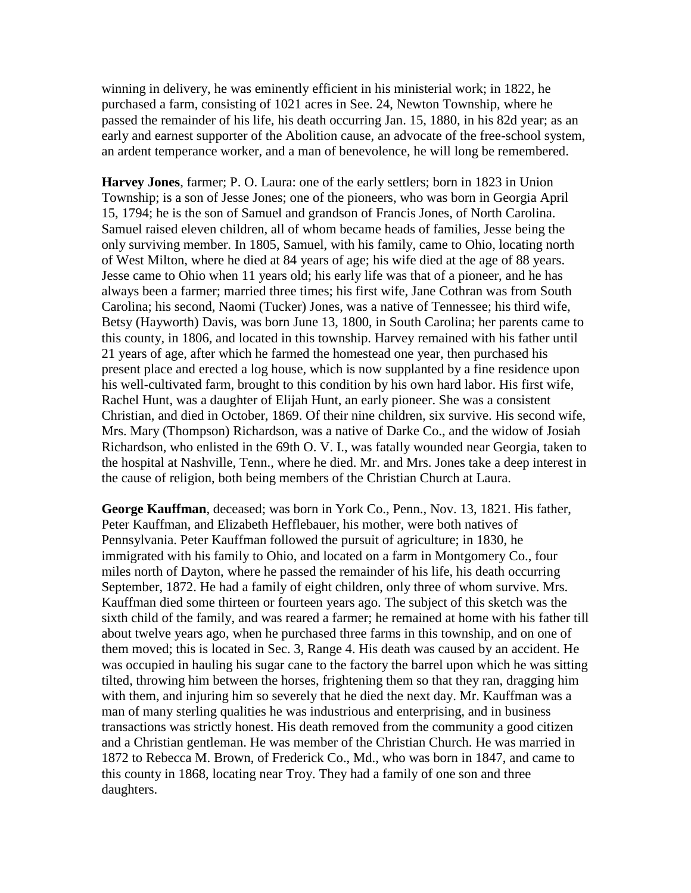winning in delivery, he was eminently efficient in his ministerial work; in 1822, he purchased a farm, consisting of 1021 acres in See. 24, Newton Township, where he passed the remainder of his life, his death occurring Jan. 15, 1880, in his 82d year; as an early and earnest supporter of the Abolition cause, an advocate of the free-school system, an ardent temperance worker, and a man of benevolence, he will long be remembered.

**Harvey Jones**, farmer; P. O. Laura: one of the early settlers; born in 1823 in Union Township; is a son of Jesse Jones; one of the pioneers, who was born in Georgia April 15, 1794; he is the son of Samuel and grandson of Francis Jones, of North Carolina. Samuel raised eleven children, all of whom became heads of families, Jesse being the only surviving member. In 1805, Samuel, with his family, came to Ohio, locating north of West Milton, where he died at 84 years of age; his wife died at the age of 88 years. Jesse came to Ohio when 11 years old; his early life was that of a pioneer, and he has always been a farmer; married three times; his first wife, Jane Cothran was from South Carolina; his second, Naomi (Tucker) Jones, was a native of Tennessee; his third wife, Betsy (Hayworth) Davis, was born June 13, 1800, in South Carolina; her parents came to this county, in 1806, and located in this township. Harvey remained with his father until 21 years of age, after which he farmed the homestead one year, then purchased his present place and erected a log house, which is now supplanted by a fine residence upon his well-cultivated farm, brought to this condition by his own hard labor. His first wife, Rachel Hunt, was a daughter of Elijah Hunt, an early pioneer. She was a consistent Christian, and died in October, 1869. Of their nine children, six survive. His second wife, Mrs. Mary (Thompson) Richardson, was a native of Darke Co., and the widow of Josiah Richardson, who enlisted in the 69th O. V. I., was fatally wounded near Georgia, taken to the hospital at Nashville, Tenn., where he died. Mr. and Mrs. Jones take a deep interest in the cause of religion, both being members of the Christian Church at Laura.

**George Kauffman**, deceased; was born in York Co., Penn., Nov. 13, 1821. His father, Peter Kauffman, and Elizabeth Hefflebauer, his mother, were both natives of Pennsylvania. Peter Kauffman followed the pursuit of agriculture; in 1830, he immigrated with his family to Ohio, and located on a farm in Montgomery Co., four miles north of Dayton, where he passed the remainder of his life, his death occurring September, 1872. He had a family of eight children, only three of whom survive. Mrs. Kauffman died some thirteen or fourteen years ago. The subject of this sketch was the sixth child of the family, and was reared a farmer; he remained at home with his father till about twelve years ago, when he purchased three farms in this township, and on one of them moved; this is located in Sec. 3, Range 4. His death was caused by an accident. He was occupied in hauling his sugar cane to the factory the barrel upon which he was sitting tilted, throwing him between the horses, frightening them so that they ran, dragging him with them, and injuring him so severely that he died the next day. Mr. Kauffman was a man of many sterling qualities he was industrious and enterprising, and in business transactions was strictly honest. His death removed from the community a good citizen and a Christian gentleman. He was member of the Christian Church. He was married in 1872 to Rebecca M. Brown, of Frederick Co., Md., who was born in 1847, and came to this county in 1868, locating near Troy. They had a family of one son and three daughters.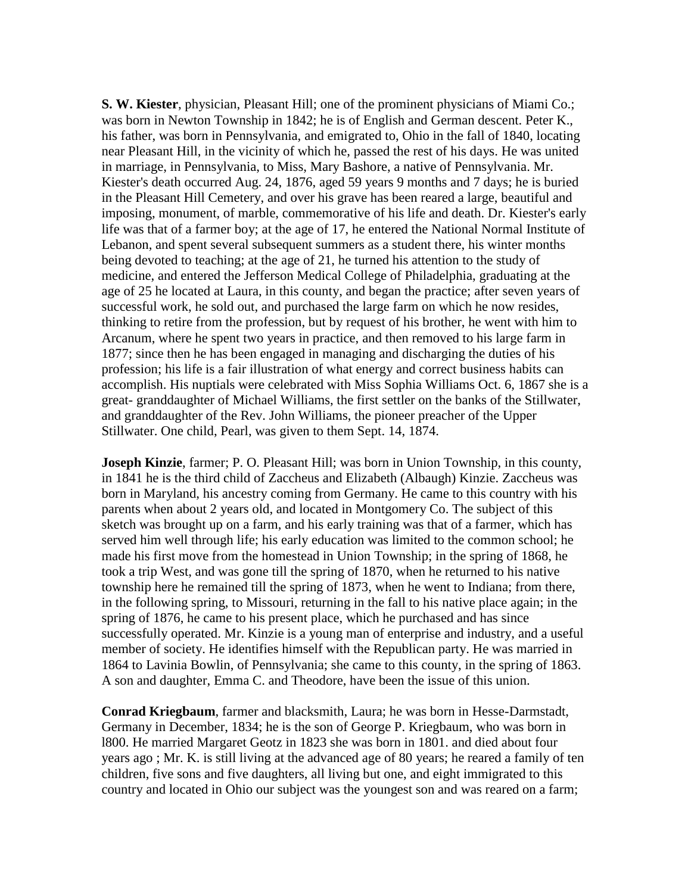**S. W. Kiester**, physician, Pleasant Hill; one of the prominent physicians of Miami Co.; was born in Newton Township in 1842; he is of English and German descent. Peter K., his father, was born in Pennsylvania, and emigrated to, Ohio in the fall of 1840, locating near Pleasant Hill, in the vicinity of which he, passed the rest of his days. He was united in marriage, in Pennsylvania, to Miss, Mary Bashore, a native of Pennsylvania. Mr. Kiester's death occurred Aug. 24, 1876, aged 59 years 9 months and 7 days; he is buried in the Pleasant Hill Cemetery, and over his grave has been reared a large, beautiful and imposing, monument, of marble, commemorative of his life and death. Dr. Kiester's early life was that of a farmer boy; at the age of 17, he entered the National Normal Institute of Lebanon, and spent several subsequent summers as a student there, his winter months being devoted to teaching; at the age of 21, he turned his attention to the study of medicine, and entered the Jefferson Medical College of Philadelphia, graduating at the age of 25 he located at Laura, in this county, and began the practice; after seven years of successful work, he sold out, and purchased the large farm on which he now resides, thinking to retire from the profession, but by request of his brother, he went with him to Arcanum, where he spent two years in practice, and then removed to his large farm in 1877; since then he has been engaged in managing and discharging the duties of his profession; his life is a fair illustration of what energy and correct business habits can accomplish. His nuptials were celebrated with Miss Sophia Williams Oct. 6, 1867 she is a great- granddaughter of Michael Williams, the first settler on the banks of the Stillwater, and granddaughter of the Rev. John Williams, the pioneer preacher of the Upper Stillwater. One child, Pearl, was given to them Sept. 14, 1874.

**Joseph Kinzie**, farmer; P. O. Pleasant Hill; was born in Union Township, in this county, in 1841 he is the third child of Zaccheus and Elizabeth (Albaugh) Kinzie. Zaccheus was born in Maryland, his ancestry coming from Germany. He came to this country with his parents when about 2 years old, and located in Montgomery Co. The subject of this sketch was brought up on a farm, and his early training was that of a farmer, which has served him well through life; his early education was limited to the common school; he made his first move from the homestead in Union Township; in the spring of 1868, he took a trip West, and was gone till the spring of 1870, when he returned to his native township here he remained till the spring of 1873, when he went to Indiana; from there, in the following spring, to Missouri, returning in the fall to his native place again; in the spring of 1876, he came to his present place, which he purchased and has since successfully operated. Mr. Kinzie is a young man of enterprise and industry, and a useful member of society. He identifies himself with the Republican party. He was married in 1864 to Lavinia Bowlin, of Pennsylvania; she came to this county, in the spring of 1863. A son and daughter, Emma C. and Theodore, have been the issue of this union.

**Conrad Kriegbaum**, farmer and blacksmith, Laura; he was born in Hesse-Darmstadt, Germany in December, 1834; he is the son of George P. Kriegbaum, who was born in l800. He married Margaret Geotz in 1823 she was born in 1801. and died about four years ago ; Mr. K. is still living at the advanced age of 80 years; he reared a family of ten children, five sons and five daughters, all living but one, and eight immigrated to this country and located in Ohio our subject was the youngest son and was reared on a farm;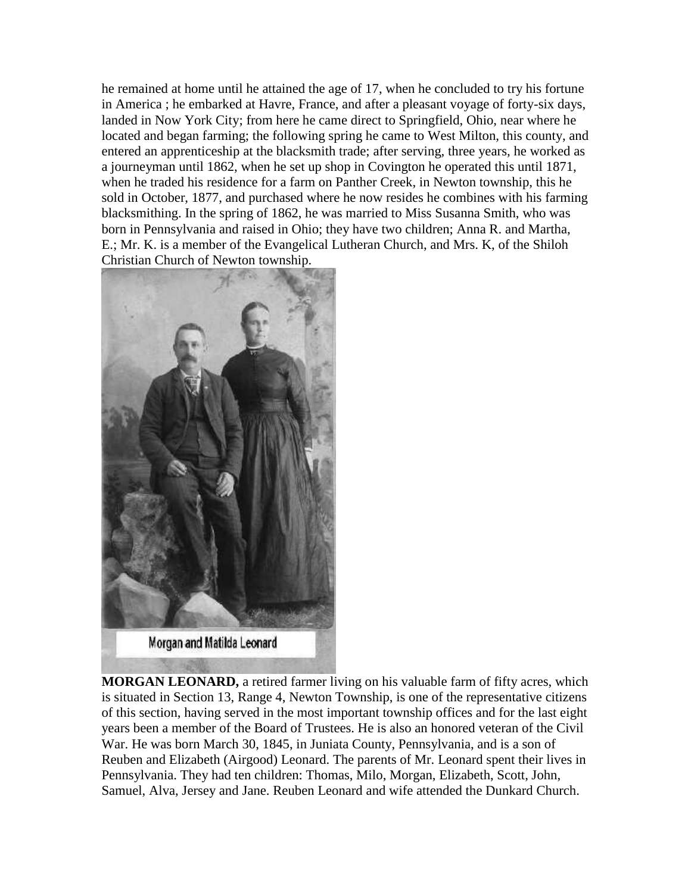he remained at home until he attained the age of 17, when he concluded to try his fortune in America ; he embarked at Havre, France, and after a pleasant voyage of forty-six days, landed in Now York City; from here he came direct to Springfield, Ohio, near where he located and began farming; the following spring he came to West Milton, this county, and entered an apprenticeship at the blacksmith trade; after serving, three years, he worked as a journeyman until 1862, when he set up shop in Covington he operated this until 1871, when he traded his residence for a farm on Panther Creek, in Newton township, this he sold in October, 1877, and purchased where he now resides he combines with his farming blacksmithing. In the spring of 1862, he was married to Miss Susanna Smith, who was born in Pennsylvania and raised in Ohio; they have two children; Anna R. and Martha, E.; Mr. K. is a member of the Evangelical Lutheran Church, and Mrs. K, of the Shiloh Christian Church of Newton township.



**MORGAN LEONARD,** a retired farmer living on his valuable farm of fifty acres, which is situated in Section 13, Range 4, Newton Township, is one of the representative citizens of this section, having served in the most important township offices and for the last eight years been a member of the Board of Trustees. He is also an honored veteran of the Civil War. He was born March 30, 1845, in Juniata County, Pennsylvania, and is a son of Reuben and Elizabeth (Airgood) Leonard. The parents of Mr. Leonard spent their lives in Pennsylvania. They had ten children: Thomas, Milo, Morgan, Elizabeth, Scott, John, Samuel, Alva, Jersey and Jane. Reuben Leonard and wife attended the Dunkard Church.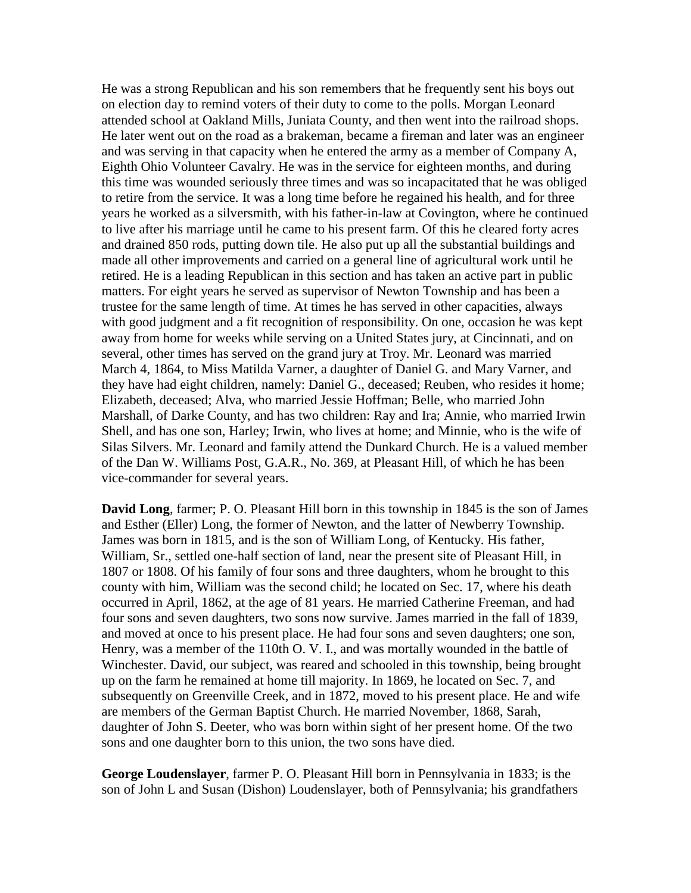He was a strong Republican and his son remembers that he frequently sent his boys out on election day to remind voters of their duty to come to the polls. Morgan Leonard attended school at Oakland Mills, Juniata County, and then went into the railroad shops. He later went out on the road as a brakeman, became a fireman and later was an engineer and was serving in that capacity when he entered the army as a member of Company A, Eighth Ohio Volunteer Cavalry. He was in the service for eighteen months, and during this time was wounded seriously three times and was so incapacitated that he was obliged to retire from the service. It was a long time before he regained his health, and for three years he worked as a silversmith, with his father-in-law at Covington, where he continued to live after his marriage until he came to his present farm. Of this he cleared forty acres and drained 850 rods, putting down tile. He also put up all the substantial buildings and made all other improvements and carried on a general line of agricultural work until he retired. He is a leading Republican in this section and has taken an active part in public matters. For eight years he served as supervisor of Newton Township and has been a trustee for the same length of time. At times he has served in other capacities, always with good judgment and a fit recognition of responsibility. On one, occasion he was kept away from home for weeks while serving on a United States jury, at Cincinnati, and on several, other times has served on the grand jury at Troy. Mr. Leonard was married March 4, 1864, to Miss Matilda Varner, a daughter of Daniel G. and Mary Varner, and they have had eight children, namely: Daniel G., deceased; Reuben, who resides it home; Elizabeth, deceased; Alva, who married Jessie Hoffman; Belle, who married John Marshall, of Darke County, and has two children: Ray and Ira; Annie, who married Irwin Shell, and has one son, Harley; Irwin, who lives at home; and Minnie, who is the wife of Silas Silvers. Mr. Leonard and family attend the Dunkard Church. He is a valued member of the Dan W. Williams Post, G.A.R., No. 369, at Pleasant Hill, of which he has been vice-commander for several years.

**David Long**, farmer; P. O. Pleasant Hill born in this township in 1845 is the son of James and Esther (Eller) Long, the former of Newton, and the latter of Newberry Township. James was born in 1815, and is the son of William Long, of Kentucky. His father, William, Sr., settled one-half section of land, near the present site of Pleasant Hill, in 1807 or 1808. Of his family of four sons and three daughters, whom he brought to this county with him, William was the second child; he located on Sec. 17, where his death occurred in April, 1862, at the age of 81 years. He married Catherine Freeman, and had four sons and seven daughters, two sons now survive. James married in the fall of 1839, and moved at once to his present place. He had four sons and seven daughters; one son, Henry, was a member of the 110th O. V. I., and was mortally wounded in the battle of Winchester. David, our subject, was reared and schooled in this township, being brought up on the farm he remained at home till majority. In 1869, he located on Sec. 7, and subsequently on Greenville Creek, and in 1872, moved to his present place. He and wife are members of the German Baptist Church. He married November, 1868, Sarah, daughter of John S. Deeter, who was born within sight of her present home. Of the two sons and one daughter born to this union, the two sons have died.

**George Loudenslayer**, farmer P. O. Pleasant Hill born in Pennsylvania in 1833; is the son of John L and Susan (Dishon) Loudenslayer, both of Pennsylvania; his grandfathers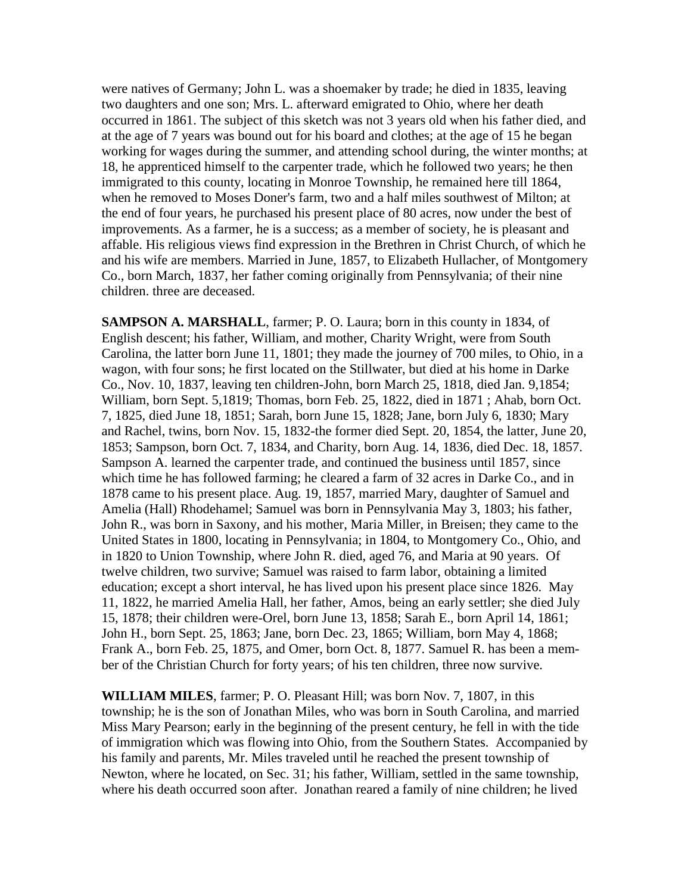were natives of Germany; John L. was a shoemaker by trade; he died in 1835, leaving two daughters and one son; Mrs. L. afterward emigrated to Ohio, where her death occurred in 1861. The subject of this sketch was not 3 years old when his father died, and at the age of 7 years was bound out for his board and clothes; at the age of 15 he began working for wages during the summer, and attending school during, the winter months; at 18, he apprenticed himself to the carpenter trade, which he followed two years; he then immigrated to this county, locating in Monroe Township, he remained here till 1864, when he removed to Moses Doner's farm, two and a half miles southwest of Milton; at the end of four years, he purchased his present place of 80 acres, now under the best of improvements. As a farmer, he is a success; as a member of society, he is pleasant and affable. His religious views find expression in the Brethren in Christ Church, of which he and his wife are members. Married in June, 1857, to Elizabeth Hullacher, of Montgomery Co., born March, 1837, her father coming originally from Pennsylvania; of their nine children. three are deceased.

**SAMPSON A. MARSHALL**, farmer; P. O. Laura; born in this county in 1834, of English descent; his father, William, and mother, Charity Wright, were from South Carolina, the latter born June 11, 1801; they made the journey of 700 miles, to Ohio, in a wagon, with four sons; he first located on the Stillwater, but died at his home in Darke Co., Nov. 10, 1837, leaving ten children-John, born March 25, 1818, died Jan. 9,1854; William, born Sept. 5,1819; Thomas, born Feb. 25, 1822, died in 1871 ; Ahab, born Oct. 7, 1825, died June 18, 1851; Sarah, born June 15, 1828; Jane, born July 6, 1830; Mary and Rachel, twins, born Nov. 15, 1832-the former died Sept. 20, 1854, the latter, June 20, 1853; Sampson, born Oct. 7, 1834, and Charity, born Aug. 14, 1836, died Dec. 18, 1857. Sampson A. learned the carpenter trade, and continued the business until 1857, since which time he has followed farming; he cleared a farm of 32 acres in Darke Co., and in 1878 came to his present place. Aug. 19, 1857, married Mary, daughter of Samuel and Amelia (Hall) Rhodehamel; Samuel was born in Pennsylvania May 3, 1803; his father, John R., was born in Saxony, and his mother, Maria Miller, in Breisen; they came to the United States in 1800, locating in Pennsylvania; in 1804, to Montgomery Co., Ohio, and in 1820 to Union Township, where John R. died, aged 76, and Maria at 90 years. Of twelve children, two survive; Samuel was raised to farm labor, obtaining a limited education; except a short interval, he has lived upon his present place since 1826. May 11, 1822, he married Amelia Hall, her father, Amos, being an early settler; she died July 15, 1878; their children were-Orel, born June 13, 1858; Sarah E., born April 14, 1861; John H., born Sept. 25, 1863; Jane, born Dec. 23, 1865; William, born May 4, 1868; Frank A., born Feb. 25, 1875, and Omer, born Oct. 8, 1877. Samuel R. has been a member of the Christian Church for forty years; of his ten children, three now survive.

**WILLIAM MILES**, farmer; P. O. Pleasant Hill; was born Nov. 7, 1807, in this township; he is the son of Jonathan Miles, who was born in South Carolina, and married Miss Mary Pearson; early in the beginning of the present century, he fell in with the tide of immigration which was flowing into Ohio, from the Southern States. Accompanied by his family and parents, Mr. Miles traveled until he reached the present township of Newton, where he located, on Sec. 31; his father, William, settled in the same township, where his death occurred soon after. Jonathan reared a family of nine children; he lived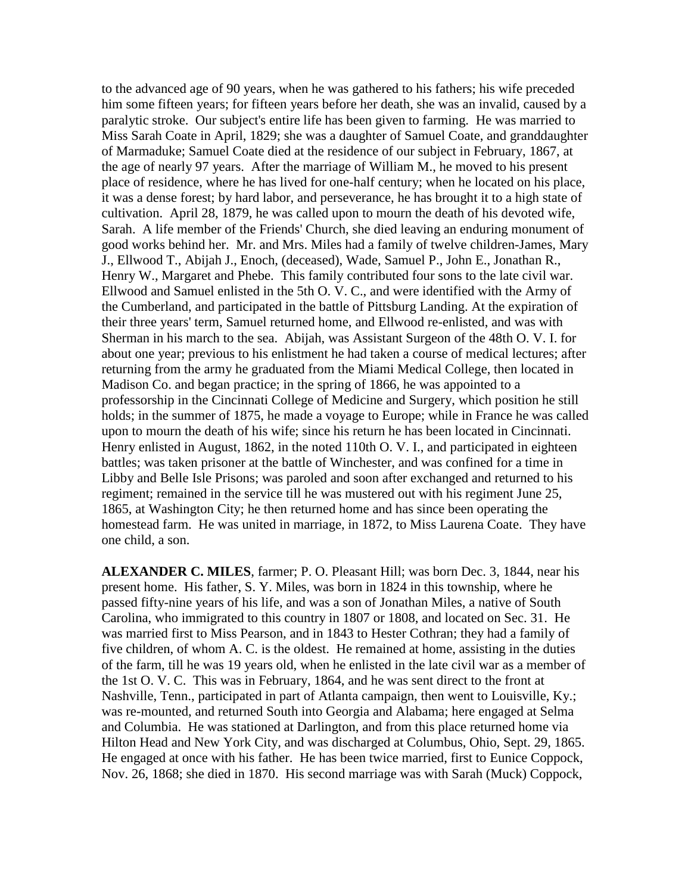to the advanced age of 90 years, when he was gathered to his fathers; his wife preceded him some fifteen years; for fifteen years before her death, she was an invalid, caused by a paralytic stroke. Our subject's entire life has been given to farming. He was married to Miss Sarah Coate in April, 1829; she was a daughter of Samuel Coate, and granddaughter of Marmaduke; Samuel Coate died at the residence of our subject in February, 1867, at the age of nearly 97 years. After the marriage of William M., he moved to his present place of residence, where he has lived for one-half century; when he located on his place, it was a dense forest; by hard labor, and perseverance, he has brought it to a high state of cultivation. April 28, 1879, he was called upon to mourn the death of his devoted wife, Sarah. A life member of the Friends' Church, she died leaving an enduring monument of good works behind her. Mr. and Mrs. Miles had a family of twelve children-James, Mary J., Ellwood T., Abijah J., Enoch, (deceased), Wade, Samuel P., John E., Jonathan R., Henry W., Margaret and Phebe. This family contributed four sons to the late civil war. Ellwood and Samuel enlisted in the 5th O. V. C., and were identified with the Army of the Cumberland, and participated in the battle of Pittsburg Landing. At the expiration of their three years' term, Samuel returned home, and Ellwood re-enlisted, and was with Sherman in his march to the sea. Abijah, was Assistant Surgeon of the 48th O. V. I. for about one year; previous to his enlistment he had taken a course of medical lectures; after returning from the army he graduated from the Miami Medical College, then located in Madison Co. and began practice; in the spring of 1866, he was appointed to a professorship in the Cincinnati College of Medicine and Surgery, which position he still holds; in the summer of 1875, he made a voyage to Europe; while in France he was called upon to mourn the death of his wife; since his return he has been located in Cincinnati. Henry enlisted in August, 1862, in the noted 110th O. V. I., and participated in eighteen battles; was taken prisoner at the battle of Winchester, and was confined for a time in Libby and Belle Isle Prisons; was paroled and soon after exchanged and returned to his regiment; remained in the service till he was mustered out with his regiment June 25, 1865, at Washington City; he then returned home and has since been operating the homestead farm. He was united in marriage, in 1872, to Miss Laurena Coate. They have one child, a son.

**ALEXANDER C. MILES**, farmer; P. O. Pleasant Hill; was born Dec. 3, 1844, near his present home. His father, S. Y. Miles, was born in 1824 in this township, where he passed fifty-nine years of his life, and was a son of Jonathan Miles, a native of South Carolina, who immigrated to this country in 1807 or 1808, and located on Sec. 31. He was married first to Miss Pearson, and in 1843 to Hester Cothran; they had a family of five children, of whom A. C. is the oldest. He remained at home, assisting in the duties of the farm, till he was 19 years old, when he enlisted in the late civil war as a member of the 1st O. V. C. This was in February, 1864, and he was sent direct to the front at Nashville, Tenn., participated in part of Atlanta campaign, then went to Louisville, Ky.; was re-mounted, and returned South into Georgia and Alabama; here engaged at Selma and Columbia. He was stationed at Darlington, and from this place returned home via Hilton Head and New York City, and was discharged at Columbus, Ohio, Sept. 29, 1865. He engaged at once with his father. He has been twice married, first to Eunice Coppock, Nov. 26, 1868; she died in 1870. His second marriage was with Sarah (Muck) Coppock,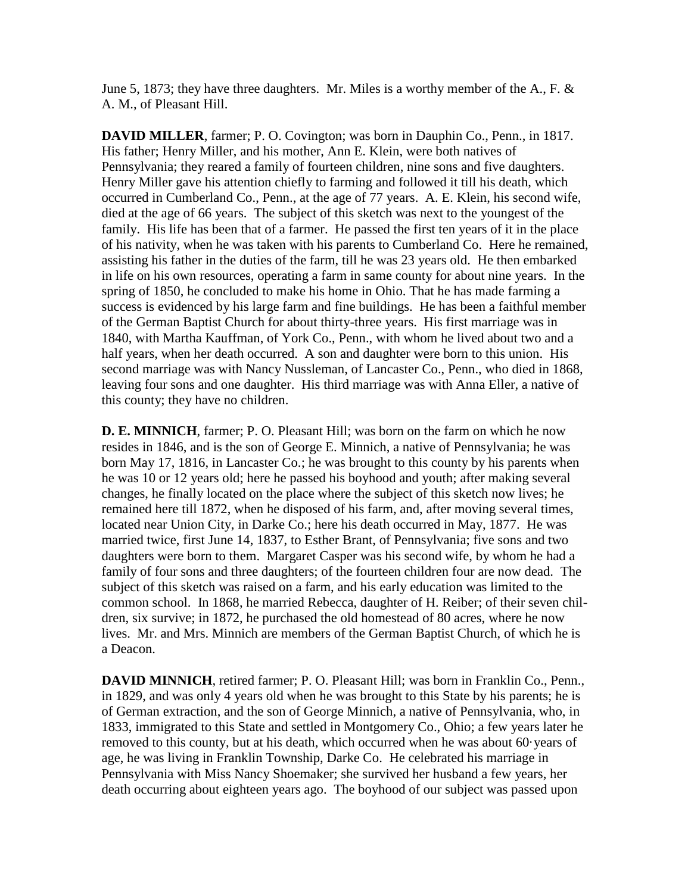June 5, 1873; they have three daughters. Mr. Miles is a worthy member of the A., F.  $\&$ A. M., of Pleasant Hill.

**DAVID MILLER**, farmer; P. O. Covington; was born in Dauphin Co., Penn., in 1817. His father; Henry Miller, and his mother, Ann E. Klein, were both natives of Pennsylvania; they reared a family of fourteen children, nine sons and five daughters. Henry Miller gave his attention chiefly to farming and followed it till his death, which occurred in Cumberland Co., Penn., at the age of 77 years. A. E. Klein, his second wife, died at the age of 66 years. The subject of this sketch was next to the youngest of the family. His life has been that of a farmer. He passed the first ten years of it in the place of his nativity, when he was taken with his parents to Cumberland Co. Here he remained, assisting his father in the duties of the farm, till he was 23 years old. He then embarked in life on his own resources, operating a farm in same county for about nine years. In the spring of 1850, he concluded to make his home in Ohio. That he has made farming a success is evidenced by his large farm and fine buildings. He has been a faithful member of the German Baptist Church for about thirty-three years. His first marriage was in 1840, with Martha Kauffman, of York Co., Penn., with whom he lived about two and a half years, when her death occurred. A son and daughter were born to this union. His second marriage was with Nancy Nussleman, of Lancaster Co., Penn., who died in 1868, leaving four sons and one daughter. His third marriage was with Anna Eller, a native of this county; they have no children.

**D. E. MINNICH**, farmer; P. O. Pleasant Hill; was born on the farm on which he now resides in 1846, and is the son of George E. Minnich, a native of Pennsylvania; he was born May 17, 1816, in Lancaster Co.; he was brought to this county by his parents when he was 10 or 12 years old; here he passed his boyhood and youth; after making several changes, he finally located on the place where the subject of this sketch now lives; he remained here till 1872, when he disposed of his farm, and, after moving several times, located near Union City, in Darke Co.; here his death occurred in May, 1877. He was married twice, first June 14, 1837, to Esther Brant, of Pennsylvania; five sons and two daughters were born to them. Margaret Casper was his second wife, by whom he had a family of four sons and three daughters; of the fourteen children four are now dead. The subject of this sketch was raised on a farm, and his early education was limited to the common school. In 1868, he married Rebecca, daughter of H. Reiber; of their seven children, six survive; in 1872, he purchased the old homestead of 80 acres, where he now lives. Mr. and Mrs. Minnich are members of the German Baptist Church, of which he is a Deacon.

**DAVID MINNICH**, retired farmer; P. O. Pleasant Hill; was born in Franklin Co., Penn., in 1829, and was only 4 years old when he was brought to this State by his parents; he is of German extraction, and the son of George Minnich, a native of Pennsylvania, who, in 1833, immigrated to this State and settled in Montgomery Co., Ohio; a few years later he removed to this county, but at his death, which occurred when he was about 60·years of age, he was living in Franklin Township, Darke Co. He celebrated his marriage in Pennsylvania with Miss Nancy Shoemaker; she survived her husband a few years, her death occurring about eighteen years ago. The boyhood of our subject was passed upon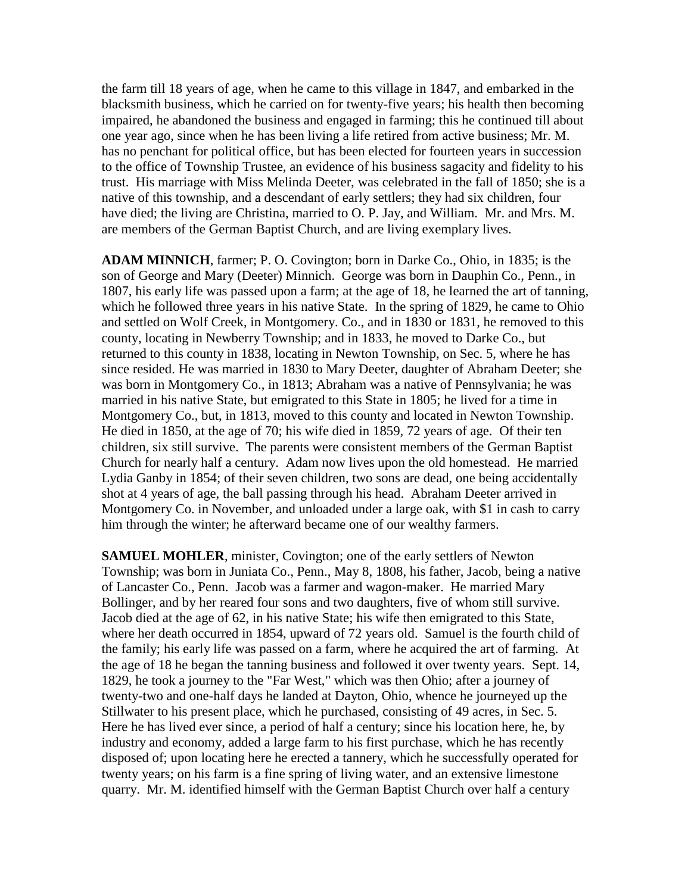the farm till 18 years of age, when he came to this village in 1847, and embarked in the blacksmith business, which he carried on for twenty-five years; his health then becoming impaired, he abandoned the business and engaged in farming; this he continued till about one year ago, since when he has been living a life retired from active business; Mr. M. has no penchant for political office, but has been elected for fourteen years in succession to the office of Township Trustee, an evidence of his business sagacity and fidelity to his trust. His marriage with Miss Melinda Deeter, was celebrated in the fall of 1850; she is a native of this township, and a descendant of early settlers; they had six children, four have died; the living are Christina, married to O. P. Jay, and William. Mr. and Mrs. M. are members of the German Baptist Church, and are living exemplary lives.

**ADAM MINNICH**, farmer; P. O. Covington; born in Darke Co., Ohio, in 1835; is the son of George and Mary (Deeter) Minnich. George was born in Dauphin Co., Penn., in 1807, his early life was passed upon a farm; at the age of 18, he learned the art of tanning, which he followed three years in his native State. In the spring of 1829, he came to Ohio and settled on Wolf Creek, in Montgomery. Co., and in 1830 or 1831, he removed to this county, locating in Newberry Township; and in 1833, he moved to Darke Co., but returned to this county in 1838, locating in Newton Township, on Sec. 5, where he has since resided. He was married in 1830 to Mary Deeter, daughter of Abraham Deeter; she was born in Montgomery Co., in 1813; Abraham was a native of Pennsylvania; he was married in his native State, but emigrated to this State in 1805; he lived for a time in Montgomery Co., but, in 1813, moved to this county and located in Newton Township. He died in 1850, at the age of 70; his wife died in 1859, 72 years of age. Of their ten children, six still survive. The parents were consistent members of the German Baptist Church for nearly half a century. Adam now lives upon the old homestead. He married Lydia Ganby in 1854; of their seven children, two sons are dead, one being accidentally shot at 4 years of age, the ball passing through his head. Abraham Deeter arrived in Montgomery Co. in November, and unloaded under a large oak, with \$1 in cash to carry him through the winter; he afterward became one of our wealthy farmers.

**SAMUEL MOHLER**, minister, Covington; one of the early settlers of Newton Township; was born in Juniata Co., Penn., May 8, 1808, his father, Jacob, being a native of Lancaster Co., Penn. Jacob was a farmer and wagon-maker. He married Mary Bollinger, and by her reared four sons and two daughters, five of whom still survive. Jacob died at the age of 62, in his native State; his wife then emigrated to this State, where her death occurred in 1854, upward of 72 years old. Samuel is the fourth child of the family; his early life was passed on a farm, where he acquired the art of farming. At the age of 18 he began the tanning business and followed it over twenty years. Sept. 14, 1829, he took a journey to the "Far West," which was then Ohio; after a journey of twenty-two and one-half days he landed at Dayton, Ohio, whence he journeyed up the Stillwater to his present place, which he purchased, consisting of 49 acres, in Sec. 5. Here he has lived ever since, a period of half a century; since his location here, he, by industry and economy, added a large farm to his first purchase, which he has recently disposed of; upon locating here he erected a tannery, which he successfully operated for twenty years; on his farm is a fine spring of living water, and an extensive limestone quarry. Mr. M. identified himself with the German Baptist Church over half a century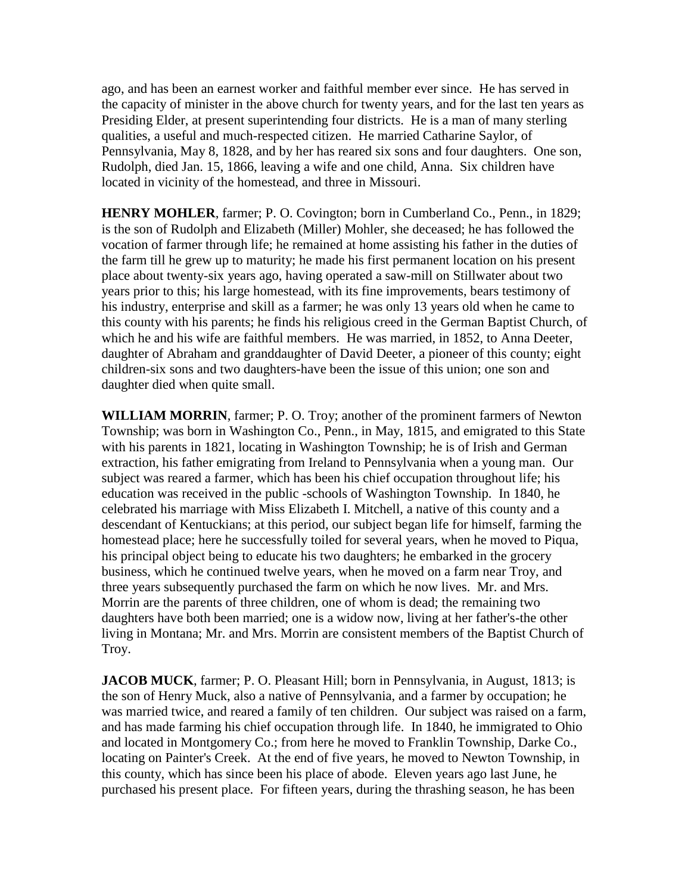ago, and has been an earnest worker and faithful member ever since. He has served in the capacity of minister in the above church for twenty years, and for the last ten years as Presiding Elder, at present superintending four districts. He is a man of many sterling qualities, a useful and much-respected citizen. He married Catharine Saylor, of Pennsylvania, May 8, 1828, and by her has reared six sons and four daughters. One son, Rudolph, died Jan. 15, 1866, leaving a wife and one child, Anna. Six children have located in vicinity of the homestead, and three in Missouri.

**HENRY MOHLER**, farmer; P. O. Covington; born in Cumberland Co., Penn., in 1829; is the son of Rudolph and Elizabeth (Miller) Mohler, she deceased; he has followed the vocation of farmer through life; he remained at home assisting his father in the duties of the farm till he grew up to maturity; he made his first permanent location on his present place about twenty-six years ago, having operated a saw-mill on Stillwater about two years prior to this; his large homestead, with its fine improvements, bears testimony of his industry, enterprise and skill as a farmer; he was only 13 years old when he came to this county with his parents; he finds his religious creed in the German Baptist Church, of which he and his wife are faithful members. He was married, in 1852, to Anna Deeter, daughter of Abraham and granddaughter of David Deeter, a pioneer of this county; eight children-six sons and two daughters-have been the issue of this union; one son and daughter died when quite small.

**WILLIAM MORRIN**, farmer; P. O. Troy; another of the prominent farmers of Newton Township; was born in Washington Co., Penn., in May, 1815, and emigrated to this State with his parents in 1821, locating in Washington Township; he is of Irish and German extraction, his father emigrating from Ireland to Pennsylvania when a young man. Our subject was reared a farmer, which has been his chief occupation throughout life; his education was received in the public -schools of Washington Township. In 1840, he celebrated his marriage with Miss Elizabeth I. Mitchell, a native of this county and a descendant of Kentuckians; at this period, our subject began life for himself, farming the homestead place; here he successfully toiled for several years, when he moved to Piqua, his principal object being to educate his two daughters; he embarked in the grocery business, which he continued twelve years, when he moved on a farm near Troy, and three years subsequently purchased the farm on which he now lives. Mr. and Mrs. Morrin are the parents of three children, one of whom is dead; the remaining two daughters have both been married; one is a widow now, living at her father's-the other living in Montana; Mr. and Mrs. Morrin are consistent members of the Baptist Church of Troy.

**JACOB MUCK**, farmer; P. O. Pleasant Hill; born in Pennsylvania, in August, 1813; is the son of Henry Muck, also a native of Pennsylvania, and a farmer by occupation; he was married twice, and reared a family of ten children. Our subject was raised on a farm, and has made farming his chief occupation through life. In 1840, he immigrated to Ohio and located in Montgomery Co.; from here he moved to Franklin Township, Darke Co., locating on Painter's Creek. At the end of five years, he moved to Newton Township, in this county, which has since been his place of abode. Eleven years ago last June, he purchased his present place. For fifteen years, during the thrashing season, he has been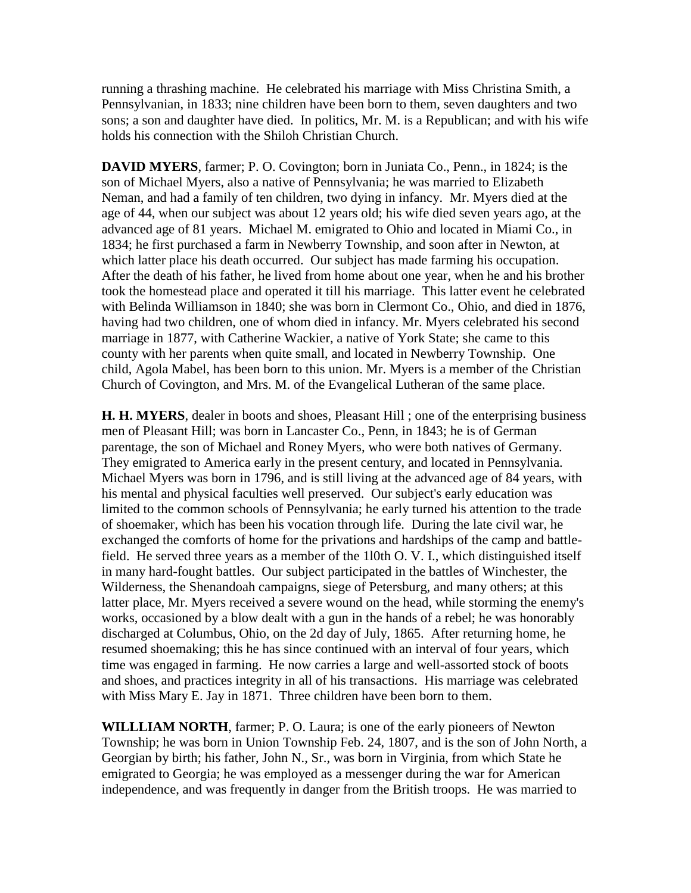running a thrashing machine. He celebrated his marriage with Miss Christina Smith, a Pennsylvanian, in 1833; nine children have been born to them, seven daughters and two sons; a son and daughter have died. In politics, Mr. M. is a Republican; and with his wife holds his connection with the Shiloh Christian Church.

**DAVID MYERS**, farmer; P. O. Covington; born in Juniata Co., Penn., in 1824; is the son of Michael Myers, also a native of Pennsylvania; he was married to Elizabeth Neman, and had a family of ten children, two dying in infancy. Mr. Myers died at the age of 44, when our subject was about 12 years old; his wife died seven years ago, at the advanced age of 81 years. Michael M. emigrated to Ohio and located in Miami Co., in 1834; he first purchased a farm in Newberry Township, and soon after in Newton, at which latter place his death occurred. Our subject has made farming his occupation. After the death of his father, he lived from home about one year, when he and his brother took the homestead place and operated it till his marriage. This latter event he celebrated with Belinda Williamson in 1840; she was born in Clermont Co., Ohio, and died in 1876, having had two children, one of whom died in infancy. Mr. Myers celebrated his second marriage in 1877, with Catherine Wackier, a native of York State; she came to this county with her parents when quite small, and located in Newberry Township. One child, Agola Mabel, has been born to this union. Mr. Myers is a member of the Christian Church of Covington, and Mrs. M. of the Evangelical Lutheran of the same place.

**H. H. MYERS**, dealer in boots and shoes, Pleasant Hill ; one of the enterprising business men of Pleasant Hill; was born in Lancaster Co., Penn, in 1843; he is of German parentage, the son of Michael and Roney Myers, who were both natives of Germany. They emigrated to America early in the present century, and located in Pennsylvania. Michael Myers was born in 1796, and is still living at the advanced age of 84 years, with his mental and physical faculties well preserved. Our subject's early education was limited to the common schools of Pennsylvania; he early turned his attention to the trade of shoemaker, which has been his vocation through life. During the late civil war, he exchanged the comforts of home for the privations and hardships of the camp and battlefield. He served three years as a member of the 1l0th O. V. I., which distinguished itself in many hard-fought battles. Our subject participated in the battles of Winchester, the Wilderness, the Shenandoah campaigns, siege of Petersburg, and many others; at this latter place, Mr. Myers received a severe wound on the head, while storming the enemy's works, occasioned by a blow dealt with a gun in the hands of a rebel; he was honorably discharged at Columbus, Ohio, on the 2d day of July, 1865. After returning home, he resumed shoemaking; this he has since continued with an interval of four years, which time was engaged in farming. He now carries a large and well-assorted stock of boots and shoes, and practices integrity in all of his transactions. His marriage was celebrated with Miss Mary E. Jay in 1871. Three children have been born to them.

**WILLLIAM NORTH**, farmer; P. O. Laura; is one of the early pioneers of Newton Township; he was born in Union Township Feb. 24, 1807, and is the son of John North, a Georgian by birth; his father, John N., Sr., was born in Virginia, from which State he emigrated to Georgia; he was employed as a messenger during the war for American independence, and was frequently in danger from the British troops. He was married to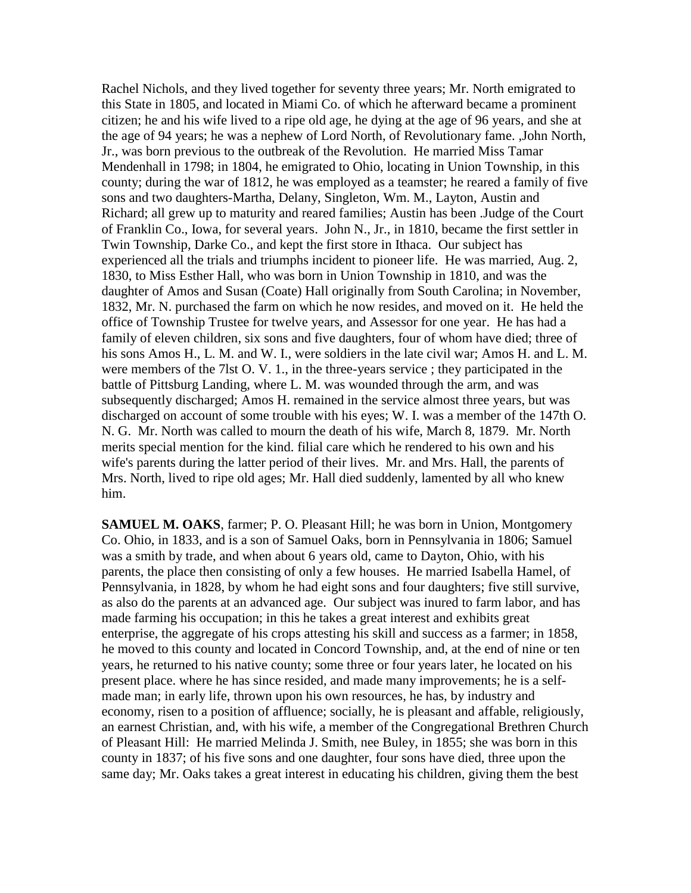Rachel Nichols, and they lived together for seventy three years; Mr. North emigrated to this State in 1805, and located in Miami Co. of which he afterward became a prominent citizen; he and his wife lived to a ripe old age, he dying at the age of 96 years, and she at the age of 94 years; he was a nephew of Lord North, of Revolutionary fame. ,John North, Jr., was born previous to the outbreak of the Revolution. He married Miss Tamar Mendenhall in 1798; in 1804, he emigrated to Ohio, locating in Union Township, in this county; during the war of 1812, he was employed as a teamster; he reared a family of five sons and two daughters-Martha, Delany, Singleton, Wm. M., Layton, Austin and Richard; all grew up to maturity and reared families; Austin has been .Judge of the Court of Franklin Co., Iowa, for several years. John N., Jr., in 1810, became the first settler in Twin Township, Darke Co., and kept the first store in Ithaca. Our subject has experienced all the trials and triumphs incident to pioneer life. He was married, Aug. 2, 1830, to Miss Esther Hall, who was born in Union Township in 1810, and was the daughter of Amos and Susan (Coate) Hall originally from South Carolina; in November, 1832, Mr. N. purchased the farm on which he now resides, and moved on it. He held the office of Township Trustee for twelve years, and Assessor for one year. He has had a family of eleven children, six sons and five daughters, four of whom have died; three of his sons Amos H., L. M. and W. I., were soldiers in the late civil war; Amos H. and L. M. were members of the 7lst O. V. 1., in the three-years service ; they participated in the battle of Pittsburg Landing, where L. M. was wounded through the arm, and was subsequently discharged; Amos H. remained in the service almost three years, but was discharged on account of some trouble with his eyes; W. I. was a member of the 147th O. N. G. Mr. North was called to mourn the death of his wife, March 8, 1879. Mr. North merits special mention for the kind. filial care which he rendered to his own and his wife's parents during the latter period of their lives. Mr. and Mrs. Hall, the parents of Mrs. North, lived to ripe old ages; Mr. Hall died suddenly, lamented by all who knew him.

**SAMUEL M. OAKS**, farmer; P. O. Pleasant Hill; he was born in Union, Montgomery Co. Ohio, in 1833, and is a son of Samuel Oaks, born in Pennsylvania in 1806; Samuel was a smith by trade, and when about 6 years old, came to Dayton, Ohio, with his parents, the place then consisting of only a few houses. He married Isabella Hamel, of Pennsylvania, in 1828, by whom he had eight sons and four daughters; five still survive, as also do the parents at an advanced age. Our subject was inured to farm labor, and has made farming his occupation; in this he takes a great interest and exhibits great enterprise, the aggregate of his crops attesting his skill and success as a farmer; in 1858, he moved to this county and located in Concord Township, and, at the end of nine or ten years, he returned to his native county; some three or four years later, he located on his present place. where he has since resided, and made many improvements; he is a selfmade man; in early life, thrown upon his own resources, he has, by industry and economy, risen to a position of affluence; socially, he is pleasant and affable, religiously, an earnest Christian, and, with his wife, a member of the Congregational Brethren Church of Pleasant Hill: He married Melinda J. Smith, nee Buley, in 1855; she was born in this county in 1837; of his five sons and one daughter, four sons have died, three upon the same day; Mr. Oaks takes a great interest in educating his children, giving them the best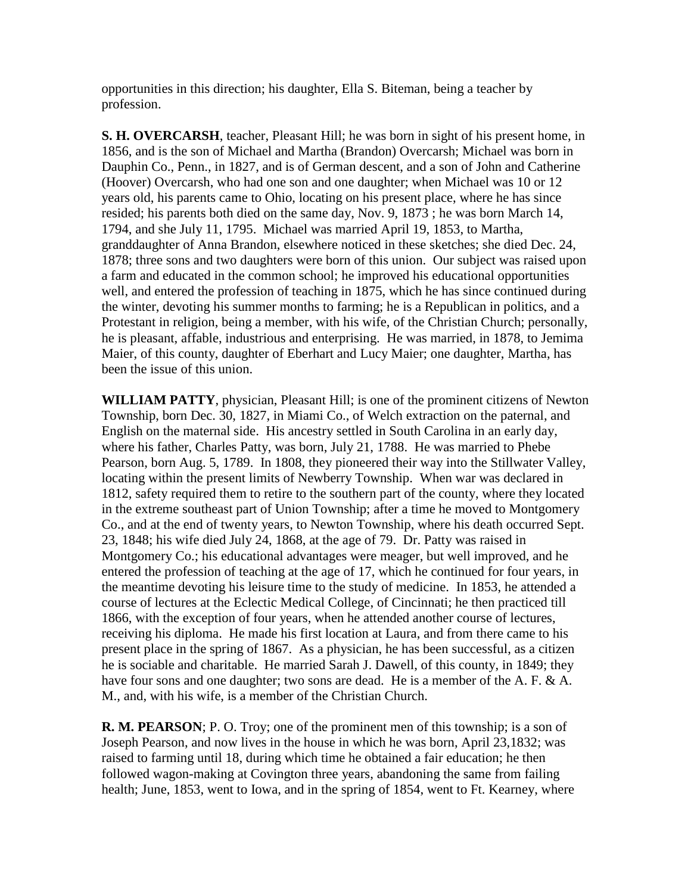opportunities in this direction; his daughter, Ella S. Biteman, being a teacher by profession.

**S. H. OVERCARSH**, teacher, Pleasant Hill; he was born in sight of his present home, in 1856, and is the son of Michael and Martha (Brandon) Overcarsh; Michael was born in Dauphin Co., Penn., in 1827, and is of German descent, and a son of John and Catherine (Hoover) Overcarsh, who had one son and one daughter; when Michael was 10 or 12 years old, his parents came to Ohio, locating on his present place, where he has since resided; his parents both died on the same day, Nov. 9, 1873 ; he was born March 14, 1794, and she July 11, 1795. Michael was married April 19, 1853, to Martha, granddaughter of Anna Brandon, elsewhere noticed in these sketches; she died Dec. 24, 1878; three sons and two daughters were born of this union. Our subject was raised upon a farm and educated in the common school; he improved his educational opportunities well, and entered the profession of teaching in 1875, which he has since continued during the winter, devoting his summer months to farming; he is a Republican in politics, and a Protestant in religion, being a member, with his wife, of the Christian Church; personally, he is pleasant, affable, industrious and enterprising. He was married, in 1878, to Jemima Maier, of this county, daughter of Eberhart and Lucy Maier; one daughter, Martha, has been the issue of this union.

**WILLIAM PATTY**, physician, Pleasant Hill; is one of the prominent citizens of Newton Township, born Dec. 30, 1827, in Miami Co., of Welch extraction on the paternal, and English on the maternal side. His ancestry settled in South Carolina in an early day, where his father, Charles Patty, was born, July 21, 1788. He was married to Phebe Pearson, born Aug. 5, 1789. In 1808, they pioneered their way into the Stillwater Valley, locating within the present limits of Newberry Township. When war was declared in 1812, safety required them to retire to the southern part of the county, where they located in the extreme southeast part of Union Township; after a time he moved to Montgomery Co., and at the end of twenty years, to Newton Township, where his death occurred Sept. 23, 1848; his wife died July 24, 1868, at the age of 79. Dr. Patty was raised in Montgomery Co.; his educational advantages were meager, but well improved, and he entered the profession of teaching at the age of 17, which he continued for four years, in the meantime devoting his leisure time to the study of medicine. In 1853, he attended a course of lectures at the Eclectic Medical College, of Cincinnati; he then practiced till 1866, with the exception of four years, when he attended another course of lectures, receiving his diploma. He made his first location at Laura, and from there came to his present place in the spring of 1867. As a physician, he has been successful, as a citizen he is sociable and charitable. He married Sarah J. Dawell, of this county, in 1849; they have four sons and one daughter; two sons are dead. He is a member of the A. F. & A. M., and, with his wife, is a member of the Christian Church.

**R. M. PEARSON**; P. O. Troy; one of the prominent men of this township; is a son of Joseph Pearson, and now lives in the house in which he was born, April 23,1832; was raised to farming until 18, during which time he obtained a fair education; he then followed wagon-making at Covington three years, abandoning the same from failing health; June, 1853, went to Iowa, and in the spring of 1854, went to Ft. Kearney, where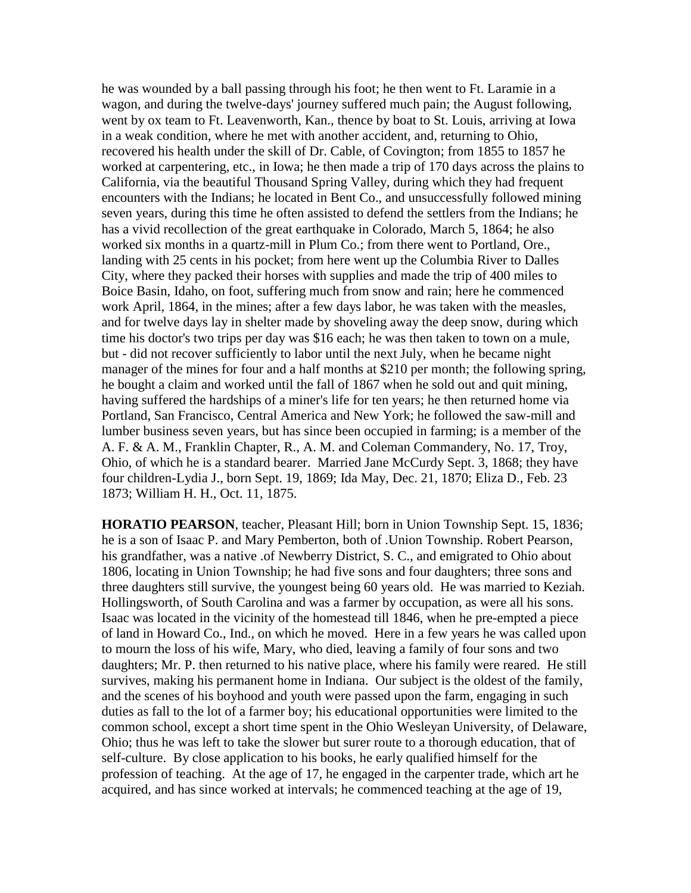he was wounded by a ball passing through his foot; he then went to Ft. Laramie in a wagon, and during the twelve-days' journey suffered much pain; the August following, went by ox team to Ft. Leavenworth, Kan., thence by boat to St. Louis, arriving at Iowa in a weak condition, where he met with another accident, and, returning to Ohio, recovered his health under the skill of Dr. Cable, of Covington; from 1855 to 1857 he worked at carpentering, etc., in Iowa; he then made a trip of 170 days across the plains to California, via the beautiful Thousand Spring Valley, during which they had frequent encounters with the Indians; he located in Bent Co., and unsuccessfully followed mining seven years, during this time he often assisted to defend the settlers from the Indians; he has a vivid recollection of the great earthquake in Colorado, March 5, 1864; he also worked six months in a quartz-mill in Plum Co.; from there went to Portland, Ore., landing with 25 cents in his pocket; from here went up the Columbia River to Dalles City, where they packed their horses with supplies and made the trip of 400 miles to Boice Basin, Idaho, on foot, suffering much from snow and rain; here he commenced work April, 1864, in the mines; after a few days labor, he was taken with the measles, and for twelve days lay in shelter made by shoveling away the deep snow, during which time his doctor's two trips per day was \$16 each; he was then taken to town on a mule, but - did not recover sufficiently to labor until the next July, when he became night manager of the mines for four and a half months at \$210 per month; the following spring, he bought a claim and worked until the fall of 1867 when he sold out and quit mining, having suffered the hardships of a miner's life for ten years; he then returned home via Portland, San Francisco, Central America and New York; he followed the saw-mill and lumber business seven years, but has since been occupied in farming; is a member of the A. F. & A. M., Franklin Chapter, R., A. M. and Coleman Commandery, No. 17, Troy, Ohio, of which he is a standard bearer. Married Jane McCurdy Sept. 3, 1868; they have four children-Lydia J., born Sept. 19, 1869; Ida May, Dec. 21, 1870; Eliza D., Feb. 23 1873; William H. H., Oct. 11, 1875.

**HORATIO PEARSON**, teacher, Pleasant Hill; born in Union Township Sept. 15, 1836; he is a son of Isaac P. and Mary Pemberton, both of .Union Township. Robert Pearson, his grandfather, was a native .of Newberry District, S. C., and emigrated to Ohio about 1806, locating in Union Township; he had five sons and four daughters; three sons and three daughters still survive, the youngest being 60 years old. He was married to Keziah. Hollingsworth, of South Carolina and was a farmer by occupation, as were all his sons. Isaac was located in the vicinity of the homestead till 1846, when he pre-empted a piece of land in Howard Co., Ind., on which he moved. Here in a few years he was called upon to mourn the loss of his wife, Mary, who died, leaving a family of four sons and two daughters; Mr. P. then returned to his native place, where his family were reared. He still survives, making his permanent home in Indiana. Our subject is the oldest of the family, and the scenes of his boyhood and youth were passed upon the farm, engaging in such duties as fall to the lot of a farmer boy; his educational opportunities were limited to the common school, except a short time spent in the Ohio Wesleyan University, of Delaware, Ohio; thus he was left to take the slower but surer route to a thorough education, that of self-culture. By close application to his books, he early qualified himself for the profession of teaching. At the age of 17, he engaged in the carpenter trade, which art he acquired, and has since worked at intervals; he commenced teaching at the age of 19,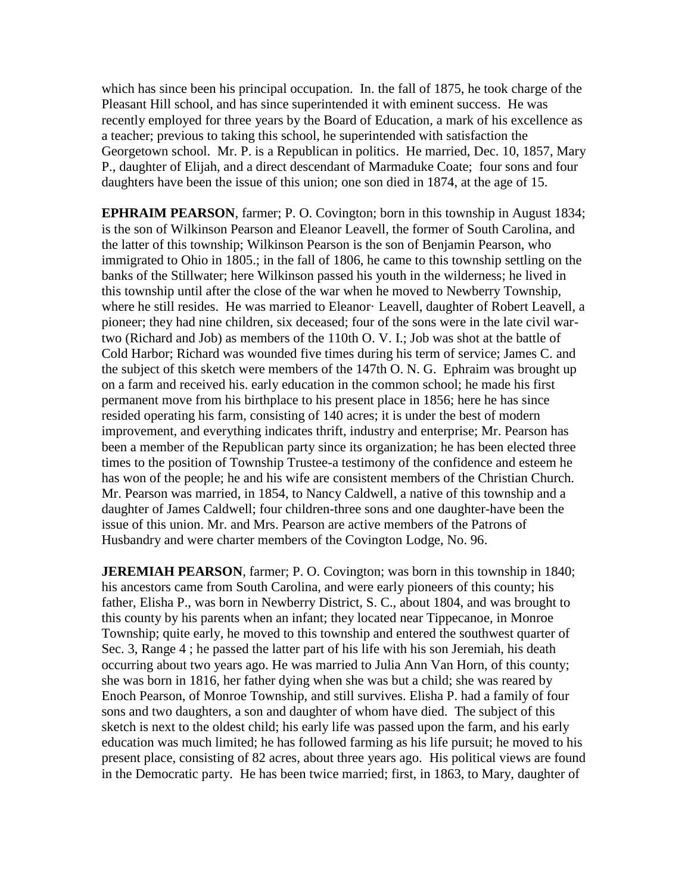which has since been his principal occupation. In. the fall of 1875, he took charge of the Pleasant Hill school, and has since superintended it with eminent success. He was recently employed for three years by the Board of Education, a mark of his excellence as a teacher; previous to taking this school, he superintended with satisfaction the Georgetown school. Mr. P. is a Republican in politics. He married, Dec. 10, 1857, Mary P., daughter of Elijah, and a direct descendant of Marmaduke Coate; four sons and four daughters have been the issue of this union; one son died in 1874, at the age of 15.

**EPHRAIM PEARSON**, farmer; P. O. Covington; born in this township in August 1834; is the son of Wilkinson Pearson and Eleanor Leavell, the former of South Carolina, and the latter of this township; Wilkinson Pearson is the son of Benjamin Pearson, who immigrated to Ohio in 1805.; in the fall of 1806, he came to this township settling on the banks of the Stillwater; here Wilkinson passed his youth in the wilderness; he lived in this township until after the close of the war when he moved to Newberry Township, where he still resides. He was married to Eleanor· Leavell, daughter of Robert Leavell, a pioneer; they had nine children, six deceased; four of the sons were in the late civil wartwo (Richard and Job) as members of the 110th O. V. I.; Job was shot at the battle of Cold Harbor; Richard was wounded five times during his term of service; James C. and the subject of this sketch were members of the 147th O. N. G. Ephraim was brought up on a farm and received his. early education in the common school; he made his first permanent move from his birthplace to his present place in 1856; here he has since resided operating his farm, consisting of 140 acres; it is under the best of modern improvement, and everything indicates thrift, industry and enterprise; Mr. Pearson has been a member of the Republican party since its organization; he has been elected three times to the position of Township Trustee-a testimony of the confidence and esteem he has won of the people; he and his wife are consistent members of the Christian Church. Mr. Pearson was married, in 1854, to Nancy Caldwell, a native of this township and a daughter of James Caldwell; four children-three sons and one daughter-have been the issue of this union. Mr. and Mrs. Pearson are active members of the Patrons of Husbandry and were charter members of the Covington Lodge, No. 96.

**JEREMIAH PEARSON**, farmer; P. O. Covington; was born in this township in 1840; his ancestors came from South Carolina, and were early pioneers of this county; his father, Elisha P., was born in Newberry District, S. C., about 1804, and was brought to this county by his parents when an infant; they located near Tippecanoe, in Monroe Township; quite early, he moved to this township and entered the southwest quarter of Sec. 3, Range 4 ; he passed the latter part of his life with his son Jeremiah, his death occurring about two years ago. He was married to Julia Ann Van Horn, of this county; she was born in 1816, her father dying when she was but a child; she was reared by Enoch Pearson, of Monroe Township, and still survives. Elisha P. had a family of four sons and two daughters, a son and daughter of whom have died. The subject of this sketch is next to the oldest child; his early life was passed upon the farm, and his early education was much limited; he has followed farming as his life pursuit; he moved to his present place, consisting of 82 acres, about three years ago. His political views are found in the Democratic party. He has been twice married; first, in 1863, to Mary, daughter of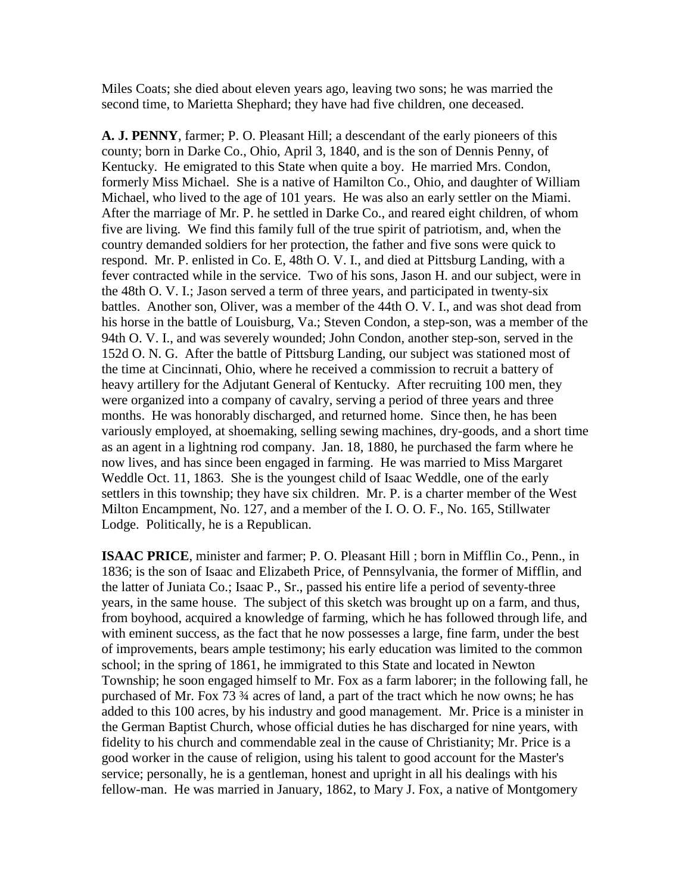Miles Coats; she died about eleven years ago, leaving two sons; he was married the second time, to Marietta Shephard; they have had five children, one deceased.

**A. J. PENNY**, farmer; P. O. Pleasant Hill; a descendant of the early pioneers of this county; born in Darke Co., Ohio, April 3, 1840, and is the son of Dennis Penny, of Kentucky. He emigrated to this State when quite a boy. He married Mrs. Condon, formerly Miss Michael. She is a native of Hamilton Co., Ohio, and daughter of William Michael, who lived to the age of 101 years. He was also an early settler on the Miami. After the marriage of Mr. P. he settled in Darke Co., and reared eight children, of whom five are living. We find this family full of the true spirit of patriotism, and, when the country demanded soldiers for her protection, the father and five sons were quick to respond. Mr. P. enlisted in Co. E, 48th O. V. I., and died at Pittsburg Landing, with a fever contracted while in the service. Two of his sons, Jason H. and our subject, were in the 48th O. V. I.; Jason served a term of three years, and participated in twenty-six battles. Another son, Oliver, was a member of the 44th O. V. I., and was shot dead from his horse in the battle of Louisburg, Va.; Steven Condon, a step-son, was a member of the 94th O. V. I., and was severely wounded; John Condon, another step-son, served in the 152d O. N. G. After the battle of Pittsburg Landing, our subject was stationed most of the time at Cincinnati, Ohio, where he received a commission to recruit a battery of heavy artillery for the Adjutant General of Kentucky. After recruiting 100 men, they were organized into a company of cavalry, serving a period of three years and three months. He was honorably discharged, and returned home. Since then, he has been variously employed, at shoemaking, selling sewing machines, dry-goods, and a short time as an agent in a lightning rod company. Jan. 18, 1880, he purchased the farm where he now lives, and has since been engaged in farming. He was married to Miss Margaret Weddle Oct. 11, 1863. She is the youngest child of Isaac Weddle, one of the early settlers in this township; they have six children. Mr. P. is a charter member of the West Milton Encampment, No. 127, and a member of the I. O. O. F., No. 165, Stillwater Lodge. Politically, he is a Republican.

**ISAAC PRICE**, minister and farmer; P. O. Pleasant Hill ; born in Mifflin Co., Penn., in 1836; is the son of Isaac and Elizabeth Price, of Pennsylvania, the former of Mifflin, and the latter of Juniata Co.; Isaac P., Sr., passed his entire life a period of seventy-three years, in the same house. The subject of this sketch was brought up on a farm, and thus, from boyhood, acquired a knowledge of farming, which he has followed through life, and with eminent success, as the fact that he now possesses a large, fine farm, under the best of improvements, bears ample testimony; his early education was limited to the common school; in the spring of 1861, he immigrated to this State and located in Newton Township; he soon engaged himself to Mr. Fox as a farm laborer; in the following fall, he purchased of Mr. Fox 73 ¾ acres of land, a part of the tract which he now owns; he has added to this 100 acres, by his industry and good management. Mr. Price is a minister in the German Baptist Church, whose official duties he has discharged for nine years, with fidelity to his church and commendable zeal in the cause of Christianity; Mr. Price is a good worker in the cause of religion, using his talent to good account for the Master's service; personally, he is a gentleman, honest and upright in all his dealings with his fellow-man. He was married in January, 1862, to Mary J. Fox, a native of Montgomery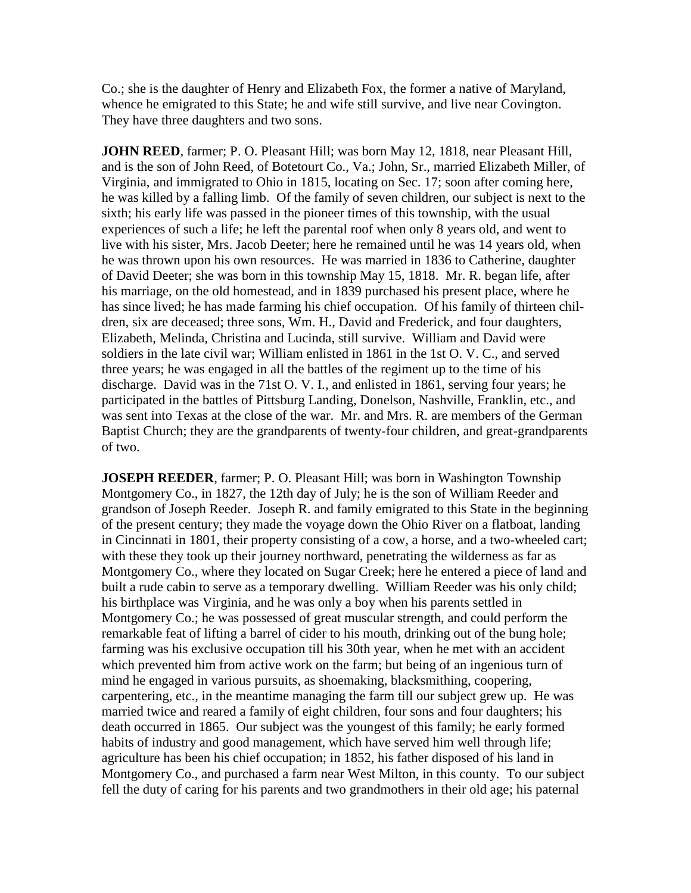Co.; she is the daughter of Henry and Elizabeth Fox, the former a native of Maryland, whence he emigrated to this State; he and wife still survive, and live near Covington. They have three daughters and two sons.

**JOHN REED**, farmer; P. O. Pleasant Hill; was born May 12, 1818, near Pleasant Hill, and is the son of John Reed, of Botetourt Co., Va.; John, Sr., married Elizabeth Miller, of Virginia, and immigrated to Ohio in 1815, locating on Sec. 17; soon after coming here, he was killed by a falling limb. Of the family of seven children, our subject is next to the sixth; his early life was passed in the pioneer times of this township, with the usual experiences of such a life; he left the parental roof when only 8 years old, and went to live with his sister, Mrs. Jacob Deeter; here he remained until he was 14 years old, when he was thrown upon his own resources. He was married in 1836 to Catherine, daughter of David Deeter; she was born in this township May 15, 1818. Mr. R. began life, after his marriage, on the old homestead, and in 1839 purchased his present place, where he has since lived; he has made farming his chief occupation. Of his family of thirteen children, six are deceased; three sons, Wm. H., David and Frederick, and four daughters, Elizabeth, Melinda, Christina and Lucinda, still survive. William and David were soldiers in the late civil war; William enlisted in 1861 in the 1st O. V. C., and served three years; he was engaged in all the battles of the regiment up to the time of his discharge. David was in the 71st O. V. I., and enlisted in 1861, serving four years; he participated in the battles of Pittsburg Landing, Donelson, Nashville, Franklin, etc., and was sent into Texas at the close of the war. Mr. and Mrs. R. are members of the German Baptist Church; they are the grandparents of twenty-four children, and great-grandparents of two.

**JOSEPH REEDER**, farmer; P. O. Pleasant Hill; was born in Washington Township Montgomery Co., in 1827, the 12th day of July; he is the son of William Reeder and grandson of Joseph Reeder. Joseph R. and family emigrated to this State in the beginning of the present century; they made the voyage down the Ohio River on a flatboat, landing in Cincinnati in 1801, their property consisting of a cow, a horse, and a two-wheeled cart; with these they took up their journey northward, penetrating the wilderness as far as Montgomery Co., where they located on Sugar Creek; here he entered a piece of land and built a rude cabin to serve as a temporary dwelling. William Reeder was his only child; his birthplace was Virginia, and he was only a boy when his parents settled in Montgomery Co.; he was possessed of great muscular strength, and could perform the remarkable feat of lifting a barrel of cider to his mouth, drinking out of the bung hole; farming was his exclusive occupation till his 30th year, when he met with an accident which prevented him from active work on the farm; but being of an ingenious turn of mind he engaged in various pursuits, as shoemaking, blacksmithing, coopering, carpentering, etc., in the meantime managing the farm till our subject grew up. He was married twice and reared a family of eight children, four sons and four daughters; his death occurred in 1865. Our subject was the youngest of this family; he early formed habits of industry and good management, which have served him well through life; agriculture has been his chief occupation; in 1852, his father disposed of his land in Montgomery Co., and purchased a farm near West Milton, in this county. To our subject fell the duty of caring for his parents and two grandmothers in their old age; his paternal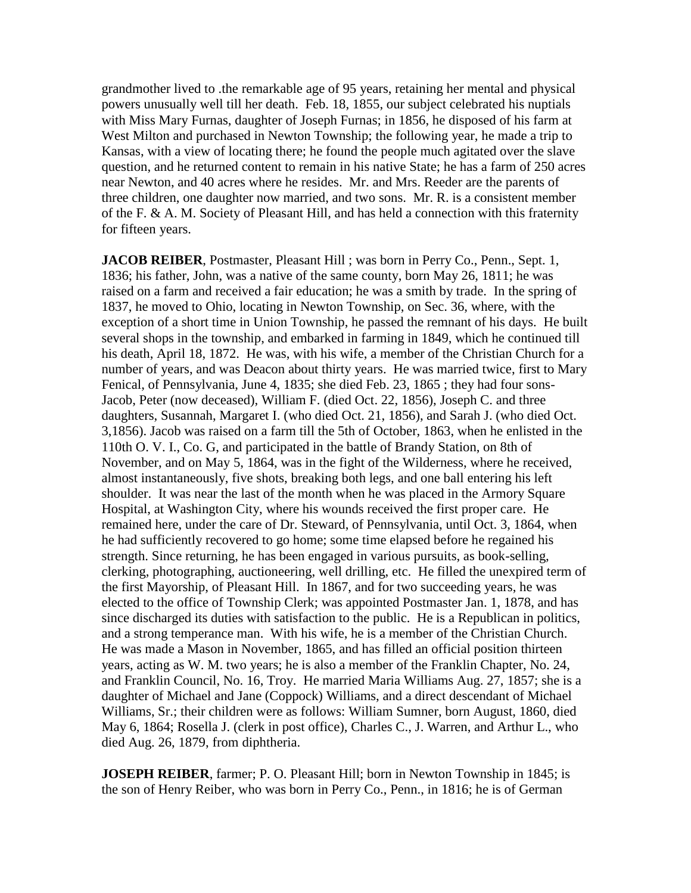grandmother lived to .the remarkable age of 95 years, retaining her mental and physical powers unusually well till her death. Feb. 18, 1855, our subject celebrated his nuptials with Miss Mary Furnas, daughter of Joseph Furnas; in 1856, he disposed of his farm at West Milton and purchased in Newton Township; the following year, he made a trip to Kansas, with a view of locating there; he found the people much agitated over the slave question, and he returned content to remain in his native State; he has a farm of 250 acres near Newton, and 40 acres where he resides. Mr. and Mrs. Reeder are the parents of three children, one daughter now married, and two sons. Mr. R. is a consistent member of the F. & A. M. Society of Pleasant Hill, and has held a connection with this fraternity for fifteen years.

**JACOB REIBER**, Postmaster, Pleasant Hill; was born in Perry Co., Penn., Sept. 1, 1836; his father, John, was a native of the same county, born May 26, 1811; he was raised on a farm and received a fair education; he was a smith by trade. In the spring of 1837, he moved to Ohio, locating in Newton Township, on Sec. 36, where, with the exception of a short time in Union Township, he passed the remnant of his days. He built several shops in the township, and embarked in farming in 1849, which he continued till his death, April 18, 1872. He was, with his wife, a member of the Christian Church for a number of years, and was Deacon about thirty years. He was married twice, first to Mary Fenical, of Pennsylvania, June 4, 1835; she died Feb. 23, 1865 ; they had four sons-Jacob, Peter (now deceased), William F. (died Oct. 22, 1856), Joseph C. and three daughters, Susannah, Margaret I. (who died Oct. 21, 1856), and Sarah J. (who died Oct. 3,1856). Jacob was raised on a farm till the 5th of October, 1863, when he enlisted in the 110th O. V. I., Co. G, and participated in the battle of Brandy Station, on 8th of November, and on May 5, 1864, was in the fight of the Wilderness, where he received, almost instantaneously, five shots, breaking both legs, and one ball entering his left shoulder. It was near the last of the month when he was placed in the Armory Square Hospital, at Washington City, where his wounds received the first proper care. He remained here, under the care of Dr. Steward, of Pennsylvania, until Oct. 3, 1864, when he had sufficiently recovered to go home; some time elapsed before he regained his strength. Since returning, he has been engaged in various pursuits, as book-selling, clerking, photographing, auctioneering, well drilling, etc. He filled the unexpired term of the first Mayorship, of Pleasant Hill. In 1867, and for two succeeding years, he was elected to the office of Township Clerk; was appointed Postmaster Jan. 1, 1878, and has since discharged its duties with satisfaction to the public. He is a Republican in politics, and a strong temperance man. With his wife, he is a member of the Christian Church. He was made a Mason in November, 1865, and has filled an official position thirteen years, acting as W. M. two years; he is also a member of the Franklin Chapter, No. 24, and Franklin Council, No. 16, Troy. He married Maria Williams Aug. 27, 1857; she is a daughter of Michael and Jane (Coppock) Williams, and a direct descendant of Michael Williams, Sr.; their children were as follows: William Sumner, born August, 1860, died May 6, 1864; Rosella J. (clerk in post office), Charles C., J. Warren, and Arthur L., who died Aug. 26, 1879, from diphtheria.

**JOSEPH REIBER**, farmer; P. O. Pleasant Hill; born in Newton Township in 1845; is the son of Henry Reiber, who was born in Perry Co., Penn., in 1816; he is of German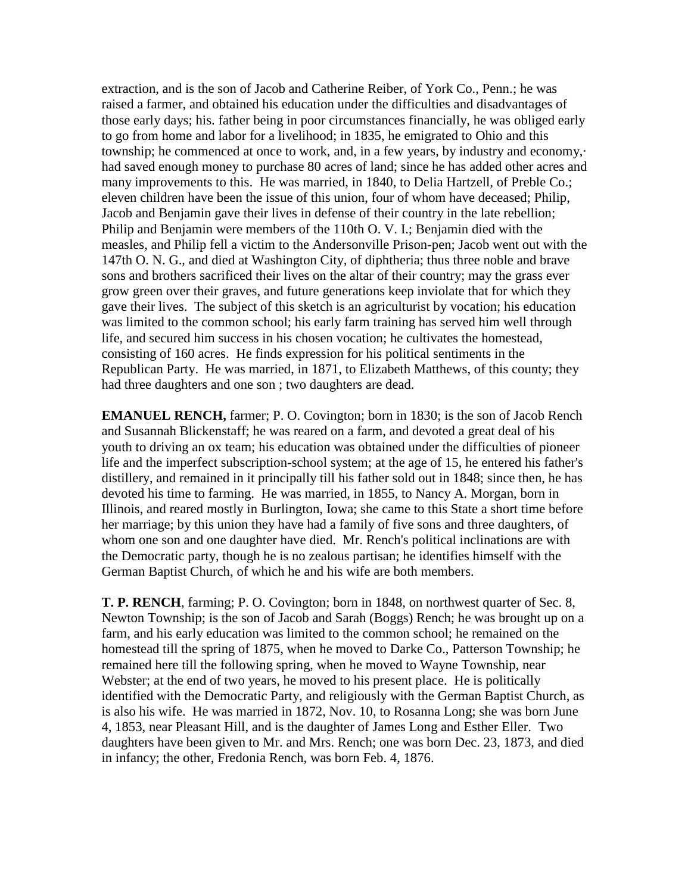extraction, and is the son of Jacob and Catherine Reiber, of York Co., Penn.; he was raised a farmer, and obtained his education under the difficulties and disadvantages of those early days; his. father being in poor circumstances financially, he was obliged early to go from home and labor for a livelihood; in 1835, he emigrated to Ohio and this township; he commenced at once to work, and, in a few years, by industry and economy,· had saved enough money to purchase 80 acres of land; since he has added other acres and many improvements to this. He was married, in 1840, to Delia Hartzell, of Preble Co.; eleven children have been the issue of this union, four of whom have deceased; Philip, Jacob and Benjamin gave their lives in defense of their country in the late rebellion; Philip and Benjamin were members of the 110th O. V. I.; Benjamin died with the measles, and Philip fell a victim to the Andersonville Prison-pen; Jacob went out with the 147th O. N. G., and died at Washington City, of diphtheria; thus three noble and brave sons and brothers sacrificed their lives on the altar of their country; may the grass ever grow green over their graves, and future generations keep inviolate that for which they gave their lives. The subject of this sketch is an agriculturist by vocation; his education was limited to the common school; his early farm training has served him well through life, and secured him success in his chosen vocation; he cultivates the homestead, consisting of 160 acres. He finds expression for his political sentiments in the Republican Party. He was married, in 1871, to Elizabeth Matthews, of this county; they had three daughters and one son ; two daughters are dead.

**EMANUEL RENCH,** farmer; P. O. Covington; born in 1830; is the son of Jacob Rench and Susannah Blickenstaff; he was reared on a farm, and devoted a great deal of his youth to driving an ox team; his education was obtained under the difficulties of pioneer life and the imperfect subscription-school system; at the age of 15, he entered his father's distillery, and remained in it principally till his father sold out in 1848; since then, he has devoted his time to farming. He was married, in 1855, to Nancy A. Morgan, born in Illinois, and reared mostly in Burlington, Iowa; she came to this State a short time before her marriage; by this union they have had a family of five sons and three daughters, of whom one son and one daughter have died. Mr. Rench's political inclinations are with the Democratic party, though he is no zealous partisan; he identifies himself with the German Baptist Church, of which he and his wife are both members.

**T. P. RENCH**, farming; P. O. Covington; born in 1848, on northwest quarter of Sec. 8, Newton Township; is the son of Jacob and Sarah (Boggs) Rench; he was brought up on a farm, and his early education was limited to the common school; he remained on the homestead till the spring of 1875, when he moved to Darke Co., Patterson Township; he remained here till the following spring, when he moved to Wayne Township, near Webster; at the end of two years, he moved to his present place. He is politically identified with the Democratic Party, and religiously with the German Baptist Church, as is also his wife. He was married in 1872, Nov. 10, to Rosanna Long; she was born June 4, 1853, near Pleasant Hill, and is the daughter of James Long and Esther Eller. Two daughters have been given to Mr. and Mrs. Rench; one was born Dec. 23, 1873, and died in infancy; the other, Fredonia Rench, was born Feb. 4, 1876.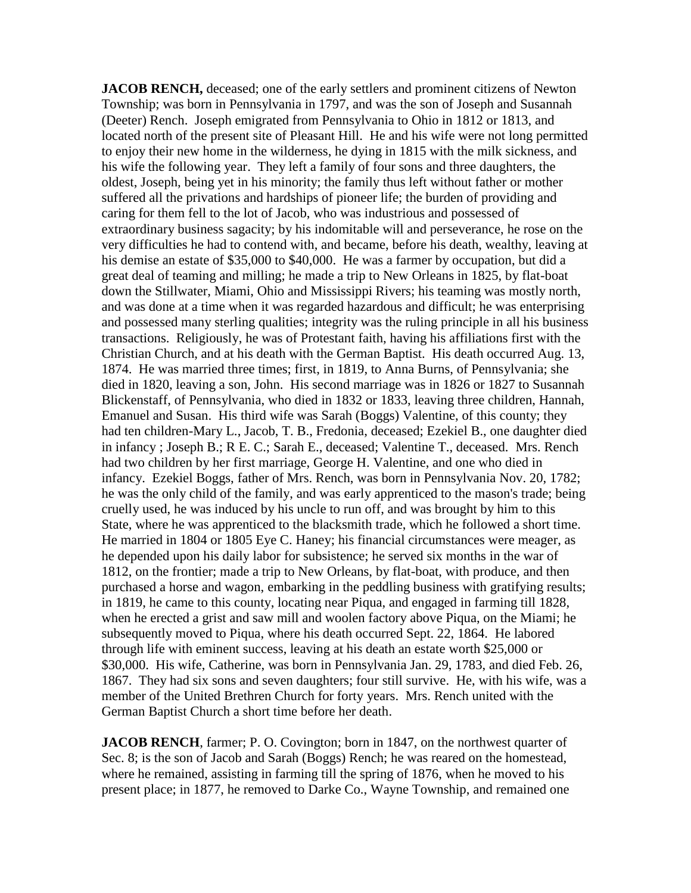**JACOB RENCH,** deceased; one of the early settlers and prominent citizens of Newton Township; was born in Pennsylvania in 1797, and was the son of Joseph and Susannah (Deeter) Rench. Joseph emigrated from Pennsylvania to Ohio in 1812 or 1813, and located north of the present site of Pleasant Hill. He and his wife were not long permitted to enjoy their new home in the wilderness, he dying in 1815 with the milk sickness, and his wife the following year. They left a family of four sons and three daughters, the oldest, Joseph, being yet in his minority; the family thus left without father or mother suffered all the privations and hardships of pioneer life; the burden of providing and caring for them fell to the lot of Jacob, who was industrious and possessed of extraordinary business sagacity; by his indomitable will and perseverance, he rose on the very difficulties he had to contend with, and became, before his death, wealthy, leaving at his demise an estate of \$35,000 to \$40,000. He was a farmer by occupation, but did a great deal of teaming and milling; he made a trip to New Orleans in 1825, by flat-boat down the Stillwater, Miami, Ohio and Mississippi Rivers; his teaming was mostly north, and was done at a time when it was regarded hazardous and difficult; he was enterprising and possessed many sterling qualities; integrity was the ruling principle in all his business transactions. Religiously, he was of Protestant faith, having his affiliations first with the Christian Church, and at his death with the German Baptist. His death occurred Aug. 13, 1874. He was married three times; first, in 1819, to Anna Burns, of Pennsylvania; she died in 1820, leaving a son, John. His second marriage was in 1826 or 1827 to Susannah Blickenstaff, of Pennsylvania, who died in 1832 or 1833, leaving three children, Hannah, Emanuel and Susan. His third wife was Sarah (Boggs) Valentine, of this county; they had ten children-Mary L., Jacob, T. B., Fredonia, deceased; Ezekiel B., one daughter died in infancy ; Joseph B.; R E. C.; Sarah E., deceased; Valentine T., deceased. Mrs. Rench had two children by her first marriage, George H. Valentine, and one who died in infancy. Ezekiel Boggs, father of Mrs. Rench, was born in Pennsylvania Nov. 20, 1782; he was the only child of the family, and was early apprenticed to the mason's trade; being cruelly used, he was induced by his uncle to run off, and was brought by him to this State, where he was apprenticed to the blacksmith trade, which he followed a short time. He married in 1804 or 1805 Eye C. Haney; his financial circumstances were meager, as he depended upon his daily labor for subsistence; he served six months in the war of 1812, on the frontier; made a trip to New Orleans, by flat-boat, with produce, and then purchased a horse and wagon, embarking in the peddling business with gratifying results; in 1819, he came to this county, locating near Piqua, and engaged in farming till 1828, when he erected a grist and saw mill and woolen factory above Piqua, on the Miami; he subsequently moved to Piqua, where his death occurred Sept. 22, 1864. He labored through life with eminent success, leaving at his death an estate worth \$25,000 or \$30,000. His wife, Catherine, was born in Pennsylvania Jan. 29, 1783, and died Feb. 26, 1867. They had six sons and seven daughters; four still survive. He, with his wife, was a member of the United Brethren Church for forty years. Mrs. Rench united with the German Baptist Church a short time before her death.

**JACOB RENCH**, farmer; P. O. Covington; born in 1847, on the northwest quarter of Sec. 8; is the son of Jacob and Sarah (Boggs) Rench; he was reared on the homestead, where he remained, assisting in farming till the spring of 1876, when he moved to his present place; in 1877, he removed to Darke Co., Wayne Township, and remained one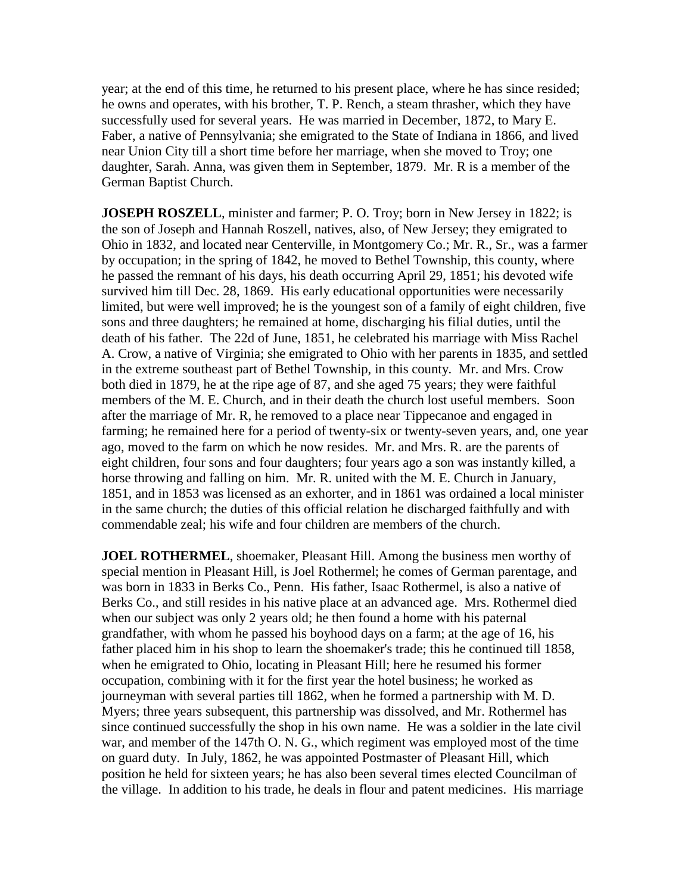year; at the end of this time, he returned to his present place, where he has since resided; he owns and operates, with his brother, T. P. Rench, a steam thrasher, which they have successfully used for several years. He was married in December, 1872, to Mary E. Faber, a native of Pennsylvania; she emigrated to the State of Indiana in 1866, and lived near Union City till a short time before her marriage, when she moved to Troy; one daughter, Sarah. Anna, was given them in September, 1879. Mr. R is a member of the German Baptist Church.

**JOSEPH ROSZELL**, minister and farmer; P. O. Troy; born in New Jersey in 1822; is the son of Joseph and Hannah Roszell, natives, also, of New Jersey; they emigrated to Ohio in 1832, and located near Centerville, in Montgomery Co.; Mr. R., Sr., was a farmer by occupation; in the spring of 1842, he moved to Bethel Township, this county, where he passed the remnant of his days, his death occurring April 29, 1851; his devoted wife survived him till Dec. 28, 1869. His early educational opportunities were necessarily limited, but were well improved; he is the youngest son of a family of eight children, five sons and three daughters; he remained at home, discharging his filial duties, until the death of his father. The 22d of June, 1851, he celebrated his marriage with Miss Rachel A. Crow, a native of Virginia; she emigrated to Ohio with her parents in 1835, and settled in the extreme southeast part of Bethel Township, in this county. Mr. and Mrs. Crow both died in 1879, he at the ripe age of 87, and she aged 75 years; they were faithful members of the M. E. Church, and in their death the church lost useful members. Soon after the marriage of Mr. R, he removed to a place near Tippecanoe and engaged in farming; he remained here for a period of twenty-six or twenty-seven years, and, one year ago, moved to the farm on which he now resides. Mr. and Mrs. R. are the parents of eight children, four sons and four daughters; four years ago a son was instantly killed, a horse throwing and falling on him. Mr. R. united with the M. E. Church in January, 1851, and in 1853 was licensed as an exhorter, and in 1861 was ordained a local minister in the same church; the duties of this official relation he discharged faithfully and with commendable zeal; his wife and four children are members of the church.

**JOEL ROTHERMEL**, shoemaker, Pleasant Hill. Among the business men worthy of special mention in Pleasant Hill, is Joel Rothermel; he comes of German parentage, and was born in 1833 in Berks Co., Penn. His father, Isaac Rothermel, is also a native of Berks Co., and still resides in his native place at an advanced age. Mrs. Rothermel died when our subject was only 2 years old; he then found a home with his paternal grandfather, with whom he passed his boyhood days on a farm; at the age of 16, his father placed him in his shop to learn the shoemaker's trade; this he continued till 1858, when he emigrated to Ohio, locating in Pleasant Hill; here he resumed his former occupation, combining with it for the first year the hotel business; he worked as journeyman with several parties till 1862, when he formed a partnership with M. D. Myers; three years subsequent, this partnership was dissolved, and Mr. Rothermel has since continued successfully the shop in his own name. He was a soldier in the late civil war, and member of the 147th O. N. G., which regiment was employed most of the time on guard duty. In July, 1862, he was appointed Postmaster of Pleasant Hill, which position he held for sixteen years; he has also been several times elected Councilman of the village. In addition to his trade, he deals in flour and patent medicines. His marriage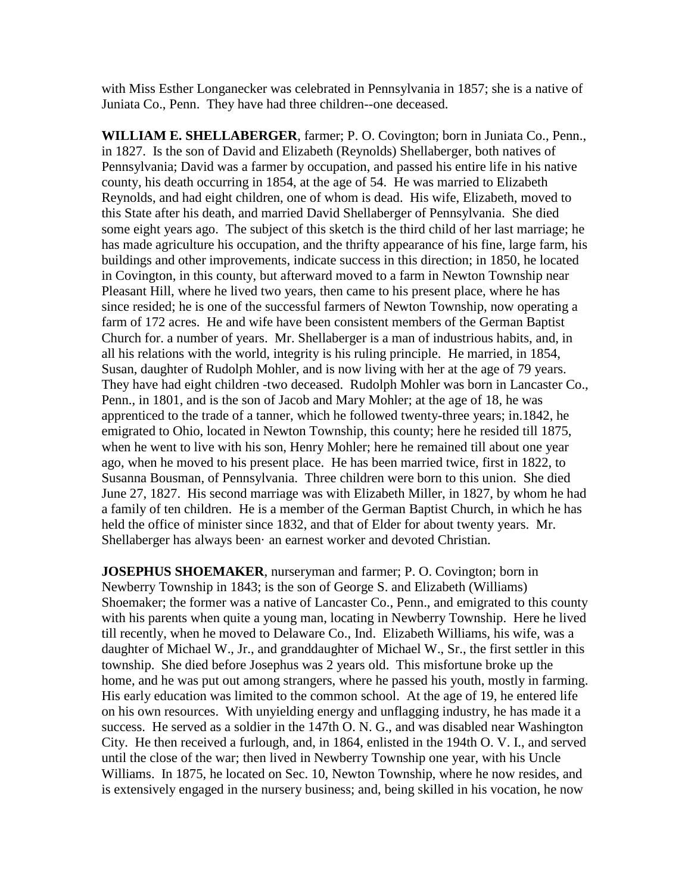with Miss Esther Longanecker was celebrated in Pennsylvania in 1857; she is a native of Juniata Co., Penn. They have had three children--one deceased.

**WILLIAM E. SHELLABERGER**, farmer; P. O. Covington; born in Juniata Co., Penn., in 1827. Is the son of David and Elizabeth (Reynolds) Shellaberger, both natives of Pennsylvania; David was a farmer by occupation, and passed his entire life in his native county, his death occurring in 1854, at the age of 54. He was married to Elizabeth Reynolds, and had eight children, one of whom is dead. His wife, Elizabeth, moved to this State after his death, and married David Shellaberger of Pennsylvania. She died some eight years ago. The subject of this sketch is the third child of her last marriage; he has made agriculture his occupation, and the thrifty appearance of his fine, large farm, his buildings and other improvements, indicate success in this direction; in 1850, he located in Covington, in this county, but afterward moved to a farm in Newton Township near Pleasant Hill, where he lived two years, then came to his present place, where he has since resided; he is one of the successful farmers of Newton Township, now operating a farm of 172 acres. He and wife have been consistent members of the German Baptist Church for. a number of years. Mr. Shellaberger is a man of industrious habits, and, in all his relations with the world, integrity is his ruling principle. He married, in 1854, Susan, daughter of Rudolph Mohler, and is now living with her at the age of 79 years. They have had eight children -two deceased. Rudolph Mohler was born in Lancaster Co., Penn., in 1801, and is the son of Jacob and Mary Mohler; at the age of 18, he was apprenticed to the trade of a tanner, which he followed twenty-three years; in.1842, he emigrated to Ohio, located in Newton Township, this county; here he resided till 1875, when he went to live with his son, Henry Mohler; here he remained till about one year ago, when he moved to his present place. He has been married twice, first in 1822, to Susanna Bousman, of Pennsylvania. Three children were born to this union. She died June 27, 1827. His second marriage was with Elizabeth Miller, in 1827, by whom he had a family of ten children. He is a member of the German Baptist Church, in which he has held the office of minister since 1832, and that of Elder for about twenty years. Mr. Shellaberger has always been· an earnest worker and devoted Christian.

**JOSEPHUS SHOEMAKER**, nurseryman and farmer; P. O. Covington; born in Newberry Township in 1843; is the son of George S. and Elizabeth (Williams) Shoemaker; the former was a native of Lancaster Co., Penn., and emigrated to this county with his parents when quite a young man, locating in Newberry Township. Here he lived till recently, when he moved to Delaware Co., Ind. Elizabeth Williams, his wife, was a daughter of Michael W., Jr., and granddaughter of Michael W., Sr., the first settler in this township. She died before Josephus was 2 years old. This misfortune broke up the home, and he was put out among strangers, where he passed his youth, mostly in farming. His early education was limited to the common school. At the age of 19, he entered life on his own resources. With unyielding energy and unflagging industry, he has made it a success. He served as a soldier in the 147th O. N. G., and was disabled near Washington City. He then received a furlough, and, in 1864, enlisted in the 194th O. V. I., and served until the close of the war; then lived in Newberry Township one year, with his Uncle Williams. In 1875, he located on Sec. 10, Newton Township, where he now resides, and is extensively engaged in the nursery business; and, being skilled in his vocation, he now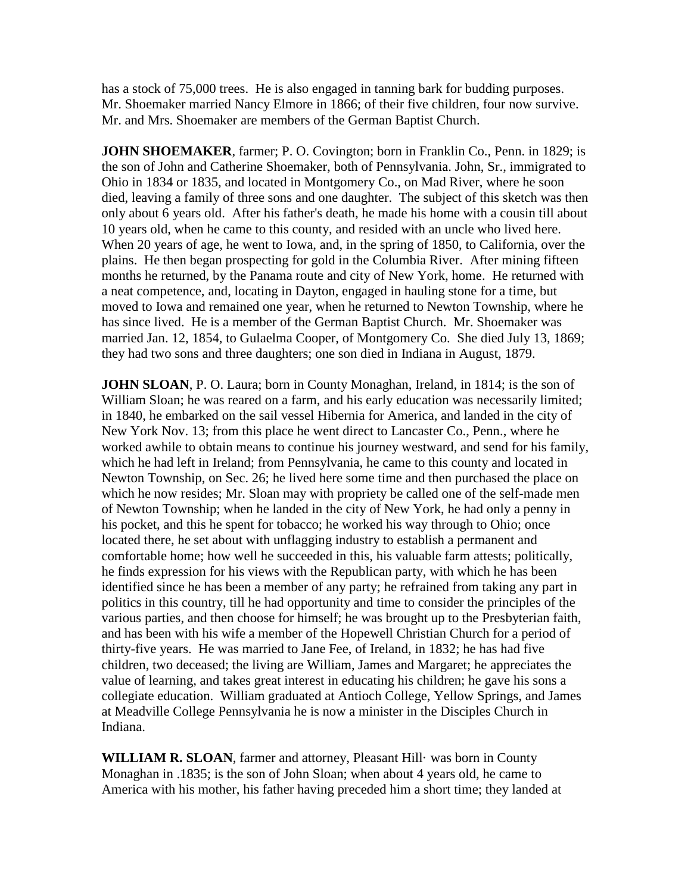has a stock of 75,000 trees. He is also engaged in tanning bark for budding purposes. Mr. Shoemaker married Nancy Elmore in 1866; of their five children, four now survive. Mr. and Mrs. Shoemaker are members of the German Baptist Church.

**JOHN SHOEMAKER**, farmer; P. O. Covington; born in Franklin Co., Penn. in 1829; is the son of John and Catherine Shoemaker, both of Pennsylvania. John, Sr., immigrated to Ohio in 1834 or 1835, and located in Montgomery Co., on Mad River, where he soon died, leaving a family of three sons and one daughter. The subject of this sketch was then only about 6 years old. After his father's death, he made his home with a cousin till about 10 years old, when he came to this county, and resided with an uncle who lived here. When 20 years of age, he went to Iowa, and, in the spring of 1850, to California, over the plains. He then began prospecting for gold in the Columbia River. After mining fifteen months he returned, by the Panama route and city of New York, home. He returned with a neat competence, and, locating in Dayton, engaged in hauling stone for a time, but moved to Iowa and remained one year, when he returned to Newton Township, where he has since lived. He is a member of the German Baptist Church. Mr. Shoemaker was married Jan. 12, 1854, to Gulaelma Cooper, of Montgomery Co. She died July 13, 1869; they had two sons and three daughters; one son died in Indiana in August, 1879.

**JOHN SLOAN, P. O. Laura; born in County Monaghan, Ireland, in 1814; is the son of** William Sloan; he was reared on a farm, and his early education was necessarily limited; in 1840, he embarked on the sail vessel Hibernia for America, and landed in the city of New York Nov. 13; from this place he went direct to Lancaster Co., Penn., where he worked awhile to obtain means to continue his journey westward, and send for his family, which he had left in Ireland; from Pennsylvania, he came to this county and located in Newton Township, on Sec. 26; he lived here some time and then purchased the place on which he now resides; Mr. Sloan may with propriety be called one of the self-made men of Newton Township; when he landed in the city of New York, he had only a penny in his pocket, and this he spent for tobacco; he worked his way through to Ohio; once located there, he set about with unflagging industry to establish a permanent and comfortable home; how well he succeeded in this, his valuable farm attests; politically, he finds expression for his views with the Republican party, with which he has been identified since he has been a member of any party; he refrained from taking any part in politics in this country, till he had opportunity and time to consider the principles of the various parties, and then choose for himself; he was brought up to the Presbyterian faith, and has been with his wife a member of the Hopewell Christian Church for a period of thirty-five years. He was married to Jane Fee, of Ireland, in 1832; he has had five children, two deceased; the living are William, James and Margaret; he appreciates the value of learning, and takes great interest in educating his children; he gave his sons a collegiate education. William graduated at Antioch College, Yellow Springs, and James at Meadville College Pennsylvania he is now a minister in the Disciples Church in Indiana.

**WILLIAM R. SLOAN**, farmer and attorney, Pleasant Hill· was born in County Monaghan in .1835; is the son of John Sloan; when about 4 years old, he came to America with his mother, his father having preceded him a short time; they landed at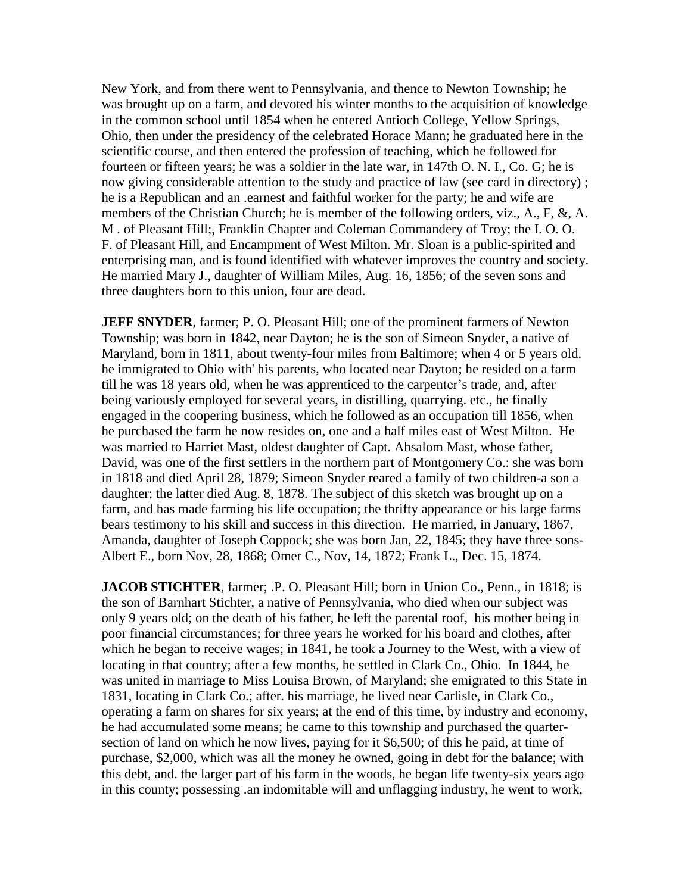New York, and from there went to Pennsylvania, and thence to Newton Township; he was brought up on a farm, and devoted his winter months to the acquisition of knowledge in the common school until 1854 when he entered Antioch College, Yellow Springs, Ohio, then under the presidency of the celebrated Horace Mann; he graduated here in the scientific course, and then entered the profession of teaching, which he followed for fourteen or fifteen years; he was a soldier in the late war, in 147th O. N. I., Co. G; he is now giving considerable attention to the study and practice of law (see card in directory) ; he is a Republican and an .earnest and faithful worker for the party; he and wife are members of the Christian Church; he is member of the following orders, viz., A., F, &, A. M . of Pleasant Hill;, Franklin Chapter and Coleman Commandery of Troy; the I. O. O. F. of Pleasant Hill, and Encampment of West Milton. Mr. Sloan is a public-spirited and enterprising man, and is found identified with whatever improves the country and society. He married Mary J., daughter of William Miles, Aug. 16, 1856; of the seven sons and three daughters born to this union, four are dead.

**JEFF SNYDER**, farmer; P. O. Pleasant Hill; one of the prominent farmers of Newton Township; was born in 1842, near Dayton; he is the son of Simeon Snyder, a native of Maryland, born in 1811, about twenty-four miles from Baltimore; when 4 or 5 years old. he immigrated to Ohio with' his parents, who located near Dayton; he resided on a farm till he was 18 years old, when he was apprenticed to the carpenter's trade, and, after being variously employed for several years, in distilling, quarrying. etc., he finally engaged in the coopering business, which he followed as an occupation till 1856, when he purchased the farm he now resides on, one and a half miles east of West Milton. He was married to Harriet Mast, oldest daughter of Capt. Absalom Mast, whose father, David, was one of the first settlers in the northern part of Montgomery Co.: she was born in 1818 and died April 28, 1879; Simeon Snyder reared a family of two children-a son a daughter; the latter died Aug. 8, 1878. The subject of this sketch was brought up on a farm, and has made farming his life occupation; the thrifty appearance or his large farms bears testimony to his skill and success in this direction. He married, in January, 1867, Amanda, daughter of Joseph Coppock; she was born Jan, 22, 1845; they have three sons-Albert E., born Nov, 28, 1868; Omer C., Nov, 14, 1872; Frank L., Dec. 15, 1874.

**JACOB STICHTER**, farmer; .P. O. Pleasant Hill; born in Union Co., Penn., in 1818; is the son of Barnhart Stichter, a native of Pennsylvania, who died when our subject was only 9 years old; on the death of his father, he left the parental roof, his mother being in poor financial circumstances; for three years he worked for his board and clothes, after which he began to receive wages; in 1841, he took a Journey to the West, with a view of locating in that country; after a few months, he settled in Clark Co., Ohio. In 1844, he was united in marriage to Miss Louisa Brown, of Maryland; she emigrated to this State in 1831, locating in Clark Co.; after. his marriage, he lived near Carlisle, in Clark Co., operating a farm on shares for six years; at the end of this time, by industry and economy, he had accumulated some means; he came to this township and purchased the quartersection of land on which he now lives, paying for it \$6,500; of this he paid, at time of purchase, \$2,000, which was all the money he owned, going in debt for the balance; with this debt, and. the larger part of his farm in the woods, he began life twenty-six years ago in this county; possessing .an indomitable will and unflagging industry, he went to work,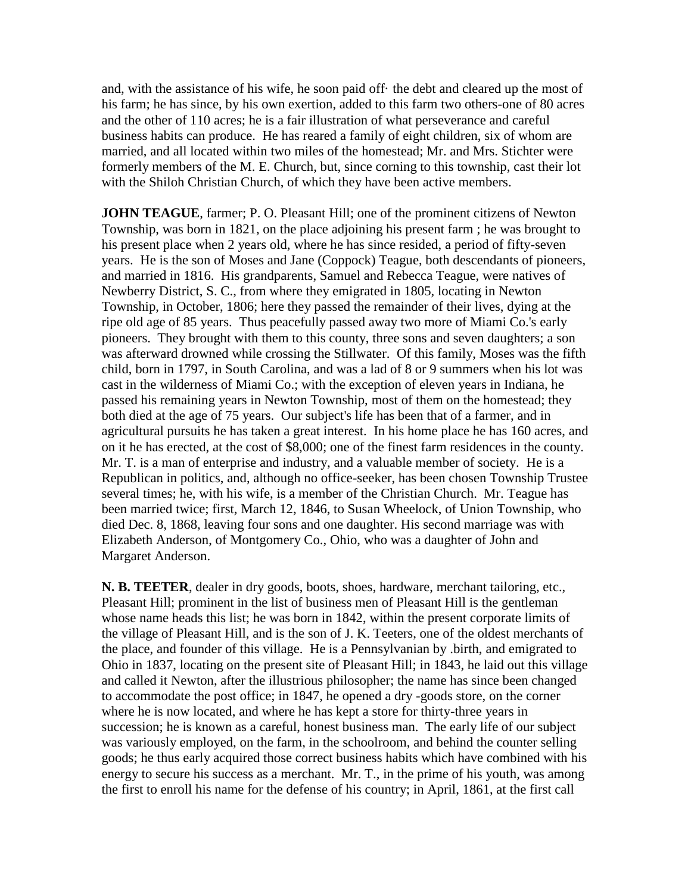and, with the assistance of his wife, he soon paid off· the debt and cleared up the most of his farm; he has since, by his own exertion, added to this farm two others-one of 80 acres and the other of 110 acres; he is a fair illustration of what perseverance and careful business habits can produce. He has reared a family of eight children, six of whom are married, and all located within two miles of the homestead; Mr. and Mrs. Stichter were formerly members of the M. E. Church, but, since corning to this township, cast their lot with the Shiloh Christian Church, of which they have been active members.

**JOHN TEAGUE**, farmer; P. O. Pleasant Hill; one of the prominent citizens of Newton Township, was born in 1821, on the place adjoining his present farm ; he was brought to his present place when 2 years old, where he has since resided, a period of fifty-seven years. He is the son of Moses and Jane (Coppock) Teague, both descendants of pioneers, and married in 1816. His grandparents, Samuel and Rebecca Teague, were natives of Newberry District, S. C., from where they emigrated in 1805, locating in Newton Township, in October, 1806; here they passed the remainder of their lives, dying at the ripe old age of 85 years. Thus peacefully passed away two more of Miami Co.'s early pioneers. They brought with them to this county, three sons and seven daughters; a son was afterward drowned while crossing the Stillwater. Of this family, Moses was the fifth child, born in 1797, in South Carolina, and was a lad of 8 or 9 summers when his lot was cast in the wilderness of Miami Co.; with the exception of eleven years in Indiana, he passed his remaining years in Newton Township, most of them on the homestead; they both died at the age of 75 years. Our subject's life has been that of a farmer, and in agricultural pursuits he has taken a great interest. In his home place he has 160 acres, and on it he has erected, at the cost of \$8,000; one of the finest farm residences in the county. Mr. T. is a man of enterprise and industry, and a valuable member of society. He is a Republican in politics, and, although no office-seeker, has been chosen Township Trustee several times; he, with his wife, is a member of the Christian Church. Mr. Teague has been married twice; first, March 12, 1846, to Susan Wheelock, of Union Township, who died Dec. 8, 1868, leaving four sons and one daughter. His second marriage was with Elizabeth Anderson, of Montgomery Co., Ohio, who was a daughter of John and Margaret Anderson.

**N. B. TEETER**, dealer in dry goods, boots, shoes, hardware, merchant tailoring, etc., Pleasant Hill; prominent in the list of business men of Pleasant Hill is the gentleman whose name heads this list; he was born in 1842, within the present corporate limits of the village of Pleasant Hill, and is the son of J. K. Teeters, one of the oldest merchants of the place, and founder of this village. He is a Pennsylvanian by .birth, and emigrated to Ohio in 1837, locating on the present site of Pleasant Hill; in 1843, he laid out this village and called it Newton, after the illustrious philosopher; the name has since been changed to accommodate the post office; in 1847, he opened a dry -goods store, on the corner where he is now located, and where he has kept a store for thirty-three years in succession; he is known as a careful, honest business man. The early life of our subject was variously employed, on the farm, in the schoolroom, and behind the counter selling goods; he thus early acquired those correct business habits which have combined with his energy to secure his success as a merchant. Mr. T., in the prime of his youth, was among the first to enroll his name for the defense of his country; in April, 1861, at the first call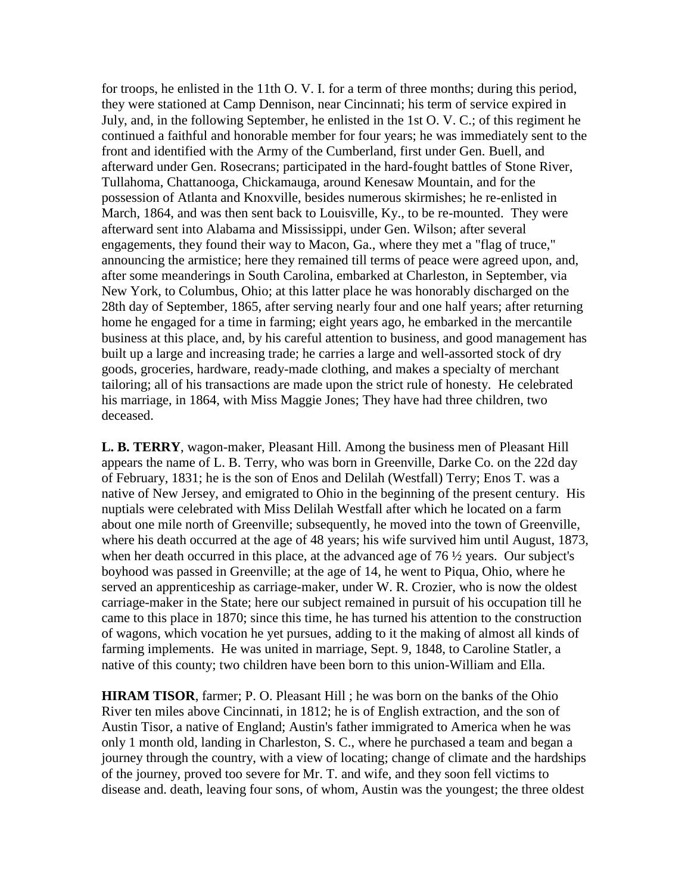for troops, he enlisted in the 11th O. V. I. for a term of three months; during this period, they were stationed at Camp Dennison, near Cincinnati; his term of service expired in July, and, in the following September, he enlisted in the 1st O. V. C.; of this regiment he continued a faithful and honorable member for four years; he was immediately sent to the front and identified with the Army of the Cumberland, first under Gen. Buell, and afterward under Gen. Rosecrans; participated in the hard-fought battles of Stone River, Tullahoma, Chattanooga, Chickamauga, around Kenesaw Mountain, and for the possession of Atlanta and Knoxville, besides numerous skirmishes; he re-enlisted in March, 1864, and was then sent back to Louisville, Ky., to be re-mounted. They were afterward sent into Alabama and Mississippi, under Gen. Wilson; after several engagements, they found their way to Macon, Ga., where they met a "flag of truce," announcing the armistice; here they remained till terms of peace were agreed upon, and, after some meanderings in South Carolina, embarked at Charleston, in September, via New York, to Columbus, Ohio; at this latter place he was honorably discharged on the 28th day of September, 1865, after serving nearly four and one half years; after returning home he engaged for a time in farming; eight years ago, he embarked in the mercantile business at this place, and, by his careful attention to business, and good management has built up a large and increasing trade; he carries a large and well-assorted stock of dry goods, groceries, hardware, ready-made clothing, and makes a specialty of merchant tailoring; all of his transactions are made upon the strict rule of honesty. He celebrated his marriage, in 1864, with Miss Maggie Jones; They have had three children, two deceased.

**L. B. TERRY**, wagon-maker, Pleasant Hill. Among the business men of Pleasant Hill appears the name of L. B. Terry, who was born in Greenville, Darke Co. on the 22d day of February, 1831; he is the son of Enos and Delilah (Westfall) Terry; Enos T. was a native of New Jersey, and emigrated to Ohio in the beginning of the present century. His nuptials were celebrated with Miss Delilah Westfall after which he located on a farm about one mile north of Greenville; subsequently, he moved into the town of Greenville, where his death occurred at the age of 48 years; his wife survived him until August, 1873, when her death occurred in this place, at the advanced age of 76 ½ years. Our subject's boyhood was passed in Greenville; at the age of 14, he went to Piqua, Ohio, where he served an apprenticeship as carriage-maker, under W. R. Crozier, who is now the oldest carriage-maker in the State; here our subject remained in pursuit of his occupation till he came to this place in 1870; since this time, he has turned his attention to the construction of wagons, which vocation he yet pursues, adding to it the making of almost all kinds of farming implements. He was united in marriage, Sept. 9, 1848, to Caroline Statler, a native of this county; two children have been born to this union-William and Ella.

**HIRAM TISOR,** farmer; P. O. Pleasant Hill; he was born on the banks of the Ohio River ten miles above Cincinnati, in 1812; he is of English extraction, and the son of Austin Tisor, a native of England; Austin's father immigrated to America when he was only 1 month old, landing in Charleston, S. C., where he purchased a team and began a journey through the country, with a view of locating; change of climate and the hardships of the journey, proved too severe for Mr. T. and wife, and they soon fell victims to disease and. death, leaving four sons, of whom, Austin was the youngest; the three oldest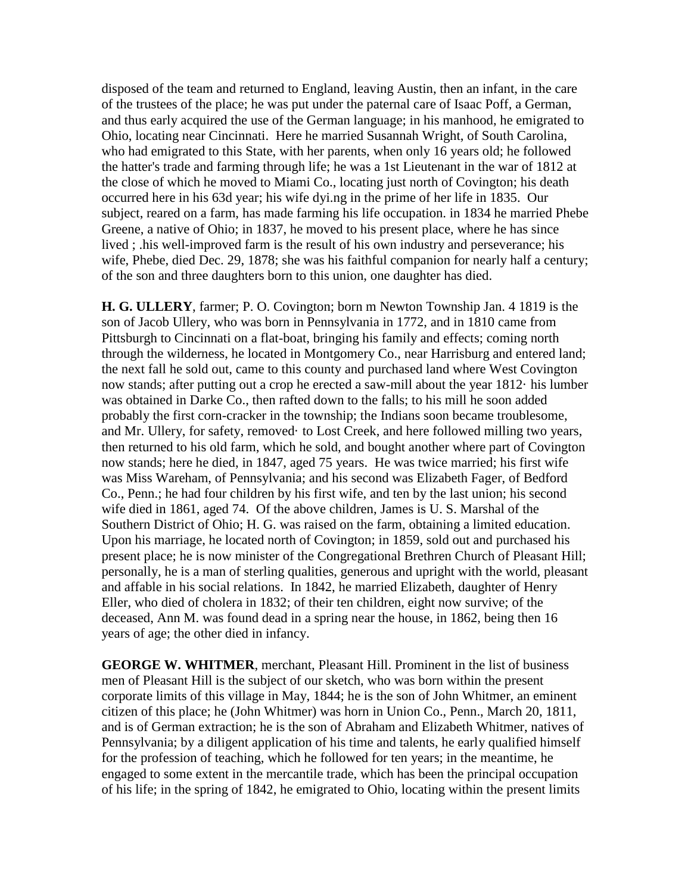disposed of the team and returned to England, leaving Austin, then an infant, in the care of the trustees of the place; he was put under the paternal care of Isaac Poff, a German, and thus early acquired the use of the German language; in his manhood, he emigrated to Ohio, locating near Cincinnati. Here he married Susannah Wright, of South Carolina, who had emigrated to this State, with her parents, when only 16 years old; he followed the hatter's trade and farming through life; he was a 1st Lieutenant in the war of 1812 at the close of which he moved to Miami Co., locating just north of Covington; his death occurred here in his 63d year; his wife dyi.ng in the prime of her life in 1835. Our subject, reared on a farm, has made farming his life occupation. in 1834 he married Phebe Greene, a native of Ohio; in 1837, he moved to his present place, where he has since lived ; .his well-improved farm is the result of his own industry and perseverance; his wife, Phebe, died Dec. 29, 1878; she was his faithful companion for nearly half a century; of the son and three daughters born to this union, one daughter has died.

**H. G. ULLERY**, farmer; P. O. Covington; born m Newton Township Jan. 4 1819 is the son of Jacob Ullery, who was born in Pennsylvania in 1772, and in 1810 came from Pittsburgh to Cincinnati on a flat-boat, bringing his family and effects; coming north through the wilderness, he located in Montgomery Co., near Harrisburg and entered land; the next fall he sold out, came to this county and purchased land where West Covington now stands; after putting out a crop he erected a saw-mill about the year 1812· his lumber was obtained in Darke Co., then rafted down to the falls; to his mill he soon added probably the first corn-cracker in the township; the Indians soon became troublesome, and Mr. Ullery, for safety, removed· to Lost Creek, and here followed milling two years, then returned to his old farm, which he sold, and bought another where part of Covington now stands; here he died, in 1847, aged 75 years. He was twice married; his first wife was Miss Wareham, of Pennsylvania; and his second was Elizabeth Fager, of Bedford Co., Penn.; he had four children by his first wife, and ten by the last union; his second wife died in 1861, aged 74. Of the above children, James is U. S. Marshal of the Southern District of Ohio; H. G. was raised on the farm, obtaining a limited education. Upon his marriage, he located north of Covington; in 1859, sold out and purchased his present place; he is now minister of the Congregational Brethren Church of Pleasant Hill; personally, he is a man of sterling qualities, generous and upright with the world, pleasant and affable in his social relations. In 1842, he married Elizabeth, daughter of Henry Eller, who died of cholera in 1832; of their ten children, eight now survive; of the deceased, Ann M. was found dead in a spring near the house, in 1862, being then 16 years of age; the other died in infancy.

**GEORGE W. WHITMER**, merchant, Pleasant Hill. Prominent in the list of business men of Pleasant Hill is the subject of our sketch, who was born within the present corporate limits of this village in May, 1844; he is the son of John Whitmer, an eminent citizen of this place; he (John Whitmer) was horn in Union Co., Penn., March 20, 1811, and is of German extraction; he is the son of Abraham and Elizabeth Whitmer, natives of Pennsylvania; by a diligent application of his time and talents, he early qualified himself for the profession of teaching, which he followed for ten years; in the meantime, he engaged to some extent in the mercantile trade, which has been the principal occupation of his life; in the spring of 1842, he emigrated to Ohio, locating within the present limits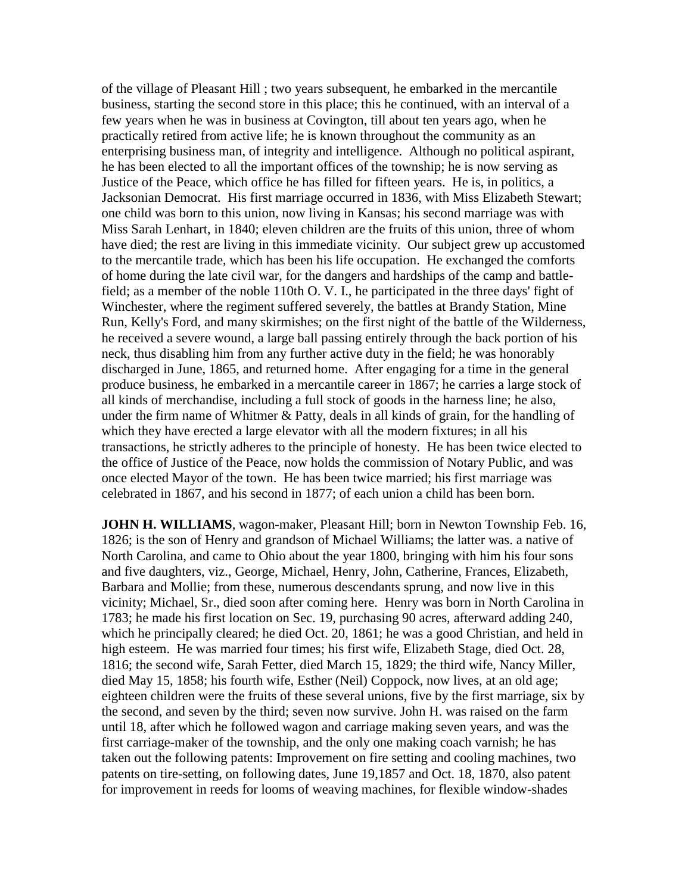of the village of Pleasant Hill ; two years subsequent, he embarked in the mercantile business, starting the second store in this place; this he continued, with an interval of a few years when he was in business at Covington, till about ten years ago, when he practically retired from active life; he is known throughout the community as an enterprising business man, of integrity and intelligence. Although no political aspirant, he has been elected to all the important offices of the township; he is now serving as Justice of the Peace, which office he has filled for fifteen years. He is, in politics, a Jacksonian Democrat. His first marriage occurred in 1836, with Miss Elizabeth Stewart; one child was born to this union, now living in Kansas; his second marriage was with Miss Sarah Lenhart, in 1840; eleven children are the fruits of this union, three of whom have died; the rest are living in this immediate vicinity. Our subject grew up accustomed to the mercantile trade, which has been his life occupation. He exchanged the comforts of home during the late civil war, for the dangers and hardships of the camp and battlefield; as a member of the noble 110th O. V. I., he participated in the three days' fight of Winchester, where the regiment suffered severely, the battles at Brandy Station, Mine Run, Kelly's Ford, and many skirmishes; on the first night of the battle of the Wilderness, he received a severe wound, a large ball passing entirely through the back portion of his neck, thus disabling him from any further active duty in the field; he was honorably discharged in June, 1865, and returned home. After engaging for a time in the general produce business, he embarked in a mercantile career in 1867; he carries a large stock of all kinds of merchandise, including a full stock of goods in the harness line; he also, under the firm name of Whitmer  $&$  Patty, deals in all kinds of grain, for the handling of which they have erected a large elevator with all the modern fixtures; in all his transactions, he strictly adheres to the principle of honesty. He has been twice elected to the office of Justice of the Peace, now holds the commission of Notary Public, and was once elected Mayor of the town. He has been twice married; his first marriage was celebrated in 1867, and his second in 1877; of each union a child has been born.

**JOHN H. WILLIAMS**, wagon-maker, Pleasant Hill; born in Newton Township Feb. 16, 1826; is the son of Henry and grandson of Michael Williams; the latter was. a native of North Carolina, and came to Ohio about the year 1800, bringing with him his four sons and five daughters, viz., George, Michael, Henry, John, Catherine, Frances, Elizabeth, Barbara and Mollie; from these, numerous descendants sprung, and now live in this vicinity; Michael, Sr., died soon after coming here. Henry was born in North Carolina in 1783; he made his first location on Sec. 19, purchasing 90 acres, afterward adding 240, which he principally cleared; he died Oct. 20, 1861; he was a good Christian, and held in high esteem. He was married four times; his first wife, Elizabeth Stage, died Oct. 28, 1816; the second wife, Sarah Fetter, died March 15, 1829; the third wife, Nancy Miller, died May 15, 1858; his fourth wife, Esther (Neil) Coppock, now lives, at an old age; eighteen children were the fruits of these several unions, five by the first marriage, six by the second, and seven by the third; seven now survive. John H. was raised on the farm until 18, after which he followed wagon and carriage making seven years, and was the first carriage-maker of the township, and the only one making coach varnish; he has taken out the following patents: Improvement on fire setting and cooling machines, two patents on tire-setting, on following dates, June 19,1857 and Oct. 18, 1870, also patent for improvement in reeds for looms of weaving machines, for flexible window-shades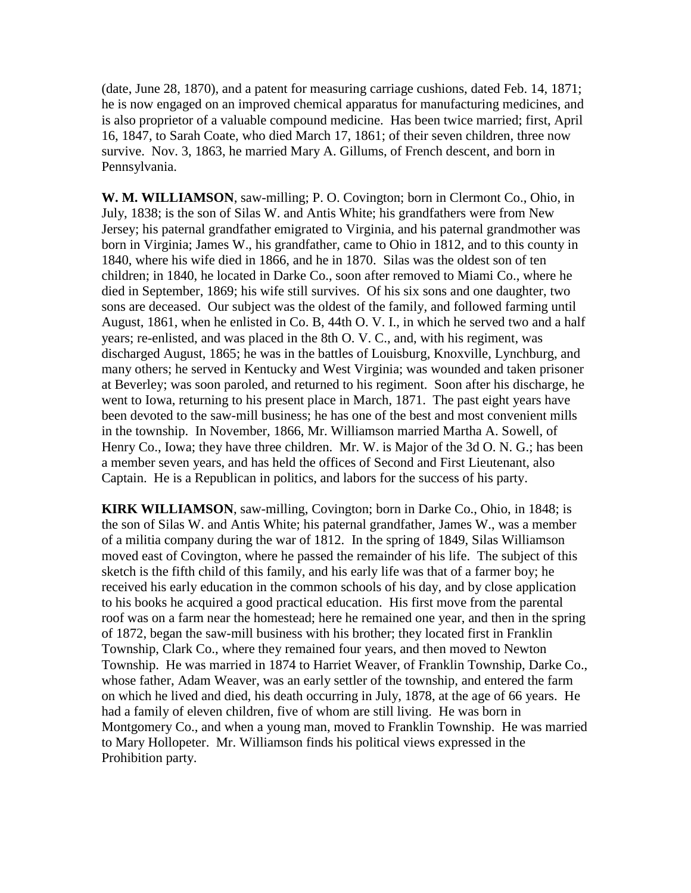(date, June 28, 1870), and a patent for measuring carriage cushions, dated Feb. 14, 1871; he is now engaged on an improved chemical apparatus for manufacturing medicines, and is also proprietor of a valuable compound medicine. Has been twice married; first, April 16, 1847, to Sarah Coate, who died March 17, 1861; of their seven children, three now survive. Nov. 3, 1863, he married Mary A. Gillums, of French descent, and born in Pennsylvania.

**W. M. WILLIAMSON**, saw-milling; P. O. Covington; born in Clermont Co., Ohio, in July, 1838; is the son of Silas W. and Antis White; his grandfathers were from New Jersey; his paternal grandfather emigrated to Virginia, and his paternal grandmother was born in Virginia; James W., his grandfather, came to Ohio in 1812, and to this county in 1840, where his wife died in 1866, and he in 1870. Silas was the oldest son of ten children; in 1840, he located in Darke Co., soon after removed to Miami Co., where he died in September, 1869; his wife still survives. Of his six sons and one daughter, two sons are deceased. Our subject was the oldest of the family, and followed farming until August, 1861, when he enlisted in Co. B, 44th O. V. I., in which he served two and a half years; re-enlisted, and was placed in the 8th O. V. C., and, with his regiment, was discharged August, 1865; he was in the battles of Louisburg, Knoxville, Lynchburg, and many others; he served in Kentucky and West Virginia; was wounded and taken prisoner at Beverley; was soon paroled, and returned to his regiment. Soon after his discharge, he went to Iowa, returning to his present place in March, 1871. The past eight years have been devoted to the saw-mill business; he has one of the best and most convenient mills in the township. In November, 1866, Mr. Williamson married Martha A. Sowell, of Henry Co., Iowa; they have three children. Mr. W. is Major of the 3d O. N. G.; has been a member seven years, and has held the offices of Second and First Lieutenant, also Captain. He is a Republican in politics, and labors for the success of his party.

**KIRK WILLIAMSON**, saw-milling, Covington; born in Darke Co., Ohio, in 1848; is the son of Silas W. and Antis White; his paternal grandfather, James W., was a member of a militia company during the war of 1812. In the spring of 1849, Silas Williamson moved east of Covington, where he passed the remainder of his life. The subject of this sketch is the fifth child of this family, and his early life was that of a farmer boy; he received his early education in the common schools of his day, and by close application to his books he acquired a good practical education. His first move from the parental roof was on a farm near the homestead; here he remained one year, and then in the spring of 1872, began the saw-mill business with his brother; they located first in Franklin Township, Clark Co., where they remained four years, and then moved to Newton Township. He was married in 1874 to Harriet Weaver, of Franklin Township, Darke Co., whose father, Adam Weaver, was an early settler of the township, and entered the farm on which he lived and died, his death occurring in July, 1878, at the age of 66 years. He had a family of eleven children, five of whom are still living. He was born in Montgomery Co., and when a young man, moved to Franklin Township. He was married to Mary Hollopeter. Mr. Williamson finds his political views expressed in the Prohibition party.